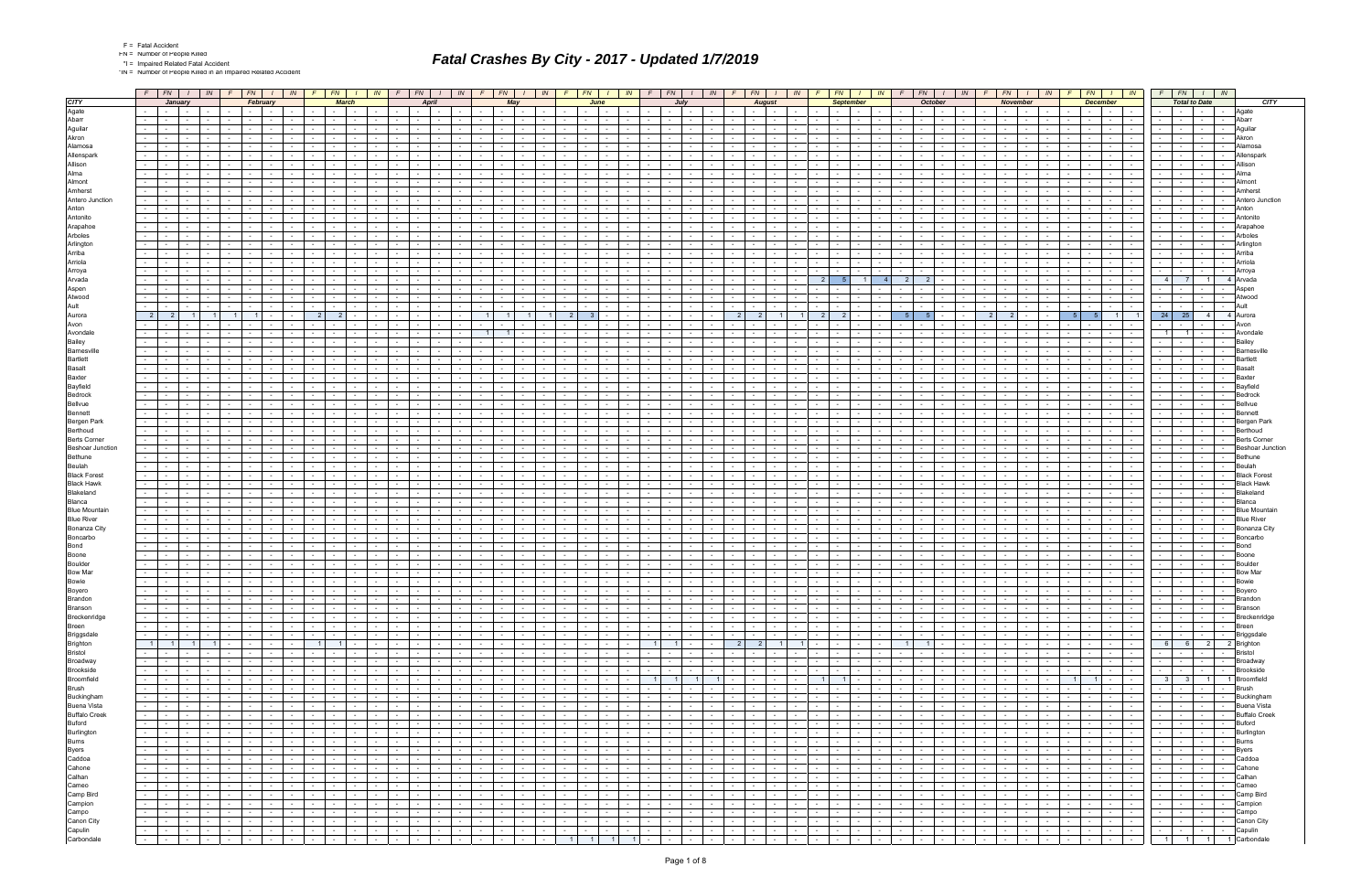|  | <b>Fatal Accide</b> |
|--|---------------------|
|  |                     |

\*IN = Number of People Killed in an Impaired Related Accident

|                      | $F$ FN<br>- IN                                                                                                                                                                                                                 | <b>FN</b>                                                                                                                                       | <b>FN</b><br>FN.<br>IN.                                                                                                                 | <b>FN</b><br>IN                                                                      | FN  <br>FN -<br>IN.<br>IN.                                                                                                                                                                                                         | <b>FN</b><br>IN<br>FN -<br>IN.                                                                                                                                                                                                                                                 | FN  <br>FN .<br>FN -<br>IN<br>IN<br>- IN                                                                                                                                                                                                                                                       | $F \mid FN \mid$<br>$\sqrt{N}$                                            |
|----------------------|--------------------------------------------------------------------------------------------------------------------------------------------------------------------------------------------------------------------------------|-------------------------------------------------------------------------------------------------------------------------------------------------|-----------------------------------------------------------------------------------------------------------------------------------------|--------------------------------------------------------------------------------------|------------------------------------------------------------------------------------------------------------------------------------------------------------------------------------------------------------------------------------|--------------------------------------------------------------------------------------------------------------------------------------------------------------------------------------------------------------------------------------------------------------------------------|------------------------------------------------------------------------------------------------------------------------------------------------------------------------------------------------------------------------------------------------------------------------------------------------|---------------------------------------------------------------------------|
| <b>CITY</b>          | January                                                                                                                                                                                                                        | February                                                                                                                                        | <b>March</b><br>April                                                                                                                   | May                                                                                  | June<br>July                                                                                                                                                                                                                       | <b>September</b><br><b>August</b>                                                                                                                                                                                                                                              | <b>October</b><br>November<br><b>December</b>                                                                                                                                                                                                                                                  | <b>Total to Date</b><br><b>CITY</b>                                       |
| Agate                | <b>Contract</b><br>$\sim$<br>$\sim 100$                                                                                                                                                                                        | $\sim$ 100 $\mu$<br>$\overline{\phantom{a}}$                                                                                                    | $\sim 10$                                                                                                                               | $\sim$                                                                               | $\sim$<br>$\sim$                                                                                                                                                                                                                   |                                                                                                                                                                                                                                                                                | $\sim$<br>$\sim$<br>$\sim$<br>$\sim$                                                                                                                                                                                                                                                           | Agate<br>$\overline{\phantom{a}}$                                         |
| Abarr                |                                                                                                                                                                                                                                |                                                                                                                                                 |                                                                                                                                         |                                                                                      |                                                                                                                                                                                                                                    |                                                                                                                                                                                                                                                                                |                                                                                                                                                                                                                                                                                                | Abarr                                                                     |
| Aguilar              | $\sim$                                                                                                                                                                                                                         | $\sim$                                                                                                                                          |                                                                                                                                         |                                                                                      |                                                                                                                                                                                                                                    |                                                                                                                                                                                                                                                                                |                                                                                                                                                                                                                                                                                                | Aguilar                                                                   |
| Akron                | $\sim$                                                                                                                                                                                                                         |                                                                                                                                                 | $\sim$                                                                                                                                  |                                                                                      |                                                                                                                                                                                                                                    |                                                                                                                                                                                                                                                                                |                                                                                                                                                                                                                                                                                                | Akron                                                                     |
| Alamosa              |                                                                                                                                                                                                                                |                                                                                                                                                 |                                                                                                                                         |                                                                                      |                                                                                                                                                                                                                                    |                                                                                                                                                                                                                                                                                |                                                                                                                                                                                                                                                                                                | Alamosa                                                                   |
| Allenspark           |                                                                                                                                                                                                                                |                                                                                                                                                 |                                                                                                                                         |                                                                                      |                                                                                                                                                                                                                                    |                                                                                                                                                                                                                                                                                |                                                                                                                                                                                                                                                                                                |                                                                           |
| Allison              | $\sim$                                                                                                                                                                                                                         |                                                                                                                                                 |                                                                                                                                         |                                                                                      |                                                                                                                                                                                                                                    |                                                                                                                                                                                                                                                                                |                                                                                                                                                                                                                                                                                                | Allison                                                                   |
| Alma                 |                                                                                                                                                                                                                                |                                                                                                                                                 |                                                                                                                                         |                                                                                      |                                                                                                                                                                                                                                    |                                                                                                                                                                                                                                                                                |                                                                                                                                                                                                                                                                                                | Alma                                                                      |
| Almont               | $\sim$                                                                                                                                                                                                                         |                                                                                                                                                 |                                                                                                                                         |                                                                                      |                                                                                                                                                                                                                                    |                                                                                                                                                                                                                                                                                |                                                                                                                                                                                                                                                                                                | Almont<br>$\sim$                                                          |
| Amherst              | $\sim$                                                                                                                                                                                                                         |                                                                                                                                                 |                                                                                                                                         |                                                                                      |                                                                                                                                                                                                                                    |                                                                                                                                                                                                                                                                                |                                                                                                                                                                                                                                                                                                | <b>Amhers</b>                                                             |
| Antero Junction      |                                                                                                                                                                                                                                |                                                                                                                                                 |                                                                                                                                         |                                                                                      |                                                                                                                                                                                                                                    |                                                                                                                                                                                                                                                                                |                                                                                                                                                                                                                                                                                                | Antero Junction                                                           |
| Anton                | $\sim 100$<br>$\sim$                                                                                                                                                                                                           |                                                                                                                                                 |                                                                                                                                         |                                                                                      |                                                                                                                                                                                                                                    |                                                                                                                                                                                                                                                                                |                                                                                                                                                                                                                                                                                                | Anton<br>$\sim$                                                           |
| Antonito             |                                                                                                                                                                                                                                |                                                                                                                                                 |                                                                                                                                         |                                                                                      |                                                                                                                                                                                                                                    |                                                                                                                                                                                                                                                                                |                                                                                                                                                                                                                                                                                                | Antonito                                                                  |
| Arapahoe             |                                                                                                                                                                                                                                |                                                                                                                                                 |                                                                                                                                         |                                                                                      |                                                                                                                                                                                                                                    |                                                                                                                                                                                                                                                                                |                                                                                                                                                                                                                                                                                                | Arapaho                                                                   |
| Arboles              | $\sim$                                                                                                                                                                                                                         |                                                                                                                                                 |                                                                                                                                         |                                                                                      |                                                                                                                                                                                                                                    |                                                                                                                                                                                                                                                                                |                                                                                                                                                                                                                                                                                                | Arboles                                                                   |
| Arlington            |                                                                                                                                                                                                                                |                                                                                                                                                 |                                                                                                                                         |                                                                                      |                                                                                                                                                                                                                                    |                                                                                                                                                                                                                                                                                |                                                                                                                                                                                                                                                                                                | Arlinator                                                                 |
| Arriba               | $\sim 100$<br>$\sim$                                                                                                                                                                                                           |                                                                                                                                                 |                                                                                                                                         |                                                                                      |                                                                                                                                                                                                                                    |                                                                                                                                                                                                                                                                                |                                                                                                                                                                                                                                                                                                | Arriba<br>$\sim$                                                          |
| Arriola              |                                                                                                                                                                                                                                |                                                                                                                                                 |                                                                                                                                         |                                                                                      |                                                                                                                                                                                                                                    |                                                                                                                                                                                                                                                                                |                                                                                                                                                                                                                                                                                                | Arriola                                                                   |
| Arroya               | $\sim$                                                                                                                                                                                                                         |                                                                                                                                                 |                                                                                                                                         |                                                                                      |                                                                                                                                                                                                                                    |                                                                                                                                                                                                                                                                                |                                                                                                                                                                                                                                                                                                | Arroya<br>$\sim$                                                          |
| Arvada               | $\sim$                                                                                                                                                                                                                         |                                                                                                                                                 |                                                                                                                                         |                                                                                      |                                                                                                                                                                                                                                    |                                                                                                                                                                                                                                                                                |                                                                                                                                                                                                                                                                                                | $\overline{4}$<br>$\overline{7}$<br>Arvada                                |
| Aspen                |                                                                                                                                                                                                                                |                                                                                                                                                 |                                                                                                                                         |                                                                                      |                                                                                                                                                                                                                                    |                                                                                                                                                                                                                                                                                |                                                                                                                                                                                                                                                                                                |                                                                           |
|                      | $\sim$                                                                                                                                                                                                                         |                                                                                                                                                 |                                                                                                                                         |                                                                                      |                                                                                                                                                                                                                                    |                                                                                                                                                                                                                                                                                |                                                                                                                                                                                                                                                                                                | $\sim$                                                                    |
| Atwood<br>Ault       |                                                                                                                                                                                                                                |                                                                                                                                                 |                                                                                                                                         |                                                                                      |                                                                                                                                                                                                                                    |                                                                                                                                                                                                                                                                                |                                                                                                                                                                                                                                                                                                | Atwood<br>Ault                                                            |
|                      |                                                                                                                                                                                                                                |                                                                                                                                                 |                                                                                                                                         |                                                                                      |                                                                                                                                                                                                                                    |                                                                                                                                                                                                                                                                                |                                                                                                                                                                                                                                                                                                | $\sim$                                                                    |
| Aurora               | 2 <sup>1</sup>                                                                                                                                                                                                                 | 2                                                                                                                                               |                                                                                                                                         |                                                                                      |                                                                                                                                                                                                                                    |                                                                                                                                                                                                                                                                                | 5                                                                                                                                                                                                                                                                                              | $24$ 25<br>Aurora<br>-4                                                   |
| Avon                 |                                                                                                                                                                                                                                |                                                                                                                                                 |                                                                                                                                         |                                                                                      |                                                                                                                                                                                                                                    |                                                                                                                                                                                                                                                                                |                                                                                                                                                                                                                                                                                                | Avon                                                                      |
| Avondale             | $\sim$                                                                                                                                                                                                                         |                                                                                                                                                 |                                                                                                                                         |                                                                                      |                                                                                                                                                                                                                                    |                                                                                                                                                                                                                                                                                |                                                                                                                                                                                                                                                                                                | $11 \quad 11$<br>Avondale<br>$\sim$ 100 $\sim$                            |
| Bailey               |                                                                                                                                                                                                                                |                                                                                                                                                 |                                                                                                                                         |                                                                                      |                                                                                                                                                                                                                                    |                                                                                                                                                                                                                                                                                |                                                                                                                                                                                                                                                                                                | Railey                                                                    |
| Barnesville          | $\sim$<br>$\sim$                                                                                                                                                                                                               |                                                                                                                                                 |                                                                                                                                         |                                                                                      |                                                                                                                                                                                                                                    |                                                                                                                                                                                                                                                                                |                                                                                                                                                                                                                                                                                                | Barnesville                                                               |
| <b>Bartlett</b>      | $\sim$                                                                                                                                                                                                                         |                                                                                                                                                 |                                                                                                                                         |                                                                                      |                                                                                                                                                                                                                                    |                                                                                                                                                                                                                                                                                |                                                                                                                                                                                                                                                                                                |                                                                           |
| <b>Basalt</b>        |                                                                                                                                                                                                                                |                                                                                                                                                 |                                                                                                                                         |                                                                                      |                                                                                                                                                                                                                                    |                                                                                                                                                                                                                                                                                |                                                                                                                                                                                                                                                                                                | <b>Basal</b>                                                              |
| <b>Baxter</b>        | $\sim$                                                                                                                                                                                                                         |                                                                                                                                                 |                                                                                                                                         |                                                                                      |                                                                                                                                                                                                                                    |                                                                                                                                                                                                                                                                                |                                                                                                                                                                                                                                                                                                | Baxte                                                                     |
| Bayfield             |                                                                                                                                                                                                                                |                                                                                                                                                 |                                                                                                                                         |                                                                                      |                                                                                                                                                                                                                                    |                                                                                                                                                                                                                                                                                |                                                                                                                                                                                                                                                                                                |                                                                           |
| Bedrock              |                                                                                                                                                                                                                                |                                                                                                                                                 |                                                                                                                                         |                                                                                      |                                                                                                                                                                                                                                    |                                                                                                                                                                                                                                                                                |                                                                                                                                                                                                                                                                                                | Bedrock                                                                   |
| Bellvue              | $\sim 100$<br>$\sim$                                                                                                                                                                                                           |                                                                                                                                                 |                                                                                                                                         |                                                                                      |                                                                                                                                                                                                                                    |                                                                                                                                                                                                                                                                                |                                                                                                                                                                                                                                                                                                | Bellvue                                                                   |
| Bennett              |                                                                                                                                                                                                                                |                                                                                                                                                 |                                                                                                                                         |                                                                                      |                                                                                                                                                                                                                                    |                                                                                                                                                                                                                                                                                |                                                                                                                                                                                                                                                                                                |                                                                           |
| Bergen Park          | $\sim$                                                                                                                                                                                                                         |                                                                                                                                                 |                                                                                                                                         |                                                                                      |                                                                                                                                                                                                                                    |                                                                                                                                                                                                                                                                                |                                                                                                                                                                                                                                                                                                | Bergen Park<br>$\sim$                                                     |
| Berthoud             | $\sim$                                                                                                                                                                                                                         |                                                                                                                                                 |                                                                                                                                         |                                                                                      |                                                                                                                                                                                                                                    |                                                                                                                                                                                                                                                                                |                                                                                                                                                                                                                                                                                                | $\sim$<br>erthou                                                          |
| <b>Berts Corner</b>  | $\sim$                                                                                                                                                                                                                         |                                                                                                                                                 |                                                                                                                                         |                                                                                      |                                                                                                                                                                                                                                    |                                                                                                                                                                                                                                                                                |                                                                                                                                                                                                                                                                                                | <b>Berts Corne</b>                                                        |
| Beshoar Junction     | $\sim$                                                                                                                                                                                                                         |                                                                                                                                                 |                                                                                                                                         |                                                                                      |                                                                                                                                                                                                                                    |                                                                                                                                                                                                                                                                                |                                                                                                                                                                                                                                                                                                | <b>Beshoar Junction</b><br>$\sim$                                         |
| Bethune              |                                                                                                                                                                                                                                |                                                                                                                                                 |                                                                                                                                         |                                                                                      |                                                                                                                                                                                                                                    |                                                                                                                                                                                                                                                                                |                                                                                                                                                                                                                                                                                                | Bethune                                                                   |
| Beulah               | $\sim$                                                                                                                                                                                                                         |                                                                                                                                                 |                                                                                                                                         |                                                                                      |                                                                                                                                                                                                                                    |                                                                                                                                                                                                                                                                                |                                                                                                                                                                                                                                                                                                | Beulah<br>$\sim$                                                          |
| <b>Black Forest</b>  | $\sim$                                                                                                                                                                                                                         |                                                                                                                                                 | $\sim$                                                                                                                                  |                                                                                      | $\sim$<br>$\sim$                                                                                                                                                                                                                   |                                                                                                                                                                                                                                                                                |                                                                                                                                                                                                                                                                                                | <b>Black Forest</b><br>$\sim$                                             |
| <b>Black Hawk</b>    |                                                                                                                                                                                                                                |                                                                                                                                                 |                                                                                                                                         |                                                                                      |                                                                                                                                                                                                                                    |                                                                                                                                                                                                                                                                                |                                                                                                                                                                                                                                                                                                | <b>Black Hawk</b>                                                         |
| Blakeland            |                                                                                                                                                                                                                                |                                                                                                                                                 |                                                                                                                                         |                                                                                      |                                                                                                                                                                                                                                    |                                                                                                                                                                                                                                                                                |                                                                                                                                                                                                                                                                                                | Blakeland<br>$\sim$                                                       |
| Blanca               | $\sim 100$<br>$\sim$                                                                                                                                                                                                           | $\sim$<br>$\sim$                                                                                                                                | $\sim$                                                                                                                                  | $\sim$<br>$\sim$                                                                     | $\sim$<br>$\sim$                                                                                                                                                                                                                   |                                                                                                                                                                                                                                                                                | $\sim$                                                                                                                                                                                                                                                                                         | Blanca<br>$\sim$<br>$\sim$                                                |
| <b>Blue Mountain</b> |                                                                                                                                                                                                                                |                                                                                                                                                 |                                                                                                                                         |                                                                                      |                                                                                                                                                                                                                                    |                                                                                                                                                                                                                                                                                |                                                                                                                                                                                                                                                                                                | <b>Blue Mountair</b>                                                      |
| <b>Blue River</b>    | $\sim 100$<br>$\sim$                                                                                                                                                                                                           |                                                                                                                                                 |                                                                                                                                         |                                                                                      |                                                                                                                                                                                                                                    |                                                                                                                                                                                                                                                                                |                                                                                                                                                                                                                                                                                                | <b>Blue River</b>                                                         |
| Bonanza City         | $\sim 100$<br>$\sim$<br>$\sim$<br>$\sim$                                                                                                                                                                                       | $\sim$<br>$\sim$                                                                                                                                | $\sim$<br>$\sim$                                                                                                                        | $\sim$<br>$\sim$ $\sim$                                                              | $\sim$<br>$\sim$                                                                                                                                                                                                                   | $\sim$<br>$\sim$                                                                                                                                                                                                                                                               | $\sim$                                                                                                                                                                                                                                                                                         | <b>Bonanza City</b><br>$\sim$<br>$\sim$                                   |
| Boncarbo             |                                                                                                                                                                                                                                |                                                                                                                                                 |                                                                                                                                         |                                                                                      |                                                                                                                                                                                                                                    |                                                                                                                                                                                                                                                                                |                                                                                                                                                                                                                                                                                                | Boncarbo                                                                  |
| Bond                 |                                                                                                                                                                                                                                |                                                                                                                                                 |                                                                                                                                         |                                                                                      |                                                                                                                                                                                                                                    |                                                                                                                                                                                                                                                                                |                                                                                                                                                                                                                                                                                                | Bond                                                                      |
| Boone                | $\sim 100$<br>$\sim$                                                                                                                                                                                                           | $\sim$<br>$\sim$<br><b>Service</b>                                                                                                              | $\sim$ $-$                                                                                                                              | $\sim$<br>$\sim$ $\sim$                                                              | $\sim 10^{-1}$<br>$\sim$ $-$                                                                                                                                                                                                       | $\sim$<br>$\sim$<br>$\sim$                                                                                                                                                                                                                                                     | $\sim$<br>$\sim$<br>$\sim$                                                                                                                                                                                                                                                                     | $\sim$ $-$<br>Boone                                                       |
| Boulder              |                                                                                                                                                                                                                                |                                                                                                                                                 |                                                                                                                                         |                                                                                      |                                                                                                                                                                                                                                    |                                                                                                                                                                                                                                                                                |                                                                                                                                                                                                                                                                                                | Boulde                                                                    |
| <b>Bow Mar</b>       | $\sim 100$<br>$\sim$<br>$\sim$                                                                                                                                                                                                 | $\sim$                                                                                                                                          | $\sim$                                                                                                                                  | $\sim$<br>$\sim$ 100 $\mu$                                                           | $\sim$ $-$<br>$\sim$                                                                                                                                                                                                               | $\sim$                                                                                                                                                                                                                                                                         | $\sim$<br>$\sim$<br>$\sim$<br>$\sim$                                                                                                                                                                                                                                                           | <b>Bow Ma</b><br>$\sim$                                                   |
| Bowie                | $\sim$                                                                                                                                                                                                                         | $\sim$                                                                                                                                          | $\sim$<br>$\sim$ $-$                                                                                                                    | $\sim 100$                                                                           | $\sim 10^{-1}$<br>$\sim$<br>$\sim$ 10 $\pm$                                                                                                                                                                                        |                                                                                                                                                                                                                                                                                | $\sim$                                                                                                                                                                                                                                                                                         | <b>Bowie</b>                                                              |
| oyero                |                                                                                                                                                                                                                                |                                                                                                                                                 |                                                                                                                                         |                                                                                      |                                                                                                                                                                                                                                    |                                                                                                                                                                                                                                                                                |                                                                                                                                                                                                                                                                                                |                                                                           |
| Brandon              | $-1$<br>$\sim$ $ \sim$<br>$\sim 100$<br>$\sim$                                                                                                                                                                                 | $\sim$<br><b>Contract</b><br>$\sim$ $-$                                                                                                         | $\sim 10^{-11}$<br>$\sim 10^{-11}$<br>$\sim$ $-$<br><b>Contract Contract</b><br>$\sim$ $-$                                              | $\sim 100$<br>$\sim$<br>$\sim$ $\sim$ $\sim$<br>$\sim$ $-$                           | $\sim$ $-$<br>$\sim 100$<br>the contract of<br>$\sim$ $-$<br>$\sim$<br>$\sim$<br>$\sim$ $-$                                                                                                                                        | $\sim$ $-$<br>$\sim 100$<br>$\sim$<br>$\sim 10^{-11}$<br>$\sim$<br>$\sim 100$<br>$\sim$<br>$\sim$ 100 $\pm$                                                                                                                                                                    | $\sim 10^{-11}$<br>$-1$<br>$\sim 100$<br>$\sim 10^{-11}$<br><b>Contract</b><br>$\sim$<br>$\sim 100$<br><b>Service</b><br>$\sim$<br>$\sim$                                                                                                                                                      | Brandon<br>$-1$<br>$\sim 10^{-11}$<br>$\sim$<br><b>Service</b>            |
| Branson              | $\sim$ $\sim$<br><b>Contract Contract</b><br>$\sim 10^{-10}$<br><b>Contract</b>                                                                                                                                                | $\sim$<br>and the state                                                                                                                         | <b>Contract</b><br>$\sim$<br>$\sim$ $-$<br><b>Contract</b><br>$\sim 10^{-10}$<br>$\sim 10^{-11}$<br>$\sim$ $-$                          | $\sim$ $\sim$<br>$\sim 100$<br>and the state                                         | the contract of the contract of the con-<br>$\sim$<br>$\sim 10^{-11}$<br>$\sim$ 100 $\mu$<br>$\sim$<br>$\sim$                                                                                                                      | $\sim$ $-$<br><b>Contract</b><br>$\sim$ $-$<br>$\sim$ 100 $\mu$<br>$\sim$<br>$\sim$ $-$<br>$\sim 10^{-11}$<br><b>Service</b>                                                                                                                                                   | $\sim$<br>$\sim 10^{-11}$<br>and the state of the state of<br>$\sim$ $\sim$ $\sim$<br>$\sim 10^{-11}$<br><b>Contract</b><br>$\sim 10^{-1}$<br>the contract of<br>$\sim$ $\sim$<br>$\sim$ $-$                                                                                                   | Branson<br><b>Service State</b><br><b>Contract Contract</b><br>$\sim$ $-$ |
| Breckenridge         | $\sim$ $-$<br>$\sim 10^{-10}$<br><b>Contract</b><br>$\sim$                                                                                                                                                                     | $\sim$<br><b>Contract Contract</b><br>$\sim$                                                                                                    | $\sim 10^{-11}$<br>$\sim 10^{-10}$<br>$\sim$<br>$\sim$ $-$<br>$\sim$ $\sim$<br><b>Contract</b><br>$\sim$ $-$                            | $\sim 10^{-1}$<br><b>Contract</b><br>the contract of                                 | the contract of<br>$\sim 10^{-11}$<br>$\sim$<br><b>Contract</b><br>$\sim$ $\sim$ $\sim$<br>$\sim$ $-$<br>$\sim$                                                                                                                    | $\sim 10^{-11}$<br>$\sim$<br>$\sim$ $-$<br><b>Contract</b><br>$\sim$<br>$\sim$ 100 $\mu$<br>the contract of                                                                                                                                                                    | $\sim$ $-$<br><b>Contract</b><br>$-1$<br>$\sim 10^{-11}$<br>$\sim$<br><b>Contract</b><br><b>Contract</b><br>$\sim$<br>$\sim$ $\sim$ $\sim$<br>the contract                                                                                                                                     | Breckenridge<br>the contract of the contract of the<br>$\sim 10^{-1}$     |
| Breen                | the contract of the contract of the con-                                                                                                                                                                                       | $\sim$<br>and the state<br>$\sim$<br>$\mathbf{1}$ and $\mathbf{1}$<br>$\sim$                                                                    | <b>Service</b> Service<br>$\sim$ $-$<br>$\sim 100$<br>$\sim$ $-$<br>$\sim$ $\sim$ $\sim$                                                | $\sim$ $\sim$<br>$\sim 100$<br>the contract                                          | the contract of the con-<br>$\mathbf{I}$ and $\mathbf{I}$<br>$\sim 100$<br>$\sim$<br>$\sim$ $-$<br><b>Contract</b>                                                                                                                 | the company<br>$\sim 10^{-1}$<br>the contract of<br><b>Contract</b><br>$\sim$<br>$-1$                                                                                                                                                                                          | <b>Second Second</b><br><b>Contract Contract</b><br>the contract of the con-<br>$\sim$<br>the contract<br>and the state                                                                                                                                                                        | J,<br>$-1 - 1 - 1$<br>Breen                                               |
| Briggsdale           | <b>Second Contract</b><br><b>Contract</b><br>$\sim 10^{-11}$                                                                                                                                                                   | <b>Contract Contract</b><br>$\sim$<br>$\sim$                                                                                                    | $\sim 100$<br><b>Contract</b><br>$\sim$<br>$\sim 10^{-11}$<br>$-1$<br>$\sim 10^{-10}$<br>$\sim$ $-$                                     | $\sim 10^{-1}$<br>$\sim 10^{-11}$<br>the contract                                    | the contract of the con-<br>$\sim$<br><b>Contract</b><br>$\sim 10^{-11}$<br>$\sim$ $-$<br>$\sim 100$                                                                                                                               | <b>Contract</b><br>$\sim$<br>$\sim$ $-$<br><b>Contract</b><br>$\sim$<br>$\sim$<br><b>Contract</b><br><b>Service</b>                                                                                                                                                            | $\sim 10^{-11}$<br>$\sim 10^{-1}$<br>$\sim$ $-$<br>the contract of<br>$\sim 10^{-11}$<br>$\sim 10^{-11}$<br><b>Contract</b><br>the contract<br><b>Service</b> Service                                                                                                                          | and and and an<br>Briggsdale                                              |
| Brighton             | 1 1 1 1 1                                                                                                                                                                                                                      | $\sim$<br>the contract of                                                                                                                       | $1 \quad 1$<br>the contract of<br>$\sim 10^{-10}$<br>$\sim 100$<br>$\sim$ $-$                                                           | $\sim 10^{-11}$<br>$\sim 10^{-1}$<br>the contract                                    | $1 \quad 1$<br>the contract of<br>$\sim 10^{-11}$<br><b>Contract Contract</b><br>$\sim$ $-$                                                                                                                                        | $2 \mid 2 \mid$<br>$1 \quad 1$<br>the contract of<br>$\sim$<br>$\sim$ $\sim$ $\sim$                                                                                                                                                                                            | $11 \t11$ $-1$<br>the contract of<br>$\sim 100$ km s $^{-1}$<br>$\sim$<br>the contract<br>the contract                                                                                                                                                                                         | 6 6 2 2 Brighton                                                          |
| <b>Bristol</b>       | the contract of<br>$\sim 10^{-11}$                                                                                                                                                                                             | <b>Contract Contract</b><br>$\sim$<br>$\sim$                                                                                                    | $\sim 10^{-11}$<br>$\sim$<br>the collection<br>$\sim 10^{-11}$<br>$\sim 10^{-10}$<br>$\sim 10^{-11}$                                    | $\sim$ $-$<br>$\sim$ $-$<br>the company                                              | the contract of the con-<br>$\sim 100$<br>$\sim$<br>$\sim 10^{-11}$<br>$\sim$<br><b>Contract</b>                                                                                                                                   | $\sim$<br>$\sim$<br>$\sim$ $-$<br>$\sim 10^{-11}$<br><b>Contract</b><br><b>Contract</b><br>$\sim$<br>$\sim 100$                                                                                                                                                                | $\sim 10^{-11}$<br><b>Contract Contract</b><br>$\sim 10^{-11}$<br>$\sim 10^{-10}$<br>$\sim$<br>the contract<br>$\sim$ $\sim$ $\sim$<br>$\sim 10^{-11}$<br>$\sim 100$<br>$\sim$ $-$                                                                                                             | $\sim 10^{-1}$<br>$-1 - 1 - 1$<br><b>Bristol</b>                          |
| Broadway             | $\sim$ $\sim$<br><b>Contract Contract</b><br>$\sim 10^{-11}$<br>$\sim$ $-$                                                                                                                                                     | $\sim$<br>$\sim 10^{-11}$<br>$\sim$<br>$\sim$                                                                                                   | $\sim 10^{-11}$<br>$\sim 10^{-11}$<br>$\sim$<br>$\sim$ $-$<br><b>Contract Contract</b><br><b>Contract</b><br>$\sim 10^{-11}$            | $\sim$ $-$<br><b>Contract</b><br>the contract                                        | $\sim 100$<br>$\sim 10^{-11}$<br>$\sim$<br><b>Contract</b><br>$\sim$ 100 $\mu$<br>$\sim$<br>$\sim$                                                                                                                                 | $\sim$<br>$\sim 100$ km s $^{-1}$<br>$\sim$<br>$\sim$<br>$\sim$ $-$<br><b>Contract</b><br>$\sim$ 100 $\mu$<br>$\sim 100$                                                                                                                                                       | $\sim$<br>$\sim 10^{-11}$<br>$\sim 10^{-10}$<br>$\sim 10^{-11}$<br>$\sim 10^{-11}$<br>$\sim 10^{-11}$<br>$\sim 10^{-10}$<br>$\sim$<br>the contract<br>$\sim$ $-$<br><b>Service</b>                                                                                                             | $-1 - 1 - 1$<br>$\sim$<br>Broadway                                        |
| Brookside            | $\sim$ $-$                                                                                                                                                                                                                     | $\sim$<br>and the state<br>the contract of the con-                                                                                             | $\sim$<br>the contract of<br>$\sim 10^{-10}$<br>$\sim$ $-$<br>$\sim 100$                                                                | $\sim 10^{-11}$<br>$\sim 100$<br>and the state                                       | $\sim$<br>$\mathbf{r}$ and $\mathbf{r}$<br><b>Contract Contract</b><br>$\sim$ $-$<br>$\sim$ $-$                                                                                                                                    | $\sim$ $-$<br>$\mathbf{I}$ and $\mathbf{I}$<br>$\sim$<br>$\sim$<br>$\mathbf{1}$<br>$\sim 100$<br>$\sim$<br><b>Service</b>                                                                                                                                                      | $\sim$ $-$<br>$\sim 10^{-10}$<br>the contract of<br>the contract of<br>$\sim 100$ km s $^{-1}$<br>$\sim$<br><b>Contract Contract</b><br><b>Service</b> State                                                                                                                                   | Brookside<br>$      -$                                                    |
| Broomfield           | $\sim$<br>and the state<br>$\sim$                                                                                                                                                                                              | the contract<br>$\sim$<br>$\sim$                                                                                                                | $\sim 10^{-11}$<br>$\sim$<br>the collection<br>$\sim 10^{-11}$<br>$\sim 10^{-10}$<br>$\sim 10^{-11}$                                    | $\sim$ $-$<br>$\sim 10^{-11}$<br>the company                                         | $1$ 1 1 1 $1$<br>$\sim 10^{-11}$<br>$\sim$<br>$\sim 10^{-11}$<br>$\sim$                                                                                                                                                            | $\sim$ 1 $\sim$<br><b>Contract</b><br>$\sim$<br><b>Contract</b><br>1<br>$\sim 10^{-11}$                                                                                                                                                                                        | $1 \mid 1 \mid -1$<br>$\sim 10^{-11}$<br>$\sim 10^{-11}$<br>and the state<br>$\sim 10^{-11}$<br>$\sim 10^{-10}$<br>$\sim$ $\sim$ $\sim$<br>$\sim$ $-$<br>$\sim$ $-$                                                                                                                            | 3 3 1 1 Broomfield                                                        |
| <b>Brush</b>         | <b>Contract Contract</b><br>$\sim 10^{-11}$<br>$\sim$                                                                                                                                                                          | $\sim$ $\sim$<br>$\sim$<br><b>Contract</b><br>$\sim$<br>$\sim$                                                                                  | $\sim$ $\sim$<br>the collection<br>$\sim 10^{-10}$<br>$\sim$<br>$\sim$ $-$<br>$\sim$ $-$                                                | $\sim$ 100 $\pm$<br>$\sim 10^{-1}$<br>the contract                                   | the contract of the contract of the con-<br>$\sim$<br><b>Contract</b><br>$\sim$ 100 $\mu$<br>$\sim$<br>$\sim$                                                                                                                      | $\sim$<br>$\sim 100$ km s $^{-1}$<br>$\sim$<br>$\sim$<br>$\sim$<br>$\sim$<br><b>Service</b><br>$\mathbf{1}$ and $\mathbf{1}$                                                                                                                                                   | $\sim$ $-$<br>$\sim 10^{-11}$<br>the contract of<br>$\sim 10^{-11}$<br>$\sim 10^{-11}$<br>$\sim$<br>the contract of<br><b>Carl Tara</b><br><b>Service</b>                                                                                                                                      | <b>Brush</b><br>$-1 - 1 - 1$<br><b>Contract</b>                           |
| Buckingham           | <u>a kasa</u><br>$\sim 100$                                                                                                                                                                                                    | $\sim$<br>and the state of the state of<br>the contract of the con-<br>$\sim$ $-$                                                               | the contract of<br>$\sim$<br>$\sim$ $-$<br>$\sim$ $-$<br>$\sim 100$                                                                     | $\sim 100$<br><b>Contract Contract</b><br>the contract                               | $\sim$ $\sim$<br>the contract of<br><b>Contract</b><br>the contract of the<br>$\sim$ $-$<br>$\sim 10^{-10}$                                                                                                                        | $\sim$ $-$<br>$\sim 100$ km s $^{-1}$<br>$\sim$<br><b>Contract</b><br>$\sim$<br>$\sim 100$<br>the contract of the                                                                                                                                                              | <b>Service</b><br>$\sim 10^{-10}$<br>the contract of the con-<br><b>Contract Contract</b><br>$\sim 100$<br><b>Contract</b><br>$\sim$<br>the contract of the con-<br>the contract                                                                                                               | Buckingham<br>$-1 - 1 - 1 - 1$<br>$\sim 10^{-11}$                         |
| Buena Vista          | $-1 - 1 - 1 - 1$<br>$\sim 100$                                                                                                                                                                                                 | $\sim$<br>and the state<br>the contract of                                                                                                      | the contract of<br>$\sim$<br>$\sim 10^{-11}$<br>$\sim$ $\sim$<br>$\sim 10^{-11}$                                                        | the contract<br>the contract                                                         | and the contract<br>$\sim$ $\sim$<br>$\sim$ $-$<br><b>Contract</b><br>$\sim$ $-$<br>$\sim 10^{-11}$                                                                                                                                | $\sim 10^{-11}$<br>$\sim 10^{-1}$<br>$\mathbf{I}$ and $\mathbf{I}$<br><b>Contract</b><br>$\sim$<br>$\sim$ $-$<br>$\mathbf{I}$ and $\mathbf{I}$<br><b>Service</b>                                                                                                               | $-1 - 1$<br>$\sim 10^{-1}$<br><b>Contract</b><br>the contract of<br><b>Contract Contract</b><br>$\sim$ $-$<br>the contract<br><b>Contract Contract</b>                                                                                                                                         | $-1 - 1 - 1 -$<br><b>Buena Vista</b>                                      |
| <b>Buffalo Creek</b> | <b>Contract Contract Contract</b><br>$\sim 10^{-11}$<br>$\sim$                                                                                                                                                                 | $\sim$<br>and the state<br>$\sim$ $-$                                                                                                           | $\sim$ $\sim$<br><b>Contract</b><br>$\sim$ $-$<br>$\sim$<br>$\sim$ $-$<br><b>Contract Contract</b><br>$\sim 10^{-11}$                   | $\sim 10^{-11}$<br>$\sim 10^{-1}$<br>the contract                                    | $\sim$<br>$\sim$<br>$\sim$ $\sim$ $\sim$<br>the contract of<br>$\sim$ 100 $\mu$<br><b>Contract</b><br>$\sim$                                                                                                                       | $\sim$ $-$<br>$\sim 100$ km s $^{-1}$<br>$\sim$ $-$<br>$\sim$<br><b>Contract</b><br>$\sim$<br><b>Service</b><br>$\sim$ 100 $\mu$                                                                                                                                               | $\sim$ $-$<br>$\sim$ $-$<br>$\sim 10^{-11}$<br>$\sim 100$<br>$\sim$<br><b>Contract Contract</b><br>$\sim 10^{-11}$<br>$\sim 10^{-11}$<br><b>Service</b><br>$\sim$ $\sim$ $\sim$                                                                                                                | $\sim$<br><b>Buffalo Creek</b><br>$-1 - 1$<br>$\sim$ $\sim$ $\sim$ $\sim$ |
| <b>Buford</b>        | $         -$                                                                                                                                                                                                                   | $\sim$<br>the contract of<br>the contract of<br>$\sim 10^{-11}$                                                                                 | <b>Second Control</b><br>$\sim 100$<br>$\sim$ $-$<br>the contract                                                                       | <b>Contract Contract</b><br>and the state                                            | the contract of the con-<br>the contract of the con-<br>$\sim$ $-$<br>$\sim 10^{-10}$                                                                                                                                              | - 1 - 1<br>$\sim 10^{-11}$<br>and the contract<br><b>Contract</b><br>$\sim$                                                                                                                                                                                                    | $\sim$ $-$<br>$\sim$ $\sim$ $\sim$<br><b>Contract Contract</b><br>and the contract of<br>$\sim$<br>$\vert \hspace{.1cm} \cdot \hspace{.1cm} \cdot \hspace{.1cm} \vert \hspace{.1cm} \cdot \hspace{.1cm} \cdot \hspace{.1cm} \rangle$<br>the contract                                           | - $\vert$ - $\vert$ - $\vert$ - Buford                                    |
| Burlington           | $\sim$ $\sim$<br>$\sim$ $\sim$ $\sim$ $\sim$ $\sim$<br>$\sim 100$<br>$\sim$ 100 $\mu$                                                                                                                                          | <b>Contract Contract</b><br>$\sim$<br>$\sim$                                                                                                    | $\mathbf{I}$ and $\mathbf{I}$<br>the contract of<br>$\sim$<br>$\sim$ $-$<br><b>Contract Contract</b><br>$\sim$ $-$                      | $\sim$ $\sim$<br>$\sim 100$<br>the contract                                          | $\sim$<br>$\sim$ $\sim$<br>the contract of<br>$\sim 100$<br>$\sim 10^{-10}$<br>$\sim$ $-$<br>$\sim$ $-$                                                                                                                            | $\sim$ $-$<br>$\sim$<br>$\sim$<br><b>Contract Contract</b><br>$\sim 100$<br>$\sim$<br><b>Service</b><br>$\mathbf{1}$ and $\mathbf{1}$                                                                                                                                          | the contract of<br><b>Contract</b><br><b>Contract</b><br>$\sim$<br>$\sim 10^{-10}$<br>$\sim$ 100 $\mu$<br>$\sim$<br>the contract of the con-<br>$-1$<br>$\sim$ $ \sim$                                                                                                                         | Burlington<br>$-1 - 1 - 1$<br>$\sim$ $-$                                  |
| <b>Burns</b>         | $\sim$ $\sim$ $\sim$<br><b>Contract</b><br>$\sim$ $-$<br>$\sim$                                                                                                                                                                | $\sim$<br>and the state<br>$\sim$                                                                                                               | <b>Contract</b><br>$\sim 10^{-10}$<br>$\sim$<br>$\sim$ $-$<br><b>Contract Contract</b><br>$\sim 10^{-11}$                               | <b>Contract</b><br>$\sim 10^{-1}$<br><b>Service</b> Service                          | $\sim$<br>$\sim$<br>$\sim$ $\sim$ $\sim$<br>and the contract<br>$\sim$ 100 $\mu$<br><b>Contract</b><br>$\sim$                                                                                                                      | $\sim$ $-$<br>$\sim 10^{-11}$<br>$\sim$ $-$<br>$\sim$<br>$\sim$<br>$\sim$<br>$\sim$ 100 $\mu$<br>$\sim$                                                                                                                                                                        | $\sim$ $-$<br>$\sim$ $\sim$<br>$\sim 10^{-11}$<br>$\sim 10^{-11}$<br>$\sim 100$<br>$\sim$<br>$\sim 10^{-1}$<br>$\sim 10^{-11}$<br><b>Service</b><br>the contract of<br>$ -$                                                                                                                    | $\sim$<br>$-1$ $-1$<br>Burns<br><b>Contract</b>                           |
| <b>Byers</b>         | $-1 - 1 - 1 - 1 - 1$                                                                                                                                                                                                           | $\sim$<br>and the state<br>$-1 - 1$<br><b>Contract</b>                                                                                          | <b>Contract Contract</b><br>$\sim 100$<br>$\sim 10^{-11}$<br>the contract of                                                            | <b>Contract Contract</b><br>and the state                                            | $-1 - 1 - 1$<br>the contract of the contract of the con-<br>$\sim$ $-$<br>$\sim$ $\sim$ $\sim$                                                                                                                                     | $-1 - 1$<br>$\sim 10^{-11}$<br>the contract of the contract of the con-<br><b>Contract</b><br>$\sim$                                                                                                                                                                           | $\sim$ $-$<br>$\sim$ $\sim$ $\sim$<br><b>Contract Contract</b><br>$\sim 10^{-1}$<br>$1 - 1 -$<br>$      -$<br><b>Service State</b>                                                                                                                                                             | $-1 - 1 - 1 - 1$<br>$\sim$<br><b>Byers</b>                                |
| Caddoa               | the contract of<br>$\sim 100$<br>$\sim$                                                                                                                                                                                        | <b>Contract Contract</b><br>$\mathbf{I}$ and $\mathbf{I}$<br>$\sim$<br>$\sim$                                                                   | the contract of<br>$\sim$ $-$<br>$\sim$ $-$<br><b>Contract Contract</b><br>$\sim$ $-$                                                   | $\sim$ $-$<br>$\sim 100$<br>the contract                                             | $\sim$ $\sim$<br>the contract of<br><b>Service</b><br>$\sim$ $-$<br><b>Contract Contract</b><br>$\sim$<br>$\sim$ $-$                                                                                                               | <b>Contract</b><br><b>Contract</b><br>$\sim 10^{-11}$<br>$\sim$ $-$<br>$\sim 100$<br>$\sim$<br><b>Service</b><br>$\sim$ $\sim$                                                                                                                                                 | $\sim 100$<br><b>Contract</b><br>$\sim$<br>$\sim 100$<br>the contract of the con-<br><b>Service</b><br>$\sim$<br>the contract of the con-<br>$ -$<br>$\sim$ $-$                                                                                                                                | Caddoa<br>the contract of<br><b>Contract Contract</b><br>$\sim$ $-$       |
| Cahone               | the contract of<br>$\sim 10^{-11}$<br>$\sim$ 10 $\pm$                                                                                                                                                                          | $\sim$<br><b>Contract Contract</b><br>$\sim$ $-$<br>$\sim$                                                                                      | $\sim$ $-$<br>$\sim$<br>$\sim 10^{-11}$<br>the contract of<br>$\sim$ $\sim$<br>$\sim 10^{-11}$                                          | <b>Contract</b><br>$\sim 10^{-11}$<br>the contract                                   | $\sim 10^{-11}$<br>and the control<br><b>Contract</b><br>$\sim$<br>$\sim 100$ km s $^{-1}$<br>$\sim$ $-$<br>$\sim 10^{-11}$                                                                                                        | <b>Contract</b><br>$\sim$<br>$\sim$ $-$<br>$\sim 10^{-11}$<br>$\sim$<br>$\sim 10^{-11}$<br>$\sim$<br>$\sim$                                                                                                                                                                    | $\sim$ $-$<br>$\sim 10^{-11}$<br>the contract of<br>$\sim$ $\sim$ $\sim$<br>$\sim 100$<br><b>Contract</b><br>$\sim$<br>the contract of<br>$-1$<br>$\sim$ $-$                                                                                                                                   | Cahone<br>$\sim 10^{-11}$<br><b>Contract</b><br>$\sim$ $-$                |
| Calhan               | the company of<br>the contract of                                                                                                                                                                                              | $\sim$<br>the contract of<br>$\sim 10^{-11}$<br>the contract of                                                                                 | $\sim 10^{-10}$<br>$\sim 10^{-11}$<br>the contract of<br>and the state                                                                  | <b>Service</b> Service<br>and the state                                              | $-1 - 1 - 1 - 1$<br>$\sim$ $-$                                                                                                                                                                                                     | $\sim$ 1.000 $\sim$<br>$\sim 10^{-11}$<br>$\sim$<br><b>Contract Contract</b><br>$\sim 10^{-10}$<br>$-1$                                                                                                                                                                        | $\sim 10^{-11}$<br>$\sim 10^{-10}$<br>the contract of<br>$\sim 10^{-1}$<br><b>Second Control</b><br><b>Service State</b>                                                                                                                                                                       | $\sim$<br>Calhan<br>$-1 - 1 - 1 - 1$                                      |
| Cameo                | $\sim$ $-$<br>$\sim 10^{-11}$<br><b>Contract Contract</b><br>$\sim$                                                                                                                                                            | <b>Contract Contract</b><br>$\sim$<br>$\sim$                                                                                                    | $\mathbf{I}$ and $\mathbf{I}$<br>$\sim$ $\sim$<br>$\sim 10^{-11}$<br>$\sim$<br>$\sim$ $-$<br>$\sim$ 100 $\mu$<br>$\sim$                 | $\sim$ $-$<br>$\sim 10^{-1}$<br><b>Service</b> Service                               | $\sim$<br>$\sim 10^{-11}$<br>$\sim 10^{-11}$<br>$\sim$ $-$<br>$\sim 10^{-11}$<br>$\sim$ $-$<br>$\sim$<br>$\sim$                                                                                                                    | $\sim$ $-$<br><b>Contract</b><br>$\sim$ $-$<br>$\sim 100$<br>$\sim$ $-$<br>$\mathbf{1}$ and $\mathbf{1}$<br>$\sim$<br>$\sim$ 100 $\mu$                                                                                                                                         | $\sim 10^{-11}$<br>$\sim$ $\sim$ $\sim$ $\sim$<br>$\sim 10^{-11}$<br>$\sim 10^{-11}$<br><b>Contract</b><br>$\sim$<br>$\sim$ $\sim$ $\sim$<br>$\sim 10^{-1}$<br>$\sim$<br><b>Service</b><br>the contract of                                                                                     | the control of the<br>$\sim 10^{-10}$<br>$\sim$ $-$<br>Cameo              |
| Camp Bird            | the contract of<br><b>Contract</b><br>$\sim$ $-$                                                                                                                                                                               | $\sim$ 10 $\pm$<br><b>Contract Contract</b><br>$\sim$<br>$\mathbf{1}$ and $\mathbf{1}$<br>$\sim$ $-$                                            | $\sim$<br>$\sim$ $ \sim$<br>the contract of<br>$\sim$ $\sim$ $\sim$<br>$\sim 100$                                                       | $\sim$ $-$<br>$\sim 10^{-1}$<br>the contract                                         | $\sim$ $-$<br>the collection<br><b>Service</b><br>$\sim$<br>$\sim$ $-$<br>$\sim$ $-$<br>$\sim 100$                                                                                                                                 | $\sim$<br><b>Contract</b><br><b>Contract</b><br><b>Contract</b><br>$\sim$<br><b>Service</b><br>the contract of                                                                                                                                                                 | <b>Contract</b><br><b>Contract</b><br>the contract of the con-<br>the contract of<br><b>Contract</b><br>$\sim$<br>the contract of<br>the company                                                                                                                                               | Camp Bird<br>the contract of the contract of<br>$\sim$ $-$                |
| Campion              | the contract of the con-<br><b>Contract</b>                                                                                                                                                                                    | $\sim$<br><b>Contract Contract</b><br>$\sim$<br>$\sim$                                                                                          | the contract of<br><b>Contract</b><br>$\sim$<br>$\sim 10^{-11}$<br>$\sim 10^{-11}$                                                      | $\sim 100$<br>$\sim 10^{-11}$<br>the contract                                        | the contract of the contract of the con-<br>$\sim 100$<br>$\sim$<br><b>Contract</b><br>$\sim$<br><b>Contract</b>                                                                                                                   | $\sim 10^{-11}$<br>$\sim 100$ km s $^{-1}$<br>$\sim$<br><b>Contract</b><br>$\sim$<br>$\sim 100$<br>$\sim$<br><b>Contract</b>                                                                                                                                                   | $\sim 10^{-1}$<br>the college of<br>$\sim$ $-$<br>$\sim 10^{-11}$<br>the contract of<br>$\sim$ $\sim$<br>$\sim 10^{-11}$<br><b>Contract</b><br>the contract                                                                                                                                    | $-$ 1 $-$ 1 $-$ 1 $-$<br>Campion                                          |
|                      | $\sim 10^{-1}$<br>$\sim 10^{-10}$<br>$\sim 10^{-11}$<br>$\sim$                                                                                                                                                                 | $\sim$<br><b>Contract Contract</b><br>$\sim$<br>$\sim$                                                                                          | <b>Contract</b><br>$\sim$<br>$\sim$ $-$<br>$\sim$ $\sim$<br>$\sim 10^{-11}$<br>$\sim$ 100 $\mu$<br>$\sim$ $-$                           | $\sim$ $-$<br>$\sim 10^{-1}$<br><b>Service</b> Service                               | $\sim$ $-$<br>$\sim$<br>$\sim 10^{-11}$<br>$\sim 10^{-11}$<br>$\sim 10^{-11}$<br>$\sim$ $-$<br>$\sim$<br>$\sim$                                                                                                                    | $\sim$ $-$<br><b>Contract</b><br>$\sim$ $-$<br>$\sim 10^{-11}$<br>$\sim$ $-$<br>and the state<br>$\sim$<br><b>Service</b>                                                                                                                                                      | $\sim$<br>$\sim 10^{-11}$<br>$\sim$ $\sim$ $\sim$ $\sim$<br>$\sim 10^{-11}$<br>$\sim 10^{-11}$<br><b>Contract</b><br>$\sim$<br>$\sim$ $\sim$<br>$\sim$<br>$\sim$ 100 $\mu$<br>$\sim$ $\sim$<br>$\sim$ $-$                                                                                      | $\sim$<br>Campo<br>$-1 - 1 - 1$                                           |
| Campo<br>Canon City  |                                                                                                                                                                                                                                | $\sim$                                                                                                                                          | $\sim$                                                                                                                                  | $\sim$ $-$                                                                           |                                                                                                                                                                                                                                    |                                                                                                                                                                                                                                                                                |                                                                                                                                                                                                                                                                                                | Canon City<br>$-1 - 1 - 1 - 1 - 1$<br>$\sim$                              |
| Capulin              | the contract of<br>$\sim 10^{-10}$<br>$\sim$ $-$<br>$-1 - 1 - 1 - 1 - 1$                                                                                                                                                       | $\sim$<br><b>Contract Contract</b><br>$\sim$<br>$\mathbf{1}$ and $\mathbf{1}$<br>and the state<br>$\sim$<br>$\sim$ 10 $\pm$<br>$\sim$ 100 $\mu$ | $\sim$ $ \sim$<br>the contract of<br>$\sim$ $\sim$ $\sim$<br>$\sim 100$<br>$\sim$ $-$<br>the contract of<br>and the state<br>$\sim$ $-$ | $\sim 10^{-1}$<br>the contract<br><b>Service</b> Service<br><b>Contract Contract</b> | $\sim$ $-$<br>the collection<br><b>Service</b><br>$\sim$<br>$\sim$ $-$<br>$\sim$ $-$<br>$\sim 100$<br>the contract of the contract of the con-<br>$\sim$<br>$\sim 100$<br>$\sim 100$ km s $^{-1}$<br>$\sim$ $-$<br>$\sim 10^{-10}$ | $\sim$ $-$<br><b>Contract</b><br><b>Contract</b><br>$\sim 100$<br>$\sim$<br><b>Service</b><br>the contract of<br>$\sim 10^{-11}$<br>$\vert \hspace{.1cm} \vert$ $\vert$<br>$\sim 10^{-11}$<br>$\sim 10^{-11}$<br><b>Contract</b><br>$\sim 10^{-1}$<br>$\sim 100$<br>$\sim$ $-$ | the contract of<br><b>Contract</b><br><b>Contract</b><br>the contract of the con-<br><b>Contract</b><br>$\sim$<br>the contract of<br>the company<br>$\sim$ $-$<br>$\sim 10^{-11}$<br>the contract of<br>the contract of<br>$\sim 10^{-1}$<br>the college of<br>$\sim 10^{-10}$<br>the contract | $-1 - 1 - 1 - 1 - 1$<br>Capulin                                           |
| Carbondale           | the contract of the contract of the contract of the contract of the contract of the contract of the contract of the contract of the contract of the contract of the contract of the contract of the contract of the contract o | $\sim 10$<br>and the state<br>the contract of<br><b>Contract</b>                                                                                | $\sim 10^{-11}$<br>$\sim$<br><b>Second Control</b><br>and the state                                                                     | <b>Contract Contract</b><br>and the state                                            | the property of the con-<br>$1 \quad 1 \quad 1 \quad 1$<br>$\sim 10^{-11}$                                                                                                                                                         | .<br>$\sim 10^{-10}$<br>$\sim$                                                                                                                                                                                                                                                 | $\sim$<br>the contract of<br><b>Contract Contract</b><br>and the contract of<br>the contract<br>and the state                                                                                                                                                                                  | 1 1 1 1 Carbondale                                                        |
|                      |                                                                                                                                                                                                                                |                                                                                                                                                 |                                                                                                                                         |                                                                                      |                                                                                                                                                                                                                                    |                                                                                                                                                                                                                                                                                |                                                                                                                                                                                                                                                                                                |                                                                           |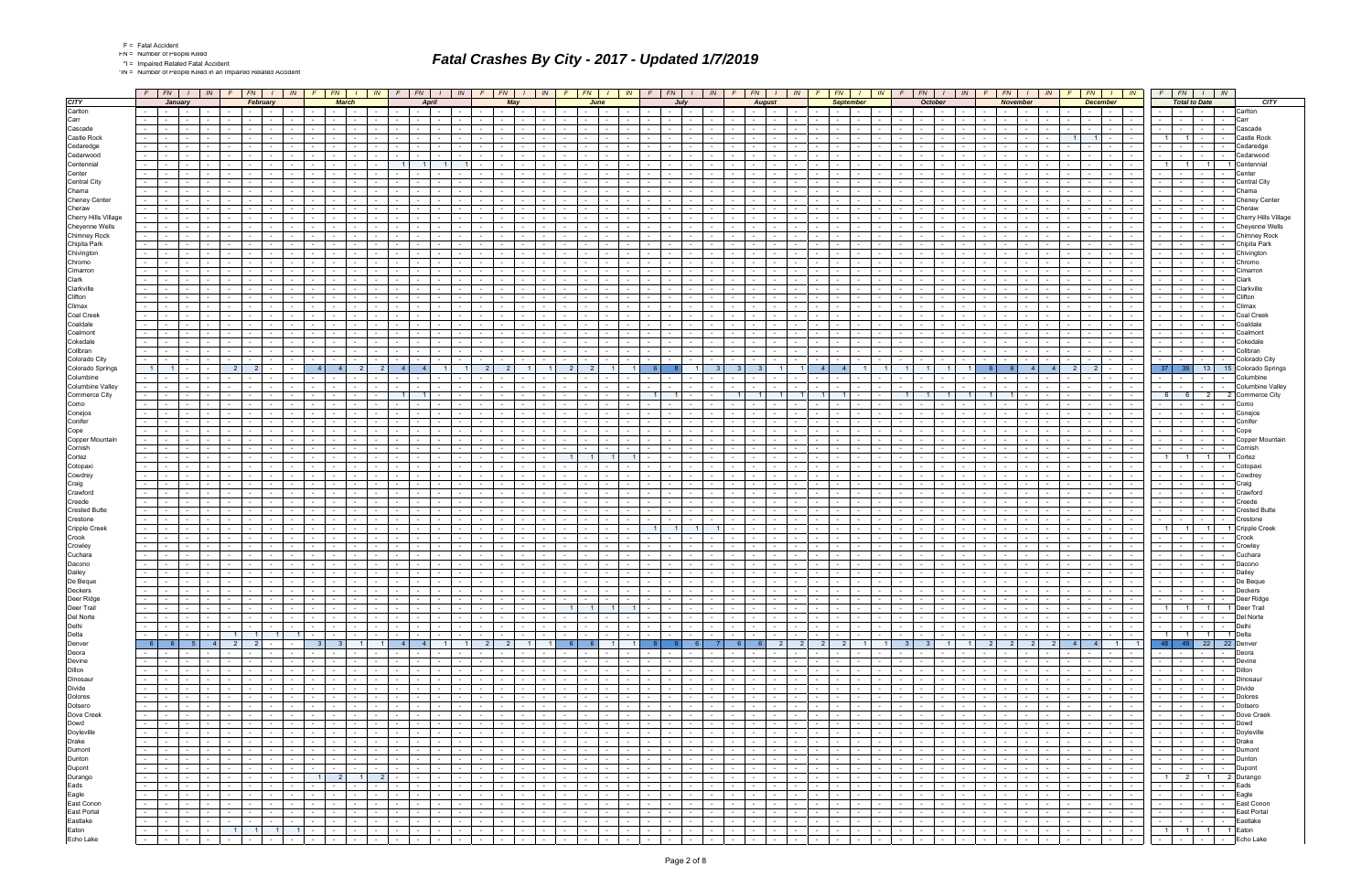|  | <b>Fatal Accide</b> |
|--|---------------------|
|  |                     |

F = Fatal Accident FN = Number of People Killed

\*I = Impaired Related Fatal Accident \*IN = Number of People Killed in an Impaired Related Accident

|                                               |                      | $F$ $FN$ $I$                                     |                               | IN                                 |                                 | $F$ $FN$ $I$ $N$                             |                                                  |                             | $F$ $FN$ $I$                        |                                                             | <b>IN</b>                                   | $F$ $FN$ $I$                             |                            | $\sqrt{N}$                         | $F$ $FN$                                               |                          | $I \parallel IN \parallel F$                            |                      |                                                                   | $FN$ $1$                                                                       | IN                                 | $F$   $FN$   $I$   $IN$                                                                                                                                                                                                              |                 |                                                  | F                | $FN$ $1$                                                  | IN                                            | F             | FN                                 |                  | $\frac{1}{1}$ IN                   | F                                                                             | $FN$ $I$ $IN$                        |        |                                    | $FN$ $1$                                           | IN               |                      | $F$ $FN$ $1$             | IN                                                                                                                                                                                                                             |                              | $F$ $FN$ $I$ $N$                    |                                   |          |                                  |
|-----------------------------------------------|----------------------|--------------------------------------------------|-------------------------------|------------------------------------|---------------------------------|----------------------------------------------|--------------------------------------------------|-----------------------------|-------------------------------------|-------------------------------------------------------------|---------------------------------------------|------------------------------------------|----------------------------|------------------------------------|--------------------------------------------------------|--------------------------|---------------------------------------------------------|----------------------|-------------------------------------------------------------------|--------------------------------------------------------------------------------|------------------------------------|--------------------------------------------------------------------------------------------------------------------------------------------------------------------------------------------------------------------------------------|-----------------|--------------------------------------------------|------------------|-----------------------------------------------------------|-----------------------------------------------|---------------|------------------------------------|------------------|------------------------------------|-------------------------------------------------------------------------------|--------------------------------------|--------|------------------------------------|----------------------------------------------------|------------------|----------------------|--------------------------|--------------------------------------------------------------------------------------------------------------------------------------------------------------------------------------------------------------------------------|------------------------------|-------------------------------------|-----------------------------------|----------|----------------------------------|
| <b>CITY</b>                                   |                      | January                                          |                               |                                    |                                 | February                                     |                                                  |                             | <b>March</b>                        |                                                             |                                             |                                          | <b>April</b>               |                                    |                                                        | <b>May</b>               |                                                         |                      |                                                                   | June                                                                           |                                    | July                                                                                                                                                                                                                                 |                 |                                                  |                  | <b>August</b>                                             |                                               |               |                                    | <b>September</b> |                                    |                                                                               | <b>October</b>                       |        |                                    | <b>November</b>                                    |                  |                      | <b>December</b>          |                                                                                                                                                                                                                                |                              | <b>Total to Date</b>                |                                   |          | <b>CITY</b>                      |
| Carlton                                       |                      | <b>Contract</b>                                  | $\sim$                        |                                    |                                 |                                              |                                                  |                             |                                     |                                                             |                                             | $\sim$                                   |                            |                                    |                                                        |                          |                                                         |                      |                                                                   |                                                                                |                                    |                                                                                                                                                                                                                                      | $\sim$          |                                                  |                  |                                                           |                                               |               |                                    |                  |                                    | $\sim 100$                                                                    | <b>Contract</b>                      |        | $\sim$                             |                                                    |                  |                      | $\sim$                   |                                                                                                                                                                                                                                |                              |                                     | $\sim$                            |          | Carlton                          |
| Carr                                          | $\sim$               | $\sim$                                           | $\sim$                        |                                    |                                 |                                              |                                                  |                             |                                     |                                                             |                                             |                                          |                            |                                    |                                                        |                          |                                                         |                      |                                                                   |                                                                                |                                    |                                                                                                                                                                                                                                      |                 |                                                  |                  |                                                           |                                               |               |                                    |                  |                                    |                                                                               |                                      |        |                                    |                                                    |                  |                      | $\sim$                   | $\sim$                                                                                                                                                                                                                         |                              |                                     | $\sim$ $-$                        | $\sim$   | Carr                             |
| Cascade<br>Castle Rock                        | $\sim$               | $\sim$                                           | $\sim$                        |                                    |                                 |                                              |                                                  |                             | $\sim$                              |                                                             |                                             | $\sim$                                   |                            |                                    |                                                        | $\overline{\phantom{a}}$ |                                                         |                      |                                                                   | $\sim$                                                                         |                                    | $\sim$<br>$\sim$                                                                                                                                                                                                                     | $\sim$          |                                                  |                  |                                                           |                                               |               |                                    |                  |                                    | $\sim$                                                                        | $\sim$                               |        | $\sim$                             |                                                    |                  | $\overline{1}$       | $\sim$                   | $\sim$<br>$\sim$                                                                                                                                                                                                               |                              | $\sim$                              | $\sim$ $-$                        |          | Cascade<br>Castle Rock           |
| Cedaredge                                     | $\sim$ 10 $\pm$      |                                                  |                               |                                    |                                 |                                              |                                                  |                             |                                     |                                                             |                                             |                                          |                            |                                    |                                                        |                          |                                                         |                      |                                                                   |                                                                                |                                    |                                                                                                                                                                                                                                      |                 |                                                  |                  |                                                           |                                               |               |                                    |                  |                                    |                                                                               |                                      |        |                                    |                                                    |                  |                      |                          |                                                                                                                                                                                                                                |                              |                                     |                                   |          | ≿edaredɑe                        |
| Cedarwood                                     | $\sim$               |                                                  |                               |                                    |                                 |                                              |                                                  |                             |                                     |                                                             |                                             |                                          |                            |                                    |                                                        |                          |                                                         |                      |                                                                   |                                                                                |                                    |                                                                                                                                                                                                                                      |                 |                                                  |                  |                                                           |                                               |               |                                    |                  |                                    |                                                                               |                                      |        |                                    |                                                    |                  |                      |                          |                                                                                                                                                                                                                                |                              |                                     | $\sim$ 100 $\sim$                 |          | :edarwooo                        |
| Centennial                                    |                      |                                                  |                               |                                    |                                 |                                              |                                                  |                             |                                     |                                                             |                                             |                                          |                            |                                    |                                                        |                          |                                                         |                      |                                                                   |                                                                                |                                    |                                                                                                                                                                                                                                      |                 |                                                  |                  |                                                           |                                               |               |                                    |                  |                                    |                                                                               |                                      |        |                                    |                                                    |                  |                      |                          |                                                                                                                                                                                                                                |                              |                                     |                                   |          |                                  |
| Center                                        |                      |                                                  |                               |                                    |                                 |                                              |                                                  |                             |                                     |                                                             |                                             |                                          |                            |                                    |                                                        |                          |                                                         |                      |                                                                   |                                                                                |                                    |                                                                                                                                                                                                                                      |                 |                                                  |                  |                                                           |                                               |               |                                    |                  |                                    |                                                                               |                                      |        |                                    |                                                    |                  |                      |                          |                                                                                                                                                                                                                                |                              |                                     |                                   |          |                                  |
| Central City                                  |                      |                                                  | $\overline{\phantom{a}}$      |                                    |                                 |                                              |                                                  |                             |                                     |                                                             |                                             |                                          |                            |                                    |                                                        |                          |                                                         |                      |                                                                   |                                                                                |                                    |                                                                                                                                                                                                                                      |                 |                                                  |                  |                                                           |                                               |               |                                    |                  |                                    |                                                                               |                                      |        | $\sim$                             |                                                    |                  |                      |                          |                                                                                                                                                                                                                                |                              |                                     | $\sim$ $-$                        |          | Central City                     |
| Chama                                         |                      |                                                  |                               |                                    |                                 |                                              |                                                  |                             |                                     |                                                             |                                             |                                          |                            |                                    |                                                        |                          |                                                         |                      |                                                                   |                                                                                |                                    |                                                                                                                                                                                                                                      |                 |                                                  |                  |                                                           |                                               |               |                                    |                  |                                    |                                                                               |                                      |        |                                    |                                                    |                  |                      |                          |                                                                                                                                                                                                                                |                              |                                     |                                   |          | `hama                            |
| <b>Cheney Center</b>                          | $\sim 100$           | $\sim$                                           | $\sim$                        |                                    |                                 |                                              |                                                  |                             |                                     |                                                             |                                             |                                          |                            |                                    |                                                        |                          |                                                         |                      |                                                                   |                                                                                |                                    |                                                                                                                                                                                                                                      |                 |                                                  |                  |                                                           |                                               |               |                                    |                  |                                    |                                                                               |                                      |        |                                    |                                                    |                  |                      |                          |                                                                                                                                                                                                                                |                              | $\sim$                              | $\sim$                            |          | Cheney Center                    |
| Cheraw                                        |                      |                                                  | $\sim$                        |                                    |                                 |                                              |                                                  |                             |                                     |                                                             |                                             |                                          |                            |                                    |                                                        |                          |                                                         |                      |                                                                   |                                                                                |                                    |                                                                                                                                                                                                                                      |                 |                                                  |                  |                                                           |                                               |               |                                    |                  |                                    |                                                                               |                                      |        |                                    |                                                    |                  |                      |                          |                                                                                                                                                                                                                                |                              |                                     | $\sim$                            |          | Cheraw<br>Cherry Hills Village   |
| <b>Cherry Hills Village</b><br>Cheyenne Wells | $\sim 100$           | $\sim$ $-$                                       | $\sim$                        |                                    |                                 |                                              |                                                  |                             |                                     |                                                             |                                             |                                          |                            |                                    |                                                        |                          |                                                         |                      |                                                                   |                                                                                |                                    |                                                                                                                                                                                                                                      |                 |                                                  |                  |                                                           |                                               |               |                                    |                  |                                    |                                                                               |                                      |        |                                    |                                                    |                  |                      |                          |                                                                                                                                                                                                                                |                              |                                     | $\sim$                            |          | Cheyenne Wells                   |
| Chimney Rock                                  |                      |                                                  |                               |                                    |                                 |                                              |                                                  |                             |                                     |                                                             |                                             |                                          |                            |                                    |                                                        |                          |                                                         |                      |                                                                   |                                                                                |                                    |                                                                                                                                                                                                                                      |                 |                                                  |                  |                                                           |                                               |               |                                    |                  |                                    |                                                                               |                                      |        |                                    |                                                    |                  |                      |                          |                                                                                                                                                                                                                                |                              |                                     |                                   |          | Chimney Rock                     |
| Chipita Park                                  |                      |                                                  |                               |                                    |                                 |                                              |                                                  |                             |                                     |                                                             |                                             |                                          |                            |                                    |                                                        |                          |                                                         |                      |                                                                   |                                                                                |                                    |                                                                                                                                                                                                                                      |                 |                                                  |                  |                                                           |                                               |               |                                    |                  |                                    |                                                                               |                                      |        |                                    |                                                    |                  |                      |                          |                                                                                                                                                                                                                                |                              |                                     |                                   |          | Chipita Park                     |
| Chivington                                    | $\sim 100$           |                                                  |                               |                                    |                                 |                                              |                                                  |                             |                                     |                                                             |                                             |                                          |                            |                                    |                                                        |                          |                                                         |                      |                                                                   |                                                                                |                                    |                                                                                                                                                                                                                                      |                 |                                                  |                  |                                                           |                                               |               |                                    |                  |                                    |                                                                               |                                      |        |                                    |                                                    |                  |                      |                          |                                                                                                                                                                                                                                |                              |                                     | $\sim$ $-$                        |          | Chivington                       |
| Chromo                                        |                      |                                                  |                               |                                    |                                 |                                              |                                                  |                             |                                     |                                                             |                                             |                                          |                            |                                    |                                                        |                          |                                                         |                      |                                                                   |                                                                                |                                    |                                                                                                                                                                                                                                      |                 |                                                  |                  |                                                           |                                               |               |                                    |                  |                                    |                                                                               |                                      |        |                                    |                                                    |                  |                      |                          |                                                                                                                                                                                                                                |                              |                                     |                                   |          | Chromo                           |
| Cimarron                                      | $\sim$               |                                                  |                               |                                    |                                 |                                              |                                                  |                             |                                     |                                                             |                                             |                                          |                            |                                    |                                                        |                          |                                                         |                      |                                                                   |                                                                                |                                    |                                                                                                                                                                                                                                      |                 |                                                  |                  |                                                           |                                               |               |                                    |                  |                                    |                                                                               |                                      |        |                                    |                                                    |                  |                      |                          |                                                                                                                                                                                                                                |                              |                                     | $\sim$                            |          | Cimarror                         |
| Clark                                         |                      |                                                  |                               |                                    |                                 |                                              |                                                  |                             |                                     |                                                             |                                             |                                          |                            |                                    |                                                        |                          |                                                         |                      |                                                                   |                                                                                |                                    |                                                                                                                                                                                                                                      |                 |                                                  |                  |                                                           |                                               |               |                                    |                  |                                    |                                                                               |                                      |        |                                    |                                                    |                  |                      |                          |                                                                                                                                                                                                                                |                              |                                     |                                   |          | Clark                            |
| Clarkville<br>Clifton                         | $\sim$<br>$\sim$     |                                                  |                               |                                    |                                 |                                              |                                                  |                             |                                     |                                                             |                                             |                                          |                            |                                    |                                                        |                          |                                                         |                      |                                                                   |                                                                                |                                    |                                                                                                                                                                                                                                      |                 |                                                  |                  |                                                           |                                               |               |                                    |                  |                                    |                                                                               |                                      |        |                                    |                                                    |                  |                      |                          |                                                                                                                                                                                                                                |                              |                                     | $\sim$                            |          | Clarkville<br>Clifton            |
| Climax                                        | $\sim$               |                                                  |                               |                                    |                                 |                                              |                                                  |                             |                                     |                                                             |                                             |                                          |                            |                                    |                                                        |                          |                                                         |                      |                                                                   |                                                                                |                                    |                                                                                                                                                                                                                                      |                 |                                                  |                  |                                                           |                                               |               |                                    |                  |                                    |                                                                               |                                      |        |                                    |                                                    |                  |                      |                          |                                                                                                                                                                                                                                |                              |                                     |                                   |          | limax                            |
| Coal Creek                                    | $\sim$ 10 $\pm$      |                                                  |                               |                                    |                                 |                                              |                                                  |                             |                                     |                                                             |                                             |                                          |                            |                                    |                                                        |                          |                                                         |                      |                                                                   |                                                                                |                                    |                                                                                                                                                                                                                                      |                 |                                                  |                  |                                                           |                                               |               |                                    |                  |                                    |                                                                               |                                      |        |                                    |                                                    |                  |                      |                          |                                                                                                                                                                                                                                |                              |                                     |                                   |          | Coal Creel                       |
| Coaldale                                      | $\sim$ 10 $\pm$      |                                                  |                               |                                    |                                 |                                              |                                                  |                             |                                     |                                                             |                                             |                                          |                            |                                    |                                                        |                          |                                                         |                      |                                                                   |                                                                                |                                    |                                                                                                                                                                                                                                      |                 |                                                  |                  |                                                           |                                               |               |                                    |                  |                                    |                                                                               |                                      |        |                                    |                                                    |                  |                      |                          |                                                                                                                                                                                                                                |                              |                                     | $\sim$ $-$                        |          | lebleo:                          |
| Coalmont                                      |                      |                                                  |                               |                                    |                                 |                                              |                                                  |                             |                                     |                                                             |                                             |                                          |                            |                                    |                                                        |                          |                                                         |                      |                                                                   |                                                                                |                                    |                                                                                                                                                                                                                                      |                 |                                                  |                  |                                                           |                                               |               |                                    |                  |                                    |                                                                               |                                      |        |                                    |                                                    |                  |                      |                          |                                                                                                                                                                                                                                |                              |                                     |                                   |          | :oalmon                          |
| Cokedale                                      |                      |                                                  |                               |                                    |                                 |                                              |                                                  |                             |                                     |                                                             |                                             |                                          |                            |                                    |                                                        |                          |                                                         |                      |                                                                   |                                                                                |                                    |                                                                                                                                                                                                                                      |                 |                                                  |                  |                                                           |                                               |               |                                    |                  |                                    |                                                                               |                                      |        |                                    |                                                    |                  |                      |                          |                                                                                                                                                                                                                                |                              |                                     |                                   |          | Cokedale                         |
| Collbran                                      | $\sim 100$           | $\sim$ $-$                                       | $\sim$                        |                                    |                                 |                                              |                                                  |                             | $\sim$                              |                                                             |                                             | $\sim$                                   |                            |                                    |                                                        |                          |                                                         |                      |                                                                   | $\sim$                                                                         |                                    | $\sim$<br>$\sim$                                                                                                                                                                                                                     | $\sim$          |                                                  |                  |                                                           |                                               |               |                                    |                  |                                    | $\sim$                                                                        | $\sim$                               | $\sim$ | $\sim$                             | $\sim$                                             |                  |                      | $\sim$                   | $\sim$<br>$\sim$                                                                                                                                                                                                               |                              | $\sim$                              | $\sim$ $-$                        |          | Collbrar                         |
| Colorado City                                 |                      |                                                  |                               |                                    |                                 |                                              |                                                  |                             | $\overline{4}$                      |                                                             |                                             |                                          |                            |                                    |                                                        |                          | $\overline{1}$                                          |                      |                                                                   | $\overline{1}$                                                                 |                                    |                                                                                                                                                                                                                                      |                 |                                                  |                  |                                                           |                                               |               |                                    |                  |                                    |                                                                               | $\overline{1}$                       |        |                                    |                                                    |                  |                      |                          |                                                                                                                                                                                                                                |                              |                                     |                                   |          | Colorado City                    |
| Colorado Springs<br>Columbine                 | 1<br>$\sim 100$      | $\sim$ 100 $\mu$                                 | $\sim$                        |                                    | 2 <sup>1</sup>                  | $\overline{2}$                               |                                                  |                             | $\sim$                              |                                                             |                                             | $\sim$ 4<br>$\sim$                       |                            | $\sim$                             | 2 <sup>1</sup>                                         | $\overline{2}$           |                                                         |                      |                                                                   |                                                                                |                                    | $\sim$<br>$\sim$ $-$                                                                                                                                                                                                                 | $\sim$          |                                                  |                  |                                                           |                                               |               |                                    |                  |                                    |                                                                               |                                      | $\sim$ | $\sim$                             | 4 <sup>1</sup>                                     |                  | 2 <sup>1</sup>       | 2 <sup>1</sup><br>$\sim$ | $\sim$                                                                                                                                                                                                                         | $37 \parallel$               | 39<br>$\sim$ $-$                    | 13<br>$\sim 10^{-1}$              | $\sim$   | 15 Colorado Springs<br>Columbine |
| Columbine Valley                              |                      |                                                  |                               |                                    |                                 |                                              |                                                  |                             |                                     |                                                             |                                             |                                          |                            |                                    |                                                        |                          |                                                         |                      |                                                                   |                                                                                |                                    |                                                                                                                                                                                                                                      |                 |                                                  |                  |                                                           |                                               |               |                                    |                  |                                    |                                                                               |                                      |        |                                    |                                                    |                  |                      |                          |                                                                                                                                                                                                                                |                              |                                     | $\sim$                            |          | Columbine Valley                 |
| Commerce City                                 | $\sim$               | $\sim$                                           |                               |                                    |                                 |                                              |                                                  |                             |                                     |                                                             |                                             | $\overline{1}$                           |                            |                                    |                                                        |                          |                                                         |                      |                                                                   |                                                                                |                                    | $\blacksquare$                                                                                                                                                                                                                       |                 |                                                  |                  |                                                           |                                               |               |                                    |                  |                                    |                                                                               | $\overline{1}$                       |        |                                    |                                                    |                  |                      |                          |                                                                                                                                                                                                                                | - 6                          | 6 <sup>1</sup>                      | $\overline{2}$                    |          | 2 Commerce City                  |
| Como                                          | $\sim$               |                                                  | $\sim$                        |                                    |                                 |                                              |                                                  |                             | $\sim$ 10 $\pm$                     |                                                             |                                             | $\sim$                                   |                            |                                    |                                                        | $\sim$                   | $\sim$                                                  |                      |                                                                   | $\sim$                                                                         |                                    | $\sim$                                                                                                                                                                                                                               | $\sim$          |                                                  |                  |                                                           |                                               |               |                                    |                  |                                    |                                                                               |                                      | $\sim$ | $\sim$                             |                                                    |                  |                      | $\sim$                   | $\sim$                                                                                                                                                                                                                         |                              |                                     | $\sim 10^{-11}$                   | $\sim$   | Como                             |
| Conejos                                       |                      |                                                  |                               |                                    |                                 |                                              |                                                  |                             |                                     |                                                             |                                             |                                          |                            |                                    |                                                        |                          |                                                         |                      |                                                                   |                                                                                |                                    |                                                                                                                                                                                                                                      |                 |                                                  |                  |                                                           |                                               |               |                                    |                  |                                    |                                                                               |                                      |        |                                    |                                                    |                  |                      |                          |                                                                                                                                                                                                                                |                              |                                     |                                   |          | Conejos                          |
| Conifer                                       | $\sim 100$           | $\sim$                                           | $\sim$                        |                                    |                                 |                                              |                                                  |                             |                                     |                                                             |                                             |                                          |                            |                                    |                                                        |                          |                                                         |                      |                                                                   |                                                                                |                                    | $\sim$                                                                                                                                                                                                                               |                 |                                                  |                  |                                                           |                                               |               |                                    |                  |                                    |                                                                               |                                      |        | $\sim$                             |                                                    |                  |                      |                          |                                                                                                                                                                                                                                |                              |                                     | $\sim$                            |          | Conifer                          |
| Cope                                          |                      |                                                  |                               |                                    |                                 |                                              |                                                  |                             |                                     |                                                             |                                             |                                          |                            |                                    |                                                        |                          |                                                         |                      |                                                                   |                                                                                |                                    |                                                                                                                                                                                                                                      |                 |                                                  |                  |                                                           |                                               |               |                                    |                  |                                    |                                                                               |                                      |        |                                    |                                                    |                  |                      |                          |                                                                                                                                                                                                                                |                              |                                     | $\sim$                            |          | Cope                             |
| Copper Mountain<br>Cornish                    |                      | $\sim$                                           | $\sim$                        |                                    |                                 |                                              |                                                  |                             |                                     |                                                             |                                             |                                          |                            |                                    |                                                        |                          |                                                         |                      |                                                                   |                                                                                |                                    |                                                                                                                                                                                                                                      |                 |                                                  |                  |                                                           |                                               |               |                                    |                  |                                    |                                                                               |                                      |        | $\sim$                             |                                                    |                  |                      |                          |                                                                                                                                                                                                                                |                              |                                     |                                   | $\sim$   | Copper Mountain                  |
| Cortez                                        | $\sim 100$<br>$\sim$ |                                                  |                               |                                    |                                 |                                              |                                                  |                             |                                     |                                                             |                                             |                                          |                            |                                    |                                                        |                          |                                                         |                      |                                                                   |                                                                                |                                    | $\sim$                                                                                                                                                                                                                               |                 |                                                  |                  |                                                           |                                               |               |                                    |                  |                                    |                                                                               |                                      |        |                                    |                                                    |                  |                      |                          |                                                                                                                                                                                                                                |                              | 1 <sup>1</sup>                      | $\sim 10^{-11}$<br>$\overline{1}$ |          | Cornish<br>1 Cortez              |
| Cotopaxi                                      | $\sim$ 10 $\pm$      |                                                  |                               |                                    |                                 |                                              |                                                  |                             |                                     |                                                             |                                             |                                          |                            |                                    |                                                        |                          |                                                         |                      |                                                                   |                                                                                |                                    |                                                                                                                                                                                                                                      |                 |                                                  |                  |                                                           |                                               |               |                                    |                  |                                    |                                                                               |                                      |        |                                    |                                                    |                  |                      |                          |                                                                                                                                                                                                                                |                              |                                     |                                   |          | Cotopax                          |
| Cowdrey                                       | $\sim$               |                                                  |                               |                                    |                                 |                                              |                                                  |                             |                                     |                                                             |                                             |                                          |                            |                                    |                                                        |                          |                                                         |                      |                                                                   |                                                                                |                                    |                                                                                                                                                                                                                                      |                 |                                                  |                  |                                                           |                                               |               |                                    |                  |                                    |                                                                               |                                      |        |                                    |                                                    |                  |                      |                          |                                                                                                                                                                                                                                |                              |                                     | $\sim$ $-$                        |          | :Cowdre                          |
| Craig                                         | $\sim$ 10 $\pm$      |                                                  |                               |                                    |                                 |                                              |                                                  |                             |                                     |                                                             |                                             |                                          |                            |                                    |                                                        |                          |                                                         |                      |                                                                   |                                                                                |                                    |                                                                                                                                                                                                                                      |                 |                                                  |                  |                                                           |                                               |               |                                    |                  |                                    |                                                                               |                                      |        |                                    |                                                    |                  |                      |                          |                                                                                                                                                                                                                                |                              |                                     | $\sim$                            |          | Craig                            |
| Crawford                                      |                      |                                                  |                               |                                    |                                 |                                              |                                                  |                             |                                     |                                                             |                                             |                                          |                            |                                    |                                                        |                          |                                                         |                      |                                                                   |                                                                                |                                    |                                                                                                                                                                                                                                      |                 |                                                  |                  |                                                           |                                               |               |                                    |                  |                                    |                                                                               |                                      |        |                                    |                                                    |                  |                      |                          |                                                                                                                                                                                                                                |                              |                                     | $\sim$                            |          | Crawfor                          |
| Creede                                        | $\sim$               |                                                  |                               |                                    |                                 |                                              |                                                  |                             |                                     |                                                             |                                             |                                          |                            |                                    |                                                        |                          |                                                         |                      |                                                                   |                                                                                |                                    |                                                                                                                                                                                                                                      |                 |                                                  |                  |                                                           |                                               |               |                                    |                  |                                    |                                                                               |                                      |        |                                    |                                                    |                  |                      |                          |                                                                                                                                                                                                                                |                              |                                     | $\sim$                            |          |                                  |
| <b>Crested Butte</b>                          |                      |                                                  |                               |                                    |                                 |                                              |                                                  |                             |                                     |                                                             |                                             |                                          |                            |                                    |                                                        |                          |                                                         |                      |                                                                   |                                                                                |                                    |                                                                                                                                                                                                                                      |                 |                                                  |                  |                                                           |                                               |               |                                    |                  |                                    |                                                                               |                                      |        |                                    |                                                    |                  |                      |                          |                                                                                                                                                                                                                                |                              |                                     |                                   |          | ∶rested Butte                    |
| Crestone<br><b>Cripple Creek</b>              |                      |                                                  |                               |                                    |                                 |                                              |                                                  |                             |                                     |                                                             |                                             |                                          |                            |                                    |                                                        |                          |                                                         |                      |                                                                   |                                                                                |                                    |                                                                                                                                                                                                                                      |                 |                                                  |                  |                                                           |                                               |               |                                    |                  |                                    |                                                                               |                                      |        |                                    |                                                    |                  |                      |                          |                                                                                                                                                                                                                                |                              | 1 <sup>1</sup>                      | $\sim$<br>11                      |          | Crestone<br>1 Cripple Creek      |
| Crook                                         |                      |                                                  |                               |                                    |                                 |                                              |                                                  |                             |                                     |                                                             |                                             |                                          |                            |                                    |                                                        |                          |                                                         |                      |                                                                   |                                                                                |                                    |                                                                                                                                                                                                                                      |                 |                                                  |                  |                                                           |                                               |               |                                    |                  |                                    |                                                                               |                                      |        |                                    |                                                    |                  |                      |                          |                                                                                                                                                                                                                                |                              |                                     |                                   |          | Crook                            |
| Crowley                                       | $\sim$               |                                                  |                               |                                    |                                 |                                              |                                                  |                             |                                     |                                                             |                                             |                                          |                            |                                    |                                                        |                          |                                                         |                      |                                                                   |                                                                                |                                    | $\sim$<br>$\sim$                                                                                                                                                                                                                     | $\sim$          |                                                  |                  |                                                           |                                               |               |                                    |                  |                                    |                                                                               |                                      |        | $\sim$                             |                                                    |                  |                      |                          |                                                                                                                                                                                                                                |                              | $\sim$                              | $\sim$ $-$                        | $\sim$   | Crowley                          |
| Cuchara                                       |                      |                                                  |                               |                                    |                                 |                                              |                                                  |                             |                                     |                                                             |                                             |                                          |                            |                                    |                                                        |                          |                                                         |                      |                                                                   |                                                                                |                                    |                                                                                                                                                                                                                                      |                 |                                                  |                  |                                                           |                                               |               |                                    |                  |                                    |                                                                               |                                      |        |                                    |                                                    |                  |                      |                          |                                                                                                                                                                                                                                |                              |                                     |                                   |          | Cuchara                          |
| Dacono                                        |                      |                                                  |                               |                                    |                                 |                                              |                                                  |                             |                                     |                                                             |                                             |                                          |                            |                                    |                                                        |                          |                                                         |                      |                                                                   |                                                                                |                                    |                                                                                                                                                                                                                                      |                 |                                                  |                  |                                                           |                                               |               |                                    |                  |                                    |                                                                               |                                      |        |                                    |                                                    |                  |                      |                          |                                                                                                                                                                                                                                |                              |                                     |                                   |          | Dacono                           |
| Dailey                                        | $\sim$ $-$           | $\sim$ $-$                                       | $\sim$                        |                                    |                                 | $\sim$                                       | $\sim$                                           |                             | $\sim 100$                          | $\sim$                                                      |                                             | $\sim$                                   |                            | $\sim$                             |                                                        | $\overline{\phantom{a}}$ |                                                         |                      |                                                                   | $\sim$ $-$                                                                     |                                    | $\sim$ $-$<br><b>Contract Contract</b>                                                                                                                                                                                               | $\sim$          |                                                  | $\sim$           | $\overline{\phantom{a}}$                                  |                                               |               |                                    | $\sim$           |                                    | $\sim$                                                                        | $\sim$ $\sim$                        | $\sim$ | $\sim$                             | $\sim$                                             |                  |                      | $\sim$                   | $\sim$ $-$<br>$\sim$                                                                                                                                                                                                           | $\sim$ 100 $\pm$             |                                     | $\sim 100$                        |          | Dailey                           |
| De Beque                                      |                      | $\sim$ $-$<br>the contract of                    | $\sim$<br>$\sim$              |                                    |                                 |                                              | $\blacksquare$                                   |                             | $\sim$                              | and the contract of the con-                                |                                             | $\sim$                                   | $\sim$                     |                                    |                                                        |                          |                                                         |                      |                                                                   | $\sim$ $-$                                                                     |                                    | $\sim$<br>$\sim$                                                                                                                                                                                                                     | $\sim$          |                                                  |                  |                                                           |                                               |               |                                    |                  |                                    | $\sim$                                                                        | $\sim$                               | $\sim$ | $\sim$                             | $\sim$<br>$\mathbf{I}$ $\mathbf{I}$                | $\sim$           |                      |                          |                                                                                                                                                                                                                                |                              | $\sim$                              | $\sim$ $-$                        |          | De Beque                         |
| Deckers<br>Deer Ridge                         |                      | $\sim$ 1 $\sim$ 1                                | $\sim$                        | $\sim 10^{-11}$                    |                                 | $\sim$                                       | the contract of                                  |                             |                                     | $-1 - 1 - 1 - 1 - 1$                                        |                                             | the contract of<br>$-1 - 1 - 1 - 1 - 1$  |                            | .                                  | <b>Contract Contract</b>                               |                          | $1 - 1 - 1 - 1$<br><b>Carl Tarry</b>                    |                      | $\mathbf{I}$ $\mathbf{I}$                                         |                                                                                |                                    |                                                                                                                                                                                                                                      |                 |                                                  |                  |                                                           |                                               |               | $-1 - 1$<br>the contract of        |                  | the collection                     | the contract of<br>$-1 - 1 - 1 - 1 - 1$                                       | and the state                        |        | the contract of                    | $-1 - 1 - 1$                                       | $\sim$           |                      | .                        | $\sim$ $\sim$ $\sim$<br>J,                                                                                                                                                                                                     | $\left  \frac{1}{2} \right $ |                                     | $   -$ Deckers                    |          | - - Deer Ridge                   |
| Deer Trail                                    |                      | the contract of                                  |                               |                                    | $\sim$                          | <b>Contract Contract</b><br>$\sim$ $-$       |                                                  | $\sim$ 100 $\mu$            | $\sim$ $-$                          | <b>Contract</b>                                             |                                             | the collection                           | <b>Contract Contract</b>   | $\sim$                             | the collection                                         |                          | <b>Service</b>                                          | $\sim$ $-$           | $\blacksquare$ 1                                                  | $1 \quad 1 \quad 1$                                                            |                                    | and the state                                                                                                                                                                                                                        |                 | <b>Contract Contract</b>                         | $\sim$           | <b>Contract Contract</b><br>$\sim$                        | $\sim$ $-$                                    |               | <b>Service</b> Service             |                  | the contract of                    | <b>Contract Contract</b><br><b>Contract Contract</b>                          | and the state                        |        | <b>Contract</b>                    | the contract of                                    | $\sim$           |                      | .                        | $\sim$ $-$                                                                                                                                                                                                                     |                              |                                     |                                   |          | 1 1 1 1 Deer Trail               |
| Del Norte                                     |                      | the contract of                                  | $\sim 10^{-11}$               | <b>Contract</b>                    | $\sim$                          | $\sim$ $-$                                   | the contract of                                  |                             |                                     |                                                             |                                             | $-1 - 1 - 1 - 1 - 1$                     |                            | $\sim 10^{-11}$                    | $\sim$ $\sim$ $\sim$ $\sim$                            |                          | and the state                                           |                      | $\sim 100$ km s $^{-1}$                                           |                                                                                |                                    | the contract of the contract of the con-                                                                                                                                                                                             |                 |                                                  | $\sim$ 100 $\mu$ |                                                           | <b>Contract</b>                               |               | the contract of                    |                  | the contract of                    | the contract of                                                               | and the state                        |        | $\sim 10^{-10}$                    |                                                    | $\sim$           |                      | .                        | $\sim 100$                                                                                                                                                                                                                     |                              | -   -   -   -   Del Norte           |                                   |          |                                  |
| Delhi                                         |                      | the contract of the contract of the con-         |                               | $\sim 10^{-10}$                    | $-1 - 1$                        |                                              | and the state                                    |                             |                                     | खिला <del>वि</del> सामित ।                                  |                                             | .                                        |                            |                                    |                                                        |                          |                                                         |                      |                                                                   | $    -$                                                                        |                                    |                                                                                                                                                                                                                                      |                 |                                                  |                  |                                                           | $\sim 10^{-11}$                               |               | $-1 - 1$                           |                  | उत्तर।                             | 797 H H H H H H                                                               |                                      |        |                                    | .                                                  |                  |                      |                          | 14   4   4   4                                                                                                                                                                                                                 |                              | - - - - Delhi                       |                                   |          |                                  |
| Delta                                         |                      | $-1 - 1 - 1 - 1$                                 |                               | <b>Contract</b>                    |                                 | 1 1 1 1 1                                    |                                                  | $\sim$ $\sim$ $\sim$ $\sim$ | the contract of                     |                                                             | $\sim 10^{-11}$                             | the contract of                          | <b>Contract Contract</b>   | $\sim 100$                         | $\sim$ $\sim$ $\sim$ $\sim$                            |                          | $\sim$ $\sim$<br>$\sim 10^{-1}$                         |                      | $\sim 10^{-10}$<br><b>Contract Contract</b>                       | $\sim$ $\sim$ $\sim$                                                           | <b>Contract</b>                    | $\sim 10^{-11}$<br>1991 - 1991 - 1                                                                                                                                                                                                   |                 |                                                  |                  | the contract of the contract of the con-                  | $\sim$ $-$                                    |               | the contract of the contract of    |                  | the contract of                    | $\sim 10^{-10}$<br><b>Contract</b>                                            | and the state                        |        |                                    | $-1 - 1 - 1$                                       | $\sim$           |                      | .                        | $\sim 10^{-1}$                                                                                                                                                                                                                 |                              | 1   1   1   1   Delta               |                                   |          |                                  |
| Denver<br>Deora                               |                      |                                                  | $\sim 10^{-11}$               | 6 6 5 4<br><b>Contract</b>         | $\sim$                          | $2 \mid 2 \mid$<br>$\sim 100$<br>$\sim$      | $\mathbf{I}$ and $\mathbf{I}$<br><b>Contract</b> | $\sim$ $\sim$               | $3 \mid 3 \mid 1$                   | the contract of                                             | $\blacksquare$ 1<br>$\sim 10^{-11}$         | $4 \mid 4 \mid 1$                        |                            | $\sim$                             | $1 \mid 2 \mid 2 \mid$<br>المحارات والمنافذ            |                          |                                                         |                      | $1 \quad 1 \quad 6 \quad 6$<br>$\sim 10^{-11}$<br>$\sim$ $\sim$   | $\sim$ $-$                                                                     | $1 \mid 1 \mid$<br>$\sim 10^{-11}$ | 8 9 6 7 6 6 2 2<br>the contract of the contract of the con-                                                                                                                                                                          |                 | $\sim 100$                                       | $\sim$           | $\sim$ $ -$<br>$\sim$                                     | $\sim$ $-$                                    | $\sim$ $\sim$ | $2 \mid 2 \mid$<br><b>Contract</b> |                  | the contract of                    | $1 \mid 1 \mid 3 \mid$<br>$\sim 10^{-11}$<br><b>Contract</b>                  | $3 \mid 1 \mid 1$<br>the contract of |        | $\sim 100$                         | $2 \mid 2 \mid 2 \mid$<br>the contract of the con- | $\sim$           | $-1$                 | $\sim 10^{-11}$          | 2 4 4 1 1<br>$\sim 100$<br>$\sim$ $\sim$                                                                                                                                                                                       | $\sim$ $\sim$                | 48 49 22 22 Denver<br>and the state |                                   | - Deora  |                                  |
| Devine                                        |                      | $-1 - 1 - 1 - 1$                                 |                               | $\sim$ $-$                         | $\sim$                          | $\sim$<br><b>Contract Contract</b>           | <b>Contract Contract</b>                         | $\sim$ $\sim$ $\sim$ $\sim$ | $\sim$ $-$                          | $\sim 10^{-10}$                                             | $\sim 10^{-11}$                             | <b>Contract Contract</b>                 | <b>Contract</b>            | $\sim$ $-$                         | $\sim$ $\sim$ $\sim$ $\sim$                            |                          | <b>Service</b><br><b>Service</b>                        | $\sim$<br>$\sim$ $-$ | <b>Contract</b><br>$\sim$ 100 $\mu$                               | $\sim$ $-$                                                                     | $\sim$                             | $\sim 100$<br><b>Contract</b>                                                                                                                                                                                                        | $\sim 10^{-10}$ | <b>Contract Contract</b>                         | $\sim$           | .<br>$\sim$                                               | $\sim 10^{-11}$                               | $\sim$        | <b>Contract</b>                    |                  | the contract of                    | $\sim$<br>$\sim 10^{-11}$                                                     | <b>Contract Contract</b>             |        | $\sim$ 100 $\mu$                   | the contract of                                    | $\sim$           |                      | .                        | $\sim$ $-$                                                                                                                                                                                                                     | $\sim$ $\sim$                | and the state of the state          |                                   | - Devine |                                  |
| Dillon                                        |                      |                                                  | $\sim 100$                    | $\sim$ $-$                         | $\sim$                          | <b>Contract</b><br>$\sim$                    | $\mathbf{r}$ and $\mathbf{r}$                    |                             |                                     | $\sim$ $-$                                                  | <b>Contract</b>                             | the contract of                          | <b>Common</b>              | $\sim 10^{-11}$                    | the contract of the con-                               |                          | $-1$<br>$\sim 10^{-1}$                                  |                      | <b>Contract</b>                                                   | <b>Contract Contract Contract</b>                                              | $\sim 10^{-11}$                    | the contract of the contract of the con-                                                                                                                                                                                             |                 | <b>Contract</b>                                  | $\sim$ $-$       | the contract of the con-                                  | $\sim 10^{-11}$                               |               | the contract of                    |                  | the contract of                    | $\sim 100$<br><b>Contract</b>                                                 | and the state of the state           |        | <b>Contract</b>                    | the contract of the con-                           |                  |                      | $-1 - 1 - 1 - 1$         | $\sim$ $-$                                                                                                                                                                                                                     | $\sim$ $\sim$ $\sim$         | the contract of the con-            |                                   | - Dillon |                                  |
| Dinosaur                                      |                      | the contract of                                  | $\sim 100$                    | <b>Contract</b>                    | $\sim 100$                      | $\sim$ $\sim$                                | the contract of                                  | $\sim$ $\sim$               |                                     | the contract of                                             | $\sim 100$                                  |                                          |                            | $\sim 10^{-11}$                    | <b>Contract Contract</b>                               |                          | $\sim$ $\sim$<br>$\sim 10^{-1}$                         |                      | $\sim$ $-$<br>$\sim 10^{-11}$                                     | $\sim 10^{-11}$                                                                | $\sim 10^{-11}$                    | المحال جال جا                                                                                                                                                                                                                        |                 | <b>Contract</b>                                  | $\sim$           | <b>Committee</b>                                          | $\sim$ 100 $\mu$                              |               | the contract of                    |                  | the contract of                    | $\sim 10^{-10}$<br>$\sim 100$                                                 | the contract of                      |        | <b>Contract</b><br>$\sim 10^{-11}$ | l – I                                              | $\sim$           | $-1 - 1$             |                          | 1. – 1. –                                                                                                                                                                                                                      |                              | the contract of the contract of the |                                   |          | - Dinosaur                       |
| Divide                                        |                      | $-1 - 1$                                         | $\sim 10^{-11}$               | <b>Contract Contract</b>           | the contract of the contract of |                                              | the contract of                                  |                             |                                     |                                                             | $\sim 10^{-11}$                             | the contract of the con-                 |                            | $\sim 10^{-11}$                    | the contract of the con-                               |                          | and the state                                           |                      | $\sim$ $-$<br><b>Contract Contract</b>                            | $ -$                                                                           | <b>Contract</b>                    |                                                                                                                                                                                                                                      |                 | <b>Contract</b>                                  | $\sim$ $-$       | .                                                         |                                               |               | the contract of the con-           |                  | the contract of                    | <b>Contract Contract</b><br><b>Contract</b>                                   | and the state of the state of        |        | $\sim$ 100 $\mu$                   | .                                                  | $\sim$           |                      | .                        | $\sim$                                                                                                                                                                                                                         | $\sim$ $\sim$ $\sim$         |                                     | $   -$ Divide                     |          |                                  |
| Dolores                                       |                      | the company of the company                       |                               | $\sim 10^{-11}$                    | $-1 - 1$                        |                                              | the contract of                                  |                             |                                     | कार किया                                                    |                                             |                                          |                            |                                    | <b>Contract Contract</b>                               |                          | the contract                                            |                      | $\sim$ $\sim$                                                     | the contract of                                                                | $\sim 10^{-10}$                    | the control of the control of the control of the control of the control of the control of the control of the control of the control of the control of the control of the control of the control of the control of the control        |                 |                                                  | $\sim$           | <b>Dealer</b>                                             | $\mathbf{r}$                                  |               | $-1 - 1$                           |                  | the collection                     | $\sim 10^{-10}$<br>$\sim 10^{-11}$                                            | and the state                        |        |                                    | $-1 - 1 - 1 - 1$                                   | $\sim$           |                      | $-1 - 1 - 1 - 1$         | $\sim 10^{-1}$                                                                                                                                                                                                                 |                              | - - - - - Dolores                   |                                   |          |                                  |
| Dotsero                                       |                      | $-1 - 1 - 1 - 1 = 0$                             |                               | <b>Contract</b>                    | $\sim$                          | $\sim$<br>$\sim$ $\sim$ $\sim$ $\sim$ $\sim$ | $\mathbf{r}$ and $\mathbf{r}$                    |                             |                                     |                                                             |                                             | the contract of the contract of the con- |                            | $\sim 100$                         | <b>Contract Contract</b>                               |                          | <b>Contract Contract</b>                                |                      | $\sim$ $-$<br>$\sim 10^{-10}$                                     | $\sim$ $-$                                                                     | $\sim 100$                         | $-1 - 1 - 1 - 1$                                                                                                                                                                                                                     |                 | $\sim 100$ m $^{-1}$                             | $\sim$           | and the state of the state                                | <b>Contract</b>                               |               | the contract of the con-           |                  | <b>Second Second</b>               | $\sim 10^{-10}$<br>$\sim 10^{-10}$                                            | and the state                        |        | $\sim 10^{-11}$                    | the contract of                                    | $\sim$           |                      |                          | $     -$                                                                                                                                                                                                                       |                              | - - - - Dotsero                     |                                   |          |                                  |
| Dove Creek<br>Dowd                            |                      | the contract of<br>the company of the company    | $\sim 10^{-11}$               | <b>Contract</b><br><b>Contract</b> | $\sim$ $\sim$                   | <b>Contract Contract</b>                     | the contract of                                  | $\sim$ $\sim$ $\sim$ $\sim$ |                                     | the contract of<br>the contract of the contract of the con- | <b>Contract</b>                             | the contract of                          | <b>Contract Contract</b>   | $\sim 10^{-11}$                    | <b>Contract Contract</b><br>the contract of            |                          | <b>Service</b>                                          | $\sim$               | <b>Contract</b><br>$\sim 10^{-11}$<br>$\sim$ $\sim$ $\sim$ $\sim$ | <b>Contract</b><br>the contract of the con-                                    | $\sim 10^{-10}$                    | <b>Contract</b><br>and the state of the state                                                                                                                                                                                        |                 | $\sim 100$                                       | $\sim$           | $\sim$ $-$<br>$\sim$                                      | <b>Contract</b><br>$\mathbb{L}$ $\rightarrow$ |               | the contract of<br>the contract of |                  | the contract of<br>the contract of | $\sim 10^{-10}$<br><b>Contract</b>                                            | the contract of                      |        | <b>Contract</b>                    | $-1 - 1 - 1 - 1 - 1$                               | $\sim$           |                      | .                        | $\sim$<br>$-$ 1 $-$ 1 $-$ 1 $-$                                                                                                                                                                                                |                              | -   -   -   - Dowd                  |                                   |          | -   -   -   Dove Creek           |
| Doyleville                                    |                      | <b>Service State</b>                             | $\sim$                        | $\sim 10^{-11}$                    | $\sim$                          | $-1 - 1 - 1 - 1 - 1$<br>$\sim$<br>$\sim 100$ | $\sim 10^{-11}$                                  | $\sim 10^{-11}$             | $\sim$ $-$                          | $\sim 10^{-10}$                                             | $\sim 10^{-11}$<br>$-1$                     | $\sim 100$                               | <b>Contract</b>            | $\sim$ $-$                         | المحارات والمنافذ                                      |                          | the contract<br>$\sim 100$                              | $\sim$               | $\sim$ $-$<br>$\sim 10^{-11}$                                     | $\sim 10^{-11}$                                                                | $\sim 10^{-1}$                     | $\sim 10^{-1}$<br>$\sim 100$ m $^{-1}$                                                                                                                                                                                               | $\sim 100$      | <b>Contract Contract</b>                         | $\sim$           | $-1 - 1 - 1 - 1$<br>$\sim$ $\sim$ $\sim$ $\sim$<br>$\sim$ | $\sim 100$                                    | $\sim$ $\sim$ | <b>Contract</b>                    |                  | <b>Second Second</b>               | $\sim 10^{-11}$<br>$\sim$ $-$                                                 | and the state                        |        | $\sim 10^{-11}$<br>$\sim 10^{-11}$ | ا د ا                                              | $\sim$           | $-1 - 1$             |                          | $\sim$<br>$\sim$ $\sim$                                                                                                                                                                                                        | $\sim$ $\sim$                |                                     |                                   |          | - Doyleville                     |
| Drake                                         |                      | <b>Contract Contract</b>                         | $\sim 10^{-1}$                |                                    |                                 | $\sim$ $-$<br><b>Contract Contract</b>       | $\sim$ $\sim$                                    | $\sim 10^{-11}$             | and the contract of the contract of |                                                             | $\sim 100$                                  | and the state of the state of            | <b>Contract</b>            | $\sim$                             | and the state                                          |                          | <b>Service</b>                                          | $\sim$ $-$           | $\sim 10^{-1}$<br>$\sim 100$                                      | <b>Contract</b>                                                                | <b>Contract</b>                    | <b>Contract</b><br>and the state of the state                                                                                                                                                                                        |                 | $\sim 100$                                       | $\sim$           | $\sim$ $\sim$ $\sim$ $\sim$<br>$\sim$                     | $\sim$ 100 $\mu$                              | $\sim$ $-$    | <b>Contract</b>                    |                  | the contract of                    | <b>Contract Contract</b><br><b>Contract</b>                                   | <b>Contract Contract</b>             |        | $\sim$ 10 $\pm$                    |                                                    | $\sim$           | $\sim$ $\sim$ $\sim$ | <b>Contract</b>          | $\sim$<br>$\sim 10^{-10}$                                                                                                                                                                                                      |                              | and the contract of the contract of |                                   | - Drake  |                                  |
| Dumont                                        |                      | the company of the company                       |                               | <b>Contract</b>                    |                                 | $-1 - 1 - 1 - 1 - 1$                         |                                                  |                             |                                     |                                                             |                                             |                                          |                            |                                    | <b>Contract Contract</b>                               |                          | the contract                                            |                      | $\sim 10^{-11}$                                                   | the contract of the con-                                                       |                                    |                                                                                                                                                                                                                                      |                 |                                                  |                  | $-1 - 1 - 1 - 1$                                          | $\sim 10^{-11}$                               |               | the contract of                    |                  | the contract of                    | $       -$                                                                    |                                      |        |                                    | $-1 - 1 - 1 - 1 - 1$                               |                  |                      |                          | the contract of the contract of the contract of the contract of the contract of the contract of the contract of the contract of the contract of the contract of the contract of the contract of the contract of the contract o |                              | $    -$ Dumont                      |                                   |          |                                  |
| Dunton                                        |                      | <b>Service State</b>                             | $\sim$                        | $\sim$                             | $\sim$                          | $\sim 10^{-10}$<br>$\sim$                    | $\mathbf{1}$                                     | $\sim 100$                  | $\sim$ $-$                          | $\sim 10^{-10}$                                             | $\sim 10^{-11}$<br><b>Contract Contract</b> | $\sim 10^{-11}$                          | <b>Contract</b>            | $\sim 10^{-11}$                    | <b>Contract Contract</b>                               |                          | $\sim$ $\sim$                                           | $\sim$               | $\sim 10^{-11}$<br>$\sim 10^{-11}$                                | $\sim 10^{-11}$                                                                | $\sim 10^{-1}$                     | $\sim 10^{-1}$<br>$\sim$ $-$                                                                                                                                                                                                         | $\sim 10^{-11}$ | <b>Contract Contract</b>                         | $\sim$           | $\sim$ $\sim$ $\sim$ $\sim$ $\sim$<br>$\sim$              | $\sim$ $-$                                    | $\sim$ $-$    | $\sim 10^{-11}$                    |                  | the contract of                    | $\sim 10^{-10}$<br>$\sim 10^{-11}$                                            | and the state                        |        | $\sim 10^{-11}$<br>$\sim$ $-$      | $\sim$ $-$                                         | $\sim$           | $-1 - 1$             |                          | J,<br>$\sim$ $\sim$                                                                                                                                                                                                            | $\sim 100$                   | and the contract of the contract of |                                   | - Dunton |                                  |
| Dupont                                        |                      | the contract of                                  | $\sim 100$                    | <b>Contract</b>                    | $\sim$ 10 $\pm$                 | $\sim$ $-$                                   | the contract of                                  |                             |                                     | $-1 - 1 - 1 - 1 - 1$                                        |                                             | the contract of the contract of          |                            | $\sim 10^{-11}$                    | the collection                                         |                          | $\sim$ $\sim$ $\sim$<br>$\sim 10^{-1}$                  |                      | $\sim 10^{-10}$<br>$\sim$ $\sim$ $\sim$ $\sim$                    | $\sim$ $-$                                                                     | $\sim 10^{-11}$                    |                                                                                                                                                                                                                                      |                 | <b>Contract Contract</b>                         | $\sim$ $-$       | the contract of                                           | $\sim$ $-$                                    |               | the contract of the con-           |                  | the contract of                    | $\sim 10^{-11}$<br><b>Contract</b>                                            | and the state of the state           |        | $\sim$ 10 $\pm$                    |                                                    | $\sim$           |                      |                          |                                                                                                                                                                                                                                |                              |                                     | $  -$ Dupont                      |          |                                  |
| Durango                                       |                      |                                                  |                               |                                    | $\sim$                          | $\sim$ $\sim$ $\sim$ $\sim$                  | the contract of                                  |                             |                                     | $1 \mid 2 \mid 1 \mid 2 \mid - \mid - \mid - \mid$          |                                             |                                          |                            | $\sim 100$                         | <b>Contract Contract</b>                               |                          | $\sim$ $\sim$<br>$\sim 10^{-1}$                         |                      | $\sim 10^{-10}$                                                   | the contract of the contract of the con-                                       |                                    |                                                                                                                                                                                                                                      |                 | <b>Contract Contract</b>                         | $\sim 10^{-11}$  | and the state of the state                                | $\sim$ $-$                                    |               | the contract of the con-           |                  | <b>Contract Contract</b>           | the contract of                                                               | and the state                        |        |                                    |                                                    |                  |                      |                          | the contract of the contract of the contract of the contract of the contract of the contract of the contract of                                                                                                                |                              | 1 2 1 2 Durango                     |                                   |          |                                  |
| Eads                                          |                      |                                                  | $\sim 10^{-11}$               | <b>Contract</b>                    | $\sim$                          | $\mathbf{1}$ and $\mathbf{1}$                | the contract of                                  |                             | $-1 - 1 - 1 - 1$                    |                                                             | $\sim 10^{-11}$                             | and the contract of the contract of      | and the state of the state |                                    | <b>Contract Contract</b>                               |                          | and the state                                           |                      | <b>Contract</b>                                                   | the collection                                                                 | $\sim 10^{-11}$                    |                                                                                                                                                                                                                                      |                 | <b>Contract</b>                                  | $\sim 100$       |                                                           | $\sim 10^{-11}$                               |               | the contract of the con-           |                  | the contract of                    | and the state                                                                 | and the control                      |        | $\sim$ $\sim$ $\sim$               | $-1$ $-1$                                          | $\sim$ $-$       |                      | .                        | $\sim 10^{-1}$                                                                                                                                                                                                                 |                              |                                     |                                   | - Eads   |                                  |
| Eagle<br>East Conon                           | $\sim 100$           | <b>Allen Barnett</b><br><b>Contract Contract</b> | $\sim 10^{-11}$<br>$\sim 100$ | <b>Contract</b><br><b>Contract</b> | $\sim$<br>$\sim$                | $ -$<br><b>Contract</b><br>$\sim$            | the contract of the<br>$\mathbf{I}$              | $\sim$ $\sim$ $\sim$ $\sim$ | the contract of                     | 55 Julie 1960                                               | $\sim 10^{-11}$                             | <b>Second Control</b>                    | <b>Contract</b>            | $\sim 10^{-11}$<br>$\sim 10^{-11}$ | and the state of the state<br><b>Contract Contract</b> |                          | $\sim$ $-$                                              | $\sim$<br>$\sim$     | <b>Contract</b><br><b>Contract</b><br><b>Contract</b>             | マー・エ<br>$\sim$ $\sim$ $\sim$                                                   | <b>Contract</b><br>$\sim 100$      | the contract of the con-<br>$\sim 10^{-11}$<br>the contract of                                                                                                                                                                       |                 | <b>Contract Contract</b><br>$\sim 100$ m $^{-1}$ | $\sim$<br>$\sim$ | and the state of the state<br>$\sim$ $-$<br>$\sim$        | <b>Contract</b><br><b>Contract</b>            | $\sim$        | the contract of<br>$\sim 10^{-11}$ |                  | the collection<br>the contract of  | $\sim 10^{-10}$<br>$\sim$ $\sim$ $\sim$<br>$\sim 10^{-10}$<br><b>Contract</b> | and the state<br>and the state       |        | <b>Contract</b><br>$\sim 100$      | the contract of the con-<br>.                      | $\sim$<br>$\sim$ |                      | $-1 - 1 - 1$             | <u>a d</u> a ba ba<br>$\sim 100$                                                                                                                                                                                               | $ -$                         | $\sim$ $\sim$ $\sim$ $\sim$ $\sim$  |                                   | - Eagle  | - East Conon                     |
| East Portal                                   |                      | <b>Service</b> State                             | $\sim 10^{-11}$               | $\sim 10^{-11}$                    | $\sim$                          | $\sim$ $-$<br>$\sim$ $-$                     | $\mathbf{1}$ and $\mathbf{1}$                    | $\sim$ $\sim$               | the contract of                     |                                                             | $\sim 10^{-11}$                             | the contract of                          | $\sim 10^{-10}$            | $\sim 10^{-11}$                    | <b>Contract Contract</b>                               |                          | $\sim$ $\sim$ $\sim$<br>$\sim$ $\sim$<br>$\sim 10^{-1}$ |                      | <b>Contract</b>                                                   | the contract of                                                                | $\sim 10^{-11}$                    | the contract of the contract of the con-                                                                                                                                                                                             |                 | $\sim 100$                                       | $\sim$ $-$       |                                                           | $\sim 10^{-11}$                               |               | the contract of                    |                  | the contract of                    | $\sim 10^{-10}$<br>$\sim 10^{-11}$                                            | and the control                      |        | $\sim 10^{-11}$                    | <b>Contract Contract Contract</b>                  | $\sim$           |                      |                          | $\sim$<br>$\sim 10^{-11}$                                                                                                                                                                                                      |                              | the contract of                     |                                   |          | - East Portal                    |
| Eastlake                                      |                      | $\sim$ 1 $\sim$ 1                                | $\sim$                        | $\sim$ $-$                         | $\sim$                          | $\sim$ $-$<br><b>Contract</b>                | $\mathbf{1}$                                     | $\sim$ $-$                  |                                     | the collection                                              | $\sim 100$                                  |                                          |                            | $\sim$                             | the contract of                                        |                          | $-1$                                                    | $\sim$ $-$           | $\sim$ $-$<br><b>Service</b>                                      |                                                                                | $\sim 10^{-11}$                    | the product of the control of the con-                                                                                                                                                                                               |                 | <b>Contract</b>                                  | $\sim$           | $\sim$ $ -$<br>$\sim$                                     | $\sim$                                        | $\sim$ $-$    | <b>Contract</b>                    |                  | the contract of                    | $\sim 10^{-11}$<br>$\sim 10^{-11}$                                            | and the control of the con-          |        | $\sim 100$                         | the contract of                                    | $\sim$           |                      | $-1 - 1$                 | $\sim$<br>$\sim 10^{-10}$                                                                                                                                                                                                      |                              | <b>Service</b> Service              |                                   |          | - Eastlake                       |
| Eaton                                         |                      | the contract of                                  | $\sim 10^{-1}$                | <b>Contract</b>                    | $1$ 1                           |                                              | $1 \quad 1 \quad -1$                             |                             |                                     | $\sim$ $ -$                                                 | $\sim 100$                                  | the contract of                          | <b>Contract</b>            | $\sim 10^{-11}$                    | <b>Contract Contract</b>                               |                          | <b>Contract</b>                                         | $\sim$               | $\sim 10^{-11}$<br>$\sim$ $\sim$                                  | $\sim$ $-$                                                                     | $\sim 10^{-11}$                    | $\sim$ $-$<br>$\sim$ $\sim$ $\sim$ $\sim$                                                                                                                                                                                            |                 | $\sim 100$ m $^{-1}$                             | $\sim$           | $\sim$ $\sim$ $\sim$ $\sim$<br>$\sim$                     | $\sim 100$                                    | $\sim$        | $\sim 10^{-11}$                    |                  | the contract of                    | $\sim 10^{-11}$<br><b>Contract</b>                                            | the contract of                      |        | <b>Contract</b>                    | the contract of                                    | $\sim$           | the contract         |                          | $\sim 10^{-11}$<br>$\sim$ $-$                                                                                                                                                                                                  |                              | 1   1   1   1   Eaton               |                                   |          |                                  |
| Echo Lake                                     |                      |                                                  | $\sim 10^{-11}$               | <b>Contract</b>                    | $\sim$ $\sim$                   | $\mathbf{I}$ $\mathbf{I}$                    | the contract of                                  |                             |                                     | <u>ta basha da shekara ta 1989 a shekara tsa a tsar</u>     |                                             | <b>The Communication</b>                 |                            |                                    | $\sim$ $\sim$ $\sim$ $\sim$                            |                          | and the con-                                            |                      | $\sim$ $\sim$                                                     | $\overline{\phantom{a}}$ . $\overline{\phantom{a}}$ . $\overline{\phantom{a}}$ |                                    | <u>the community of the community of the community of the community of the community of the community of the community of the community of the community of the community of the community of the community of the community of </u> |                 |                                                  |                  | <del>- 17  </del>                                         | <b>Contract</b>                               |               | the contract of                    |                  | <b>Contract Contract</b>           | and the state                                                                 | .                                    |        |                                    | $-1 - 1 - 1 - 1$                                   | $\sim$           |                      |                          | $\sim 10^{-11}$                                                                                                                                                                                                                | $\overline{\phantom{a}}$     | the contract of                     |                                   |          | - Echo Lake                      |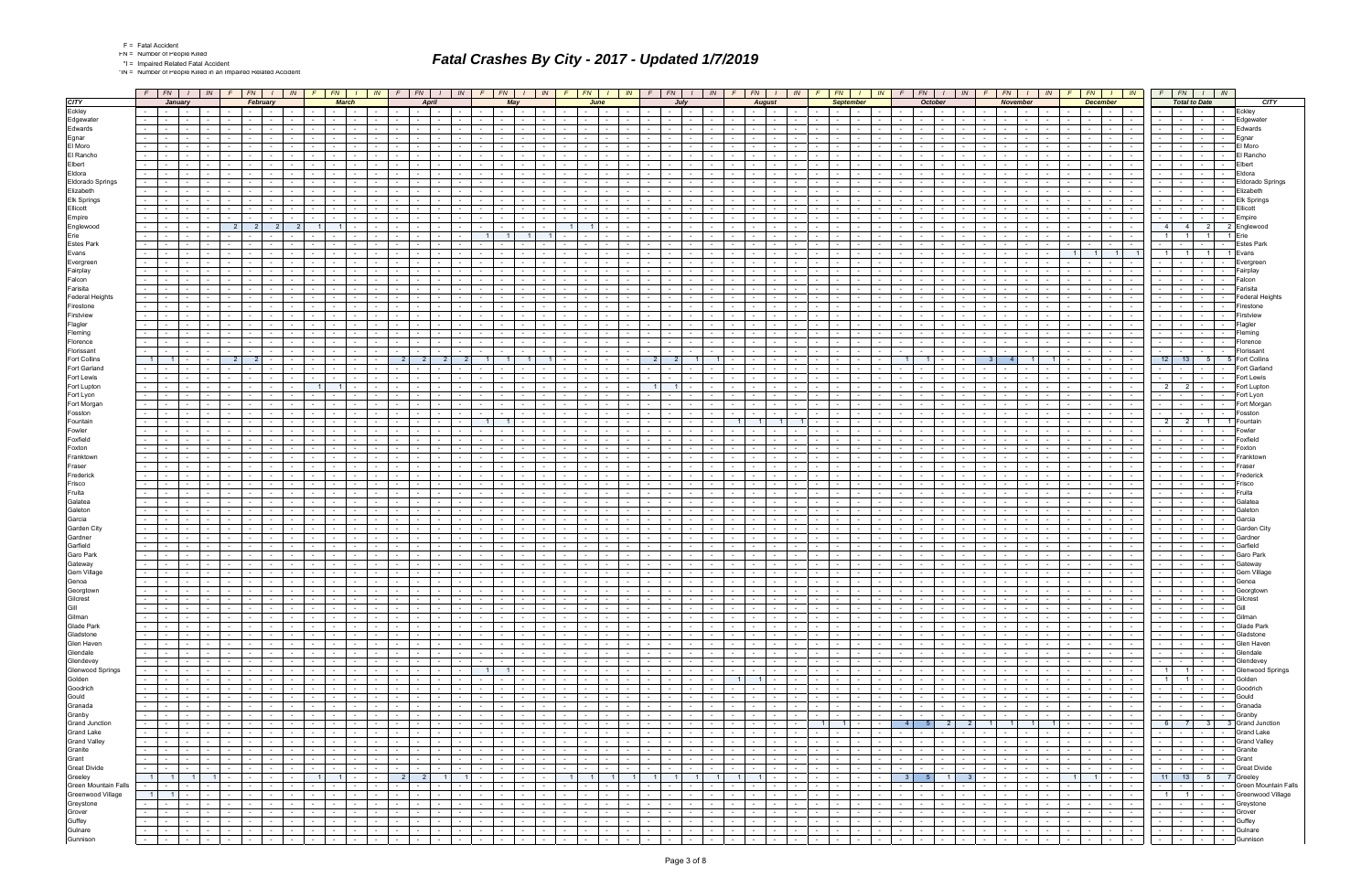|  | <b>Fatal Accide</b> |
|--|---------------------|
|  |                     |

F = Fatal Accident FN = Number of People Killed

\*I = Impaired Related Fatal Accident \*IN = Number of People Killed in an Impaired Related Accident

|                                          | $F$ $FN$ $I$ $IN$                                                             | FN   I<br>$\mathcal{F}$<br>IN                                                           | FN -<br>IN                                                                                        | $F \mid FN$<br>$\sqrt{N}$                                                                 | $F \mid FN \mid$<br>$1 \mid W$                                                                   | $F$ $FN$<br>$\mathbb{N}$                                                                                                                           | $F$   $FN$   $I$<br>IN 1<br>F.                                                                                                                                                                                                                                  | FN  <br>IN                                                               | FN  <br>IN                                                                                                                          | FN  <br>IN IN                                                                                                                                      | FN -<br>IN                                                                                                 | $FN$ $I$ $IN$                                                                                                      | $F$ $FN$                         |                                                                                                                 | $\sqrt{N}$                                     |
|------------------------------------------|-------------------------------------------------------------------------------|-----------------------------------------------------------------------------------------|---------------------------------------------------------------------------------------------------|-------------------------------------------------------------------------------------------|--------------------------------------------------------------------------------------------------|----------------------------------------------------------------------------------------------------------------------------------------------------|-----------------------------------------------------------------------------------------------------------------------------------------------------------------------------------------------------------------------------------------------------------------|--------------------------------------------------------------------------|-------------------------------------------------------------------------------------------------------------------------------------|----------------------------------------------------------------------------------------------------------------------------------------------------|------------------------------------------------------------------------------------------------------------|--------------------------------------------------------------------------------------------------------------------|----------------------------------|-----------------------------------------------------------------------------------------------------------------|------------------------------------------------|
| <b>CITY</b>                              | January                                                                       | February                                                                                | <b>March</b>                                                                                      | <b>April</b>                                                                              | May                                                                                              | June                                                                                                                                               | Juh                                                                                                                                                                                                                                                             | <b>August</b>                                                            | <b>September</b>                                                                                                                    | <b>October</b>                                                                                                                                     | <b>November</b>                                                                                            | <b>December</b>                                                                                                    |                                  | <b>Total to Date</b>                                                                                            | <b>CITY</b>                                    |
| Eckley                                   | and the state of the state of<br>$\sim 100$                                   | $\sim$ $-$                                                                              | $\sim$ $-$                                                                                        | $\sim 100$                                                                                | $\sim$<br>$\sim$ $-$                                                                             |                                                                                                                                                    | <b>Contract Contract</b><br>$\sim 100$                                                                                                                                                                                                                          | the contract of the con-                                                 |                                                                                                                                     |                                                                                                                                                    | $\sim$ $-$<br>$\sim$ $-$                                                                                   | $\sim$<br>$\mathbf{I}$ . The set of $\mathbf{I}$                                                                   |                                  |                                                                                                                 | Eckley<br>$\sim$                               |
| Edgewater                                |                                                                               |                                                                                         |                                                                                                   |                                                                                           |                                                                                                  |                                                                                                                                                    |                                                                                                                                                                                                                                                                 |                                                                          |                                                                                                                                     |                                                                                                                                                    |                                                                                                            |                                                                                                                    |                                  |                                                                                                                 | Edgewater                                      |
| Edwards                                  |                                                                               |                                                                                         |                                                                                                   |                                                                                           |                                                                                                  |                                                                                                                                                    |                                                                                                                                                                                                                                                                 |                                                                          |                                                                                                                                     |                                                                                                                                                    |                                                                                                            |                                                                                                                    |                                  |                                                                                                                 | Edwards                                        |
| Egnar                                    | $\sim$                                                                        | $\sim$                                                                                  |                                                                                                   | $\sim$                                                                                    | $\sim$<br>$\sim$                                                                                 |                                                                                                                                                    |                                                                                                                                                                                                                                                                 | $\overline{\phantom{a}}$                                                 |                                                                                                                                     |                                                                                                                                                    |                                                                                                            | $\sim$<br>$\sim$                                                                                                   |                                  |                                                                                                                 | Egnar                                          |
| El Moro                                  |                                                                               |                                                                                         |                                                                                                   |                                                                                           |                                                                                                  |                                                                                                                                                    |                                                                                                                                                                                                                                                                 |                                                                          |                                                                                                                                     |                                                                                                                                                    |                                                                                                            |                                                                                                                    |                                  |                                                                                                                 | El Morc                                        |
| El Rancho<br>Elbert                      | $\sim$                                                                        |                                                                                         |                                                                                                   |                                                                                           | $\sim$                                                                                           |                                                                                                                                                    |                                                                                                                                                                                                                                                                 |                                                                          |                                                                                                                                     |                                                                                                                                                    |                                                                                                            | $\sim$                                                                                                             |                                  |                                                                                                                 | El Ranche<br>Elbert                            |
| Eldora                                   |                                                                               |                                                                                         |                                                                                                   |                                                                                           |                                                                                                  |                                                                                                                                                    |                                                                                                                                                                                                                                                                 |                                                                          |                                                                                                                                     |                                                                                                                                                    |                                                                                                            |                                                                                                                    |                                  | $\sim$                                                                                                          | Eldora                                         |
| <b>Eldorado Springs</b>                  |                                                                               |                                                                                         |                                                                                                   |                                                                                           |                                                                                                  |                                                                                                                                                    |                                                                                                                                                                                                                                                                 |                                                                          |                                                                                                                                     |                                                                                                                                                    |                                                                                                            |                                                                                                                    |                                  |                                                                                                                 | Eldorado Springs                               |
| Elizabeth                                | $\sim 100$<br>$\sim$<br>$\sim$                                                | $\sim$                                                                                  |                                                                                                   | $\sim$                                                                                    | $\sim$<br>$\sim$ $\sim$                                                                          |                                                                                                                                                    | $\sim$<br>$\sim$                                                                                                                                                                                                                                                | $\sim$                                                                   |                                                                                                                                     |                                                                                                                                                    |                                                                                                            | $\sim$<br>$\sim$ $\sim$                                                                                            | $\sim$                           | $\sim$ 100 $\pm$<br>$\sim$                                                                                      | Elizabeth                                      |
| <b>Elk Springs</b>                       |                                                                               |                                                                                         |                                                                                                   |                                                                                           |                                                                                                  |                                                                                                                                                    |                                                                                                                                                                                                                                                                 |                                                                          |                                                                                                                                     |                                                                                                                                                    |                                                                                                            |                                                                                                                    |                                  |                                                                                                                 | <b>Elk Springs</b>                             |
| Ellicott                                 | $\sim$                                                                        |                                                                                         |                                                                                                   |                                                                                           |                                                                                                  |                                                                                                                                                    |                                                                                                                                                                                                                                                                 |                                                                          |                                                                                                                                     |                                                                                                                                                    |                                                                                                            |                                                                                                                    |                                  |                                                                                                                 | Ellicott                                       |
| Empire                                   | $\sim$                                                                        |                                                                                         |                                                                                                   | $\sim$ $-$                                                                                | $\sim$<br>$\sim$ $\sim$                                                                          |                                                                                                                                                    | $\sim$<br>$\sim$<br>$\sim$                                                                                                                                                                                                                                      | $\sim$                                                                   | $\sim$                                                                                                                              |                                                                                                                                                    | $\sim$                                                                                                     | $\sim$<br><b>Contract Contract</b><br>$\sim$                                                                       | $\overline{\phantom{a}}$         |                                                                                                                 | Empire<br>$\sim$                               |
| Englewood                                |                                                                               | -2                                                                                      |                                                                                                   |                                                                                           |                                                                                                  |                                                                                                                                                    |                                                                                                                                                                                                                                                                 |                                                                          |                                                                                                                                     |                                                                                                                                                    |                                                                                                            |                                                                                                                    | $\overline{4}$                   | -2                                                                                                              |                                                |
| Erie                                     | $\sim$                                                                        |                                                                                         |                                                                                                   |                                                                                           | $\overline{1}$                                                                                   |                                                                                                                                                    |                                                                                                                                                                                                                                                                 |                                                                          |                                                                                                                                     |                                                                                                                                                    |                                                                                                            |                                                                                                                    | 11                               | $\overline{1}$                                                                                                  | 1 Erie                                         |
| <b>Estes Park</b>                        | $\sim$                                                                        |                                                                                         |                                                                                                   | $\sim$                                                                                    |                                                                                                  |                                                                                                                                                    |                                                                                                                                                                                                                                                                 |                                                                          |                                                                                                                                     |                                                                                                                                                    |                                                                                                            |                                                                                                                    |                                  |                                                                                                                 | <b>Estes Park</b>                              |
| Evans                                    |                                                                               |                                                                                         |                                                                                                   |                                                                                           |                                                                                                  |                                                                                                                                                    |                                                                                                                                                                                                                                                                 |                                                                          |                                                                                                                                     |                                                                                                                                                    |                                                                                                            |                                                                                                                    | 11                               |                                                                                                                 | <b>Fvans</b>                                   |
| Evergreen                                |                                                                               |                                                                                         |                                                                                                   |                                                                                           |                                                                                                  |                                                                                                                                                    |                                                                                                                                                                                                                                                                 |                                                                          |                                                                                                                                     |                                                                                                                                                    |                                                                                                            |                                                                                                                    |                                  |                                                                                                                 |                                                |
| Fairplay                                 |                                                                               |                                                                                         |                                                                                                   |                                                                                           |                                                                                                  |                                                                                                                                                    |                                                                                                                                                                                                                                                                 |                                                                          |                                                                                                                                     |                                                                                                                                                    |                                                                                                            |                                                                                                                    |                                  |                                                                                                                 | Fairplay                                       |
| Falcon<br>Farisita                       | $\sim$                                                                        |                                                                                         |                                                                                                   |                                                                                           |                                                                                                  |                                                                                                                                                    |                                                                                                                                                                                                                                                                 |                                                                          |                                                                                                                                     |                                                                                                                                                    |                                                                                                            |                                                                                                                    |                                  |                                                                                                                 | Falcon<br>Farisita                             |
| <b>Federal Heights</b>                   |                                                                               |                                                                                         |                                                                                                   |                                                                                           |                                                                                                  |                                                                                                                                                    |                                                                                                                                                                                                                                                                 |                                                                          |                                                                                                                                     |                                                                                                                                                    |                                                                                                            |                                                                                                                    |                                  |                                                                                                                 | Federal Heights                                |
| Firestone                                |                                                                               |                                                                                         |                                                                                                   |                                                                                           |                                                                                                  |                                                                                                                                                    |                                                                                                                                                                                                                                                                 |                                                                          |                                                                                                                                     |                                                                                                                                                    |                                                                                                            |                                                                                                                    |                                  |                                                                                                                 | Firestone                                      |
| Firstview                                |                                                                               |                                                                                         |                                                                                                   |                                                                                           |                                                                                                  |                                                                                                                                                    |                                                                                                                                                                                                                                                                 |                                                                          |                                                                                                                                     |                                                                                                                                                    |                                                                                                            |                                                                                                                    |                                  |                                                                                                                 | Firstview                                      |
| Flagler                                  |                                                                               |                                                                                         |                                                                                                   |                                                                                           |                                                                                                  |                                                                                                                                                    |                                                                                                                                                                                                                                                                 |                                                                          |                                                                                                                                     |                                                                                                                                                    |                                                                                                            |                                                                                                                    |                                  |                                                                                                                 | Flagler                                        |
| Fleming                                  |                                                                               |                                                                                         |                                                                                                   |                                                                                           |                                                                                                  |                                                                                                                                                    |                                                                                                                                                                                                                                                                 |                                                                          |                                                                                                                                     |                                                                                                                                                    |                                                                                                            |                                                                                                                    |                                  |                                                                                                                 | Fleming                                        |
| Florence                                 | $\sim$                                                                        |                                                                                         |                                                                                                   |                                                                                           |                                                                                                  |                                                                                                                                                    |                                                                                                                                                                                                                                                                 |                                                                          |                                                                                                                                     |                                                                                                                                                    |                                                                                                            |                                                                                                                    |                                  |                                                                                                                 | Florence                                       |
| Florissant                               |                                                                               |                                                                                         |                                                                                                   |                                                                                           |                                                                                                  |                                                                                                                                                    |                                                                                                                                                                                                                                                                 |                                                                          |                                                                                                                                     |                                                                                                                                                    |                                                                                                            |                                                                                                                    |                                  |                                                                                                                 | Florissan                                      |
| Fort Collins                             | $\overline{1}$<br>$\sim$                                                      | $\overline{2}$<br>$\overline{2}$                                                        |                                                                                                   | 2<br>-2                                                                                   | $\overline{1}$                                                                                   |                                                                                                                                                    | 2<br>$\mathcal{P}$                                                                                                                                                                                                                                              |                                                                          |                                                                                                                                     |                                                                                                                                                    | -3-<br>4                                                                                                   | $\sim$                                                                                                             | 12<br>13                         | 5                                                                                                               | 5 Fort Collins                                 |
| Fort Garland                             |                                                                               |                                                                                         |                                                                                                   |                                                                                           |                                                                                                  |                                                                                                                                                    |                                                                                                                                                                                                                                                                 |                                                                          |                                                                                                                                     |                                                                                                                                                    |                                                                                                            |                                                                                                                    |                                  |                                                                                                                 | Fort Garland                                   |
| Fort Lewis                               |                                                                               |                                                                                         |                                                                                                   |                                                                                           |                                                                                                  |                                                                                                                                                    |                                                                                                                                                                                                                                                                 |                                                                          |                                                                                                                                     |                                                                                                                                                    |                                                                                                            |                                                                                                                    |                                  |                                                                                                                 | Fort Lewis                                     |
| Fort Lupton                              | $\sim$                                                                        |                                                                                         | $\overline{1}$                                                                                    |                                                                                           |                                                                                                  |                                                                                                                                                    |                                                                                                                                                                                                                                                                 |                                                                          |                                                                                                                                     |                                                                                                                                                    |                                                                                                            | $\sim$                                                                                                             | $\overline{2}$<br>$\overline{2}$ | $\sim$                                                                                                          | Fort Lupton                                    |
| Fort Lyon<br>Fort Morgan                 |                                                                               |                                                                                         |                                                                                                   |                                                                                           |                                                                                                  |                                                                                                                                                    |                                                                                                                                                                                                                                                                 |                                                                          |                                                                                                                                     |                                                                                                                                                    |                                                                                                            |                                                                                                                    |                                  |                                                                                                                 | Fort Lyon<br>Fort Morgar                       |
| Fosston                                  | $\sim$                                                                        |                                                                                         |                                                                                                   |                                                                                           |                                                                                                  |                                                                                                                                                    |                                                                                                                                                                                                                                                                 |                                                                          |                                                                                                                                     |                                                                                                                                                    |                                                                                                            |                                                                                                                    |                                  |                                                                                                                 | Fosstor                                        |
| Fountain                                 |                                                                               |                                                                                         |                                                                                                   |                                                                                           |                                                                                                  |                                                                                                                                                    |                                                                                                                                                                                                                                                                 |                                                                          |                                                                                                                                     |                                                                                                                                                    |                                                                                                            |                                                                                                                    | $\overline{2}$                   |                                                                                                                 | Fountain                                       |
| Fowler                                   |                                                                               |                                                                                         |                                                                                                   |                                                                                           |                                                                                                  |                                                                                                                                                    |                                                                                                                                                                                                                                                                 |                                                                          |                                                                                                                                     |                                                                                                                                                    |                                                                                                            |                                                                                                                    |                                  |                                                                                                                 | Fowle                                          |
| Foxfield                                 |                                                                               |                                                                                         |                                                                                                   |                                                                                           |                                                                                                  |                                                                                                                                                    |                                                                                                                                                                                                                                                                 |                                                                          |                                                                                                                                     |                                                                                                                                                    |                                                                                                            |                                                                                                                    |                                  |                                                                                                                 | Foxfield                                       |
| Foxton                                   |                                                                               |                                                                                         |                                                                                                   |                                                                                           |                                                                                                  |                                                                                                                                                    |                                                                                                                                                                                                                                                                 |                                                                          |                                                                                                                                     |                                                                                                                                                    |                                                                                                            |                                                                                                                    |                                  |                                                                                                                 | Foxton                                         |
| Franktown                                |                                                                               |                                                                                         |                                                                                                   |                                                                                           |                                                                                                  |                                                                                                                                                    |                                                                                                                                                                                                                                                                 |                                                                          |                                                                                                                                     |                                                                                                                                                    |                                                                                                            |                                                                                                                    |                                  |                                                                                                                 | Franktowi                                      |
| Fraser<br>Frederick                      |                                                                               |                                                                                         |                                                                                                   |                                                                                           |                                                                                                  |                                                                                                                                                    |                                                                                                                                                                                                                                                                 |                                                                          |                                                                                                                                     |                                                                                                                                                    |                                                                                                            |                                                                                                                    |                                  |                                                                                                                 | Frasei<br>Fredericl                            |
| Frisco                                   |                                                                               |                                                                                         |                                                                                                   |                                                                                           |                                                                                                  |                                                                                                                                                    |                                                                                                                                                                                                                                                                 |                                                                          |                                                                                                                                     |                                                                                                                                                    |                                                                                                            |                                                                                                                    |                                  |                                                                                                                 | Frisco                                         |
| Fruita                                   |                                                                               |                                                                                         |                                                                                                   |                                                                                           |                                                                                                  |                                                                                                                                                    |                                                                                                                                                                                                                                                                 |                                                                          |                                                                                                                                     |                                                                                                                                                    |                                                                                                            |                                                                                                                    |                                  |                                                                                                                 | Fruita                                         |
| Galatea                                  |                                                                               |                                                                                         |                                                                                                   |                                                                                           |                                                                                                  |                                                                                                                                                    |                                                                                                                                                                                                                                                                 |                                                                          |                                                                                                                                     |                                                                                                                                                    |                                                                                                            |                                                                                                                    |                                  |                                                                                                                 | Galatea                                        |
| Galeton                                  |                                                                               |                                                                                         |                                                                                                   |                                                                                           |                                                                                                  |                                                                                                                                                    |                                                                                                                                                                                                                                                                 |                                                                          |                                                                                                                                     |                                                                                                                                                    |                                                                                                            |                                                                                                                    |                                  |                                                                                                                 | Galetor                                        |
| Garcia                                   |                                                                               |                                                                                         |                                                                                                   |                                                                                           |                                                                                                  |                                                                                                                                                    |                                                                                                                                                                                                                                                                 |                                                                          |                                                                                                                                     |                                                                                                                                                    |                                                                                                            |                                                                                                                    |                                  |                                                                                                                 | Garcia                                         |
| Garden City                              |                                                                               |                                                                                         |                                                                                                   |                                                                                           |                                                                                                  |                                                                                                                                                    |                                                                                                                                                                                                                                                                 |                                                                          |                                                                                                                                     |                                                                                                                                                    |                                                                                                            |                                                                                                                    |                                  |                                                                                                                 | Garden City                                    |
| Gardner                                  |                                                                               |                                                                                         |                                                                                                   |                                                                                           |                                                                                                  |                                                                                                                                                    |                                                                                                                                                                                                                                                                 |                                                                          |                                                                                                                                     |                                                                                                                                                    |                                                                                                            |                                                                                                                    |                                  |                                                                                                                 | Gardner                                        |
| Garfield<br>Garo Park                    |                                                                               |                                                                                         |                                                                                                   |                                                                                           |                                                                                                  |                                                                                                                                                    |                                                                                                                                                                                                                                                                 |                                                                          |                                                                                                                                     |                                                                                                                                                    |                                                                                                            |                                                                                                                    |                                  |                                                                                                                 | Garfield                                       |
| Gateway                                  |                                                                               |                                                                                         |                                                                                                   |                                                                                           |                                                                                                  |                                                                                                                                                    |                                                                                                                                                                                                                                                                 |                                                                          |                                                                                                                                     |                                                                                                                                                    |                                                                                                            | $\sim$                                                                                                             |                                  |                                                                                                                 | Garo Park<br>Gatewav                           |
| Gem Village                              |                                                                               |                                                                                         |                                                                                                   |                                                                                           |                                                                                                  |                                                                                                                                                    |                                                                                                                                                                                                                                                                 |                                                                          |                                                                                                                                     |                                                                                                                                                    |                                                                                                            |                                                                                                                    |                                  |                                                                                                                 | Gem Village                                    |
| Genoa                                    | $\sim 100$<br>$\sim 10^{-11}$<br>$\sim$<br>$\sim$                             | $\sim$<br>$\sim$                                                                        | $\sim$ $-$                                                                                        | $\sim 100$<br>$\sim$<br>$\sim$                                                            | $\sim$<br>$\sim$                                                                                 | $\sim$                                                                                                                                             | $\sim$<br>$\sim$ 10 $\pm$<br>$\sim$                                                                                                                                                                                                                             | $\sim$ $-$<br>$\sim$                                                     |                                                                                                                                     |                                                                                                                                                    | $\sim$<br>$\sim$ $-$                                                                                       | $\sim$<br>$\sim$ $-$                                                                                               |                                  |                                                                                                                 | Genoa<br>$\sim$                                |
| Georgtown                                | $\sim$<br>. .<br>$\mathbf{I}$                                                 |                                                                                         | $\sim$                                                                                            | $\sim$ $-$<br>$\mathbf{I}$                                                                | $\sim$<br>$\overline{\phantom{a}}$                                                               | .                                                                                                                                                  | $\sim$ $-$<br>$\sim$                                                                                                                                                                                                                                            |                                                                          | $\sim$<br>.                                                                                                                         |                                                                                                                                                    | $\sim$                                                                                                     | $\sim$<br>.                                                                                                        | .                                | .                                                                                                               | Georgtown                                      |
| Gilcrest                                 | P.<br>$\sim 10^{-10}$<br>$\sim 10^{-11}$<br>$\sim 10^{-11}$                   | $\sim$<br>$\sim 10^{-11}$<br>$\sim$                                                     | $\sim$<br>$\sim 10^{-11}$<br>$\sim$ $-$<br>$\sim$ $-$                                             | $\sim 10^{-11}$<br>$\sim 10^{-1}$<br>$\sim 10^{-11}$<br>$\sim 10^{-1}$                    | $\sim$ $\sim$<br>$\sim 10^{-1}$<br>المحال المحا                                                  | $\sim 10^{-10}$<br>$\sim$<br>$\sim 10^{-11}$<br>$\sim$<br>$\sim 10^{-11}$                                                                          | $\sim 10^{-1}$<br>$\sim$<br>$\sim 10^{-1}$<br>$\sim 10^{-11}$                                                                                                                                                                                                   | <b>Contract Contract</b><br>$\sim 10^{-11}$                              | ł,<br><b>Line</b><br>$\sim$<br>$\sim 10^{-11}$                                                                                      | $\sim$<br>$\sim 10^{-11}$<br>$\sim 10^{-11}$<br>$\sim 10^{-1}$                                                                                     | $\sim 10^{-1}$<br>$\sim 10^{-11}$<br><b>Service</b> Service                                                | $\sim$<br>$\sim 10^{-11}$<br>$\sim$<br>$\sim$ $\sim$ $\sim$ $\sim$                                                 | <b>Service</b> Service           | $-1$                                                                                                            | Gilcrest<br>$\sim 10^{-1}$                     |
| Gill                                     | $\sim$ 1<br>the contract of<br><b>Contract</b>                                | $\sim$ $-$<br>and the state of the state<br>$\sim$                                      | the contract of<br>$\sim 10^{-11}$<br>$\sim 10^{-11}$                                             | the contract of<br>the contract of the con-                                               | the contract of<br>the contract                                                                  | <b>Contract</b><br>the contract of<br>$\sim$                                                                                                       | $\sim$ $-$<br>the contract of the con-<br>$\sim 100$<br>$\sim 100$                                                                                                                                                                                              | the contract of the con-<br>$\sim$ $-$                                   | the contract of the con-<br>$\sim$<br>$\sim 100$                                                                                    | $\sim$<br>$-1$<br>$\sim 100$<br>$\sim$ $-$                                                                                                         | $\sim$ $\sim$ $\sim$<br><b>Contract</b><br>and the state of the state                                      | $\sim$ $-$                                                                                                         | the contract of                  | .                                                                                                               | Gill                                           |
| Gilman                                   | $\sim 10^{-11}$<br>the contract of<br>$\sim 100$                              | $\sim$ 100 $\sim$ 100 $\sim$<br>$\sim$ $-$<br>$\sim$                                    | the contract of<br>$\sim 10^{-1}$<br>$\sim$                                                       | the contract of<br><b>Contract Contract</b><br>$\sim 100$                                 | and the state<br><b>Service</b>                                                                  | $\sim 100$<br>$\sim$<br>$\sim$ $  -$<br>$\sim$                                                                                                     | the contract of<br>$\sim$ $\sim$<br><b>Contract</b><br>$\sim$ $-$                                                                                                                                                                                               | the contract of<br>$\sim 100$                                            | $\sim$<br>$\sim$<br><b>Contract</b><br>$\sim 100$                                                                                   | $\sim$ $-$<br>$\sim$ $\sim$ $\sim$<br><b>Contract</b><br>$\sim$ $-$                                                                                | <b>Contract</b><br>$\sim 10^{-11}$<br>the contract of                                                      | <b>Contract</b>                                                                                                    | $\sim$ $\sim$ $\sim$ $\sim$      |                                                                                                                 | Gilman<br>$\sim$                               |
| Glade Park<br>Gladstone                  | .                                                                             | the contract of the contract of the con-<br>$\sim$                                      | <b>Contract Contract</b><br>the contract of<br>$\sim$ $\sim$                                      | the collection<br>and the state<br>도메리                                                    | and the state<br>المحال المحا                                                                    | $1 - 1 - 1$<br>$\sim$ $\sim$ $\sim$ $\sim$ $\sim$<br>$\sim$ $-$<br>$\sim$                                                                          | .<br>$-1 - 1$                                                                                                                                                                                                                                                   | المستوار المستوات والمستوات<br>$\sim 10^{-11}$<br>المحال جال             | $-1 - 1$<br>$\sim 10^{-1}$<br>$\mathbf{1}$ and $\mathbf{1}$                                                                         | $\sim$ $-$<br>$\sim$ $\sim$ $\sim$ $\sim$<br>$\sim 10^{-10}$<br>$\sim 10^{-11}$                                                                    | <b>Contract Contract</b><br>the contract of<br>$\sim$ $\sim$                                               | <b>Contract</b>                                                                                                    |                                  | and the state of the state of the state of the state of the state of the state of the state of the state of the | Glade Park                                     |
| Glen Haven                               | $\sim 10^{-1}$<br>the contract of the con-<br><b>Contract Contract</b>        | $\sim$ $-$<br>1999 - Personal Property Corp.<br>$\sim$ $-$<br>$\sim$ $\sim$ $\sim$      | the contract of<br><b>Contract</b><br>the contract of<br>$\sim 10^{-11}$                          | the contract of<br>the contract of                                                        | <b>Contract Contract</b><br>and a local control<br>the contract                                  | the contract of<br>$\sim$ $-$                                                                                                                      | $\sim 10^{-11}$<br>$\sim 10^{-11}$<br>the contract of<br>$\sim$ $-$                                                                                                                                                                                             | <b>Contract</b><br>the contract of                                       | the contract of<br>$\sim$<br>$\sim$ $-$                                                                                             | $\sim 10^{-11}$<br>$\sim$ $-$<br>$\sim 10^{-11}$<br>$-1$<br>$\sim$                                                                                 | $\sim 10^{-11}$<br>the contract of<br>and the state<br>$\sim$                                              | the contract of the con-<br><b>Contract Contract</b><br>the contract of the                                        |                                  | <b>Contract Contract</b>                                                                                        | - - - - - Gladstone<br>Glen Haven              |
| Glendale                                 | $\sim 100$<br>and the state of the state of<br>$\sim 10^{-11}$                | $\sim$ $-$<br>$\sim$<br>l – I<br>$\sim$                                                 | $\sim 10^{-11}$<br>the contract of<br>$\sim 100$<br>$\sim$                                        | $\sim 100$<br>$\sim 100$<br>the contract of<br>$\sim$ $\sim$<br>$\sim 10^{-11}$           | the contract<br>the contract<br>the contract                                                     | $\sim 100$<br>$\sim$<br><b>Contract Contract</b><br>$\sim$ $-$<br><b>Contract</b><br>$\sim$<br>$\sim$ $\sim$<br><b>Contract Contract</b><br>$\sim$ | the collection<br><b>Contract</b><br>$\sim$ $-$<br><b>Contract</b><br>$\sim$ 100 $\mu$                                                                                                                                                                          | $\sim$ $-$<br>and the state<br>$\sim 100$                                | $\sim$ $-$<br><b>Contract</b><br>$\sim$<br>$\sim 100$<br>the contract of<br>$\sim$ $-$<br>$\sim 100$                                | $-1$<br>$\sim$ $ \sim$<br>$\sim$ $ \sim$<br>$\sim$<br>$\sim 10^{-1}$<br>$\sim$ $-$<br><b>Contract Contract</b>                                     | $\sim 10^{-11}$<br><b>Contract</b><br>$\sim 10^{-11}$<br>and the state                                     | $\sim$<br>$-1 - 1$<br>$\sim 100$<br>$\sim$                                                                         | $\sim$ $\sim$ $\sim$ $\sim$      |                                                                                                                 | Glendale                                       |
| Glendevey                                | $     -$                                                                      | $\sim$<br>$\sim$ $\sim$ $\sim$ $\sim$<br>$\sim$ $-$                                     | $\sim 10^{-10}$<br>the contract of the con-<br>$\sim 100$                                         | <u>ta a pa</u><br>the contract of the con-                                                | <b>Carl Carl</b><br>and the state                                                                | $\sim$<br>the contract of<br><b>Contract Contract</b>                                                                                              | $-1 - 1$<br>$\sim 10^{-11}$<br>$\sim$ $-$<br><b>Contract</b>                                                                                                                                                                                                    | <b>Contract Contract</b><br><b>Contract</b>                              | <b>Service Contracts</b><br>$\sim$<br>$\sim$ $-$                                                                                    | $\sim$<br>$\sim 10^{-11}$<br>$\sim 10^{-11}$<br>$-1$                                                                                               | $\sim$ $  \sim$<br><b>Contract</b><br>the contract of                                                      | the contract of the contract of the con-<br><b>Contract</b>                                                        |                                  |                                                                                                                 | $    -$ Glendevey                              |
| <b>Glenwood Springs</b>                  | $\sim 100$<br>the contract of the contract of<br><b>Contract Contract</b>     | $\sim$ $\sim$ $\sim$<br>$\sim 100$                                                      | the contract of<br>$\sim 10^{-11}$<br>$\sim 10^{-11}$                                             | <b>Carl Carl</b><br>$\sim 100$<br>$\sim 100$                                              | $1 \mid 1 \mid - \mid -$                                                                         | $\sim 100$<br>$\sim$<br><b>Contract Contract</b><br>$\sim$ $-$                                                                                     | the contract of<br>the collection<br>$\sim 10^{-11}$                                                                                                                                                                                                            | and the state of the state<br>$\sim 10^{-11}$                            | $\sim$ $-$<br><b>Contract</b><br>$\sim$<br>$\sim 100$                                                                               | $\sim$ $-$<br>$-1$<br>$\sim$ $-$<br>$\sim$ $ \sim$                                                                                                 | $\sim$<br>$\sim 10^{-11}$<br>and the state of the state                                                    | <b>Contract</b>                                                                                                    |                                  |                                                                                                                 | 1 1 - Glenwood Springs                         |
| Golden                                   | $\sim 10^{-11}$<br>and the state of the state of<br><b>Contract</b>           | $\sim$<br>$\blacksquare$<br>$\sim$                                                      | the contract of<br>$\sim 100$<br>$\sim$                                                           | the contract of<br>the contract of                                                        | the contract of<br>the contract                                                                  | $\sim 10^{-10}$<br><b>Contract</b><br>$\sim$<br>$\sim$                                                                                             | the contract of<br>$\sim$ $\sim$<br><b>Contract</b>                                                                                                                                                                                                             | $1 \quad 1$<br><b>Contract</b>                                           | $\sim$<br>$\sim$ $-$<br>$\mathbf{1}$ and $\mathbf{1}$<br><b>Contract Contract</b>                                                   | $\sim$<br><b>Service</b><br>$\sim 10^{-11}$<br><b>Contract Contract</b>                                                                            | $\sim 10^{-11}$<br>$\sim 10^{-11}$<br>the contract of the con-                                             | <b>Contract</b><br>$-1 - 1 - 1$<br>$\sim$ $-$                                                                      |                                  | 1 1 - Golden                                                                                                    |                                                |
| Goodrich                                 | $\sim 10^{-1}$<br>.                                                           | $-1 - 1 - 1 - 1$<br>$\sim$ $-$                                                          | $\sim 10^{-10}$<br>the contract of<br><b>Contract</b>                                             | the collection<br>the contract of                                                         | <b>Contract Contract</b><br><b>Contract Contract</b>                                             | $\sim$<br>the contract of<br>$ -$                                                                                                                  | and the contract of the contract of the contract of the contract of the contract of the contract of the contract of the contract of the contract of the contract of the contract of the contract of the contract of the contra<br>$\sim 10^{-11}$<br>$\sim 100$ | <b>Second Second Second</b><br>$\sim 10^{-11}$                           | $-1 - 1$<br>$\sim$ $-$<br>$\sim 10^{-10}$                                                                                           | $\sim$ $-$<br>$\sim 10^{-11}$<br>$\sim$ $\sim$ $\sim$<br><b>Contract</b>                                                                           | $\sim$ $\sim$<br>$\sim 10^{-11}$<br><b>Contract Contract</b>                                               | <b>Contract</b><br>and the contract                                                                                |                                  |                                                                                                                 | -   -   -   - Goodrich                         |
| Gould                                    | and the state of the state of<br>$\sim$ 100 $\mu$                             | $\sim$ $-$<br>$\sim$ $-$<br>$\sim$                                                      | $\mathbf{1}$<br>$\sim$<br>$\sim$<br>$\sim 10^{-11}$                                               | the contract of<br><b>Contract Contract</b><br>$\sim$ $-$                                 | and the state<br>and the state                                                                   | $\sim$ 100 $\pm$<br>$\sim 10^{-11}$<br>$\sim$<br>$\sim$                                                                                            | $\sim$ $\sim$ $\sim$<br>$\sim 10^{-11}$<br>$\sim 10$<br>$\sim$ $-$<br>$\sim 10^{-1}$                                                                                                                                                                            | and the state of the state of<br>$\sim$ $-$                              | $\sim$<br><b>Contract Contract</b><br>$\sim$<br>$\sim 10^{-11}$                                                                     | $\sim 10^{-1}$<br>$\sim$<br><b>Contract Contract</b><br>$\sim 100$                                                                                 | $\sim$<br>$\sim 10^{-11}$<br><b>Contract Contract</b>                                                      | the contract of the contract of the con-<br>$\sim 10^{-11}$                                                        | the contract of                  | and the state                                                                                                   | Gould                                          |
| Granada                                  | $\sim$ $\sim$<br>the company's com-<br><b>Contract</b>                        | $\sim 100$<br><b>Contract Contract</b><br>$\sim$ $-$                                    | the contract of<br>$\sim$ $\sim$ $\sim$ $\sim$<br>$\sim 100$                                      | the contract of<br>and the state of the state                                             | and the state<br>and the state                                                                   | $\sim 10^{-11}$<br>$\sim$<br>$\sim$ $-$<br>$\sim$                                                                                                  | the contract of the con-<br>the contract of<br><b>Contract</b>                                                                                                                                                                                                  | the contract of<br>$\sim 10^{-11}$                                       | $\sim$ $-$<br>$\sim$ $\sim$ $\sim$<br>$\sim$<br><b>Contract</b>                                                                     | <b>Contract</b><br>$\sim$ $-$<br>$\sim$<br>$\sim$ $\sim$ $\sim$                                                                                    | $\sim$ $\sim$<br>$\sim 10^{-11}$<br>the contract of                                                        | .<br><b>Contract</b>                                                                                               |                                  |                                                                                                                 | $    -$ Granada                                |
| Granby                                   | $\sim$ $\sim$<br>and the contract of the contract of                          | $\sim$ 100 $\mu$<br>and the state<br>$\sim$ $-$                                         | the contract of<br>and the con-                                                                   | the contract of<br>the contract of                                                        | the contract of<br>and the state                                                                 | the contract of the con-<br>$\sim 10^{-1}$<br>$ -$                                                                                                 | the contract of<br>and the contract of the con-                                                                                                                                                                                                                 | <b>Contract</b>                                                          | the contract of the con-<br>$\sim$ $-$<br>$\sim 10^{-11}$                                                                           | $\sim$<br><b>Contract</b>                                                                                                                          | the contract of<br><b>Contract Contract</b>                                                                | $\sim 10^{-10}$<br>and the contract                                                                                |                                  |                                                                                                                 | $    -$ Granby                                 |
| <b>Grand Junction</b>                    | $\sim 10^{-11}$<br>the contract of<br><b>Contract</b><br>$-1 - 1 - 1 - 1 - 1$ | $-1 - 1 - 1 - 1$                                                                        | the contract of the con-<br>$\sim 10^{-10}$<br><b>Contract</b>                                    | <b>Contract Contract</b><br>$\sim$ $\sim$<br>$\sim 10^{-11}$                              | <b>Service</b> Service<br><b>Contract Contract</b>                                               | $\sim 10^{-10}$<br>$\sim$<br>$ -$<br>$\sim$                                                                                                        | the contract of<br><b>Contract</b><br><b>Contract</b>                                                                                                                                                                                                           | <b>Contract Contract</b><br><b>Contract</b>                              | $1 \quad 1$<br><b>Contract</b>                                                                                                      |                                                                                                                                                    | $4 \mid 5 \mid 2 \mid 2 \mid 1 \mid 1 \mid 1 \mid 1$                                                       | .                                                                                                                  |                                  |                                                                                                                 | 6 7 3 3 Grand Junction                         |
| <b>Grand Lake</b><br><b>Grand Valley</b> | .                                                                             | $-1 - 1 - 1 - 1$<br>$\sim$ 100 $\mu$<br>$\sim$ 100 $\mu$<br>and the state<br>$\sim$ $-$ | the contract of the con-<br>the contract of the con-<br>the contract of<br>the contract of        | <b>Second Control</b><br>the contract of<br>the contract of<br>the contract of            | and the state<br>and the state<br>the contract of<br>the contract                                | $\sim 10^{-1}$<br>$-1$<br>$-1 - 1$<br>$\sim$ $-$<br>$\mathbf{I}$ $\mathbf{I}$<br>$\sim$ $-$<br>$ -$                                                | the contract of<br>the contract of<br>the contract of<br>the contract of                                                                                                                                                                                        | <b>Contract</b><br>the contract of the contract of<br><b>Contract</b>    | $\sim$ 1 $\sim$ 1<br>$\sim 10^{-1}$<br>$\mathbf{I}$ and $\mathbf{I}$<br>$\sim$<br>$\mathbf{I}$ $\mathbf{I}$<br>$\sim$<br>$\sim 100$ | $\sim$ $\sim$ $\sim$<br>$\sim$ $\sim$<br>$\sim 10^{-11}$<br>$\sim$ $\sim$ $\sim$<br>$\sim$ $-$<br>$\sim$ $\sim$ $\sim$<br>$\sim$ $-$<br>$\sim$ $-$ | $\sim 10^{-10}$<br>the contract of<br>the contract of<br>the contract of                                   | <b>Contract Contract</b><br>.<br><b>Contract</b><br>.                                                              |                                  |                                                                                                                 | - - - - - Grand Lake<br>- - - - - Grand Valley |
| Granite                                  | and the state of the state of the<br><b>Contract</b>                          | $-1 - 1 - 1 - 1$                                                                        | the contract of the con-<br>$\sim 10^{-10}$<br><b>Contract</b>                                    | <b>Contract Contract</b><br>$\sim 10^{-10}$<br>$\sim 10^{-11}$                            | <b>Service</b> Service<br><b>Contract Contract</b>                                               | <b>Contract</b><br>$\sim$<br>$\sim$ 100 $\pm$<br>$\sim$                                                                                            | <b>Service</b> Service<br>$\sim$<br>$\sim$ $-$<br>$\sim 10^{-11}$                                                                                                                                                                                               | and the state of the state<br>$\sim 10^{-11}$                            | $\sim$ 1.000 $\sim$<br>$\sim$ $-$<br><b>Contract</b>                                                                                | $\sim$ $-$<br>$\sim$ $-$<br>$\sim 10^{-10}$<br><b>Contract</b>                                                                                     | $\sim 10^{-11}$<br><b>Contract</b><br>and the state of the state                                           | <b>Contract</b>                                                                                                    |                                  |                                                                                                                 | $    -$ Granite                                |
| Grant                                    | te di estima di estima                                                        | $-1 - 1 - 1 - 1$<br>$\sim$ $-$                                                          | the contract of<br>the contract of                                                                | <b>Second Control</b><br>the contract of                                                  | <b>Carl Carl</b><br>and the state                                                                | $\mathbf{I}$ $\mathbf{I}$<br>$\sim 10^{-1}$<br>$\sim 100$<br>$\sim$                                                                                | <b>Second Second</b><br>the contract of                                                                                                                                                                                                                         | and the contract<br><b>Contract</b>                                      | $-1 - 1$<br>$\sim$<br><b>Contract</b>                                                                                               | $\sim$ $\sim$<br>$\sim 10^{-11}$<br>$\sim$<br>$\sim$ $\sim$ $\sim$ $\sim$                                                                          | the contract of<br>the contract of                                                                         | and the contract<br><b>Contract Contract</b>                                                                       |                                  | $     -$ Grant                                                                                                  |                                                |
| <b>Great Divide</b>                      | .<br><b>Contract</b>                                                          | $\sim$<br>$\sim$ 100 $\sim$ 100 $\sim$<br>$\sim$ $-$                                    | $\sim$ $\sim$<br>the contract of the con-<br><b>Contract</b>                                      | the contract of<br>$\sim$ $-$<br>$\sim 100$                                               | the contract of<br>and the state                                                                 | $\sim 100$<br>$\sim$<br><b>Contract</b><br>$\sim$ $-$                                                                                              | the contract of the con-<br>$\sim$ $-$<br><b>Contract</b><br>$\sim 10^{-11}$                                                                                                                                                                                    | and the state<br>$\sim 10^{-11}$                                         | $\sim$<br><b>Common</b><br>$\sim$<br>$\sim 100$                                                                                     | <b>Contract</b><br>$\sim$ $-$<br>$\sim$ $\sim$ $\sim$<br>$\sim 100$                                                                                | $\sim 10^{-10}$<br>$\sim 10^{-11}$<br>the contract of                                                      | $-1 - 1 - 1 -$<br><b>Contract Contract</b>                                                                         |                                  |                                                                                                                 | <b>Great Divide</b>                            |
| Greeley                                  | $1 \quad 1 \quad 1 \quad 1$                                                   | $\sim$ 100 $\mu$                                                                        | $1 \quad 1 \quad - \quad$                                                                         | $2 \mid 2 \mid 1 \mid 1 \mid - \mid -$                                                    | and the state                                                                                    | 1 1 1 1 1 1 1 1 1 1 1 1 1 1 -                                                                                                                      |                                                                                                                                                                                                                                                                 | $\sim 100$                                                               | the contract of<br>$\sim$<br><b>Contract</b>                                                                                        | $3 \mid 5 \mid 1 \mid 3 \mid - \mid -$                                                                                                             | the contract of                                                                                            | $1 \quad 1 \quad - \quad -$                                                                                        |                                  |                                                                                                                 | 11 13 5 7 Greeley                              |
| Green Mountain Falls                     |                                                                               | $\sim 100$<br>$\mathbb{R}^2$ - $\mathbb{R}^2$<br>$\sim$ $-$                             | the contract of<br>$\sim$ $-$<br><b>Contract</b>                                                  | the company's state<br>$\sim$ $\sim$<br>$\sim 10^{-11}$                                   | <b>Contract Contract</b><br>the contract                                                         | $\sim 100$<br>$\sim$<br>$\sim 10^{-11}$<br>$\sim$                                                                                                  | the contract of<br>$\sim 10^{-10}$<br>$\sim 100$<br><b>Contract</b>                                                                                                                                                                                             | the contract of<br><b>Contract</b>                                       | $\sim$<br>$\sim$ $\sim$ $\sim$<br>$\sim$<br>$\sim 10^{-1}$                                                                          | $\sim 10^{-11}$<br>$\sim$ 10 $\pm$<br>$\sim$ $-$<br><b>Contract</b>                                                                                | $\sim 10^{-10}$<br>$\sim 10^{-11}$<br><b>Contract Contract</b>                                             | $-1 - 1 - 1$<br>$\sim 10^{-11}$<br><b>Contract</b>                                                                 |                                  |                                                                                                                 | -   -   -   - Green Mountain Falls             |
| Greenwood Village                        | <b>Contract</b>                                                               | $\sim$<br>and the state<br>$\sim$                                                       | the contract of the con-<br>$\sim$ $  -$<br>$\sim$                                                | the contract of<br>$\sim$ $\sim$ $\sim$ $\sim$<br>$\sim 100$                              | <b>Service</b> Service<br><b>Contract Contract</b>                                               | $\sim$<br>$\sim$ $ -$<br>$\sim$<br>$\sim 100$                                                                                                      | the contract of<br>$\sim 10^{-10}$<br>$\sim 10^{-1}$<br>$\sim$                                                                                                                                                                                                  | and the state<br>$\sim 10^{-11}$                                         | the contract of<br>$\sim$ $-$<br>$\sim 10^{-10}$                                                                                    | $\sim 10^{-11}$<br>$\sim$ $-$<br>$\sim$ $\sim$ $\sim$<br>$\sim 10^{-1}$                                                                            | <b>Contract</b><br>$\sim 10^{-11}$<br>the contract of                                                      | <b>Contract</b><br>the contract of the contract of the con-                                                        |                                  |                                                                                                                 | 1 1 - Greenwood Village                        |
| Greystone                                | <b>Contract</b>                                                               | $\sim 100$<br>$\sim$ $\sim$ $\sim$ $\sim$<br>$\sim$ $-$                                 | the contract of<br>the contract of                                                                | <b>Carl Land</b><br>the contract of the con-                                              | and the state of the state<br>and the state of the state                                         | $\sim$ $-$<br>the contract of the con-<br>$\sim$                                                                                                   | $\sim 10^{-11}$<br>the contract of the contract of the<br>$\sim$ $-$<br><b>Contract</b>                                                                                                                                                                         | the contract of<br><b>Contract</b>                                       | the contract of the contract of<br>the contract of the con-                                                                         | $\sim$<br>$-1$<br><b>Contract</b><br>$\sim 10^{-11}$                                                                                               | and the contract of the con-<br>the contract of                                                            | <b>Contract</b><br>the contract of the con-                                                                        |                                  |                                                                                                                 | - - - - - Greystone                            |
| Grover                                   | $\sim 100$<br>and the state<br><b>Contract</b><br>$-$ 1 $-$ 1 $-$ 1 $-$       | the contract of the contract of<br>$\sim$ $-$<br>$\sim 10^{-11}$<br>$\sim$              | the contract of<br>$\sim$ $-$<br><b>Contract</b><br>$\sim 100$<br>the contract of<br>$\sim$ $  -$ | <b>Committee</b><br>$\sim$ $\sim$<br>$\sim 10^{-11}$<br><b>Carl Carl</b><br>and the state | <b>Contract Contract</b><br>the contract<br><b>Contract Contract</b><br><b>Contract Contract</b> | $\sim 10^{-11}$<br>$\sim$<br>$\sim$<br>$\sim$ $  -$<br>$\sim$ $\sim$ $\sim$ $\sim$ $\sim$ $\sim$<br>$\sim$<br>$\sim$ $   \,$<br>$\sim$             | <b>Second Second</b><br>$\sim 10^{-10}$<br>$\sim$<br>the contract of<br>$\sim$ $\sim$<br>$\sim 10^{-1}$<br>$\sim 10^{-11}$                                                                                                                                      | and the control<br>$\sim 10^{-11}$<br>the contract of<br>$\sim 10^{-11}$ | $\sim$<br><b>Contract</b><br>$\sim$ $-$<br>$\sim$<br>the contract of<br>$\sim$ $-$<br><b>Contract</b>                               | $\sim 10^{-11}$<br>$\sim$ $-$<br>$\sim 10^{-11}$<br>$\sim$ $\sim$ $\sim$<br>$\sim$<br>$\sim 10^{-11}$<br>$\sim 10^{-11}$<br>$\sim$ $\sim$ $\sim$   | $\sim$ $-$<br>$\sim 10^{-11}$<br>and the con-<br>$\sim 10^{-10}$<br>$\sim$ $-$<br><b>Contract Contract</b> | the contract of the contract of<br><b>Contract</b><br>$\sim 10^{-11}$<br><b>Contract</b><br><b>Committee State</b> |                                  | -   -   -   - Grover                                                                                            | Guffey                                         |
| Guffey<br>Gulnare                        | $     -$                                                                      | $-1 - 1 - 1 - 1$<br>$\sim 10^{-11}$                                                     | the contract of<br>the collection                                                                 | the contract of the con-                                                                  | the contract of<br>and the state                                                                 | $   -$<br>$-1 - 1$<br>$\sim$                                                                                                                       | $\sim$<br>.                                                                                                                                                                                                                                                     | and the state of the state<br><b>Contract</b>                            | $-1 - 1$<br>$\sim 100$<br><b>Contract</b>                                                                                           | $\sim$ $-$<br>$\sim$ $\sim$<br>$\sim 10^{-11}$<br>$-1$                                                                                             | <b>Contract Contract</b><br>the contract of                                                                | <b>Contract</b><br>$-1 - 1 - 1 - 1$                                                                                |                                  |                                                                                                                 |                                                |
| Gunnison                                 | $-1 - 1 - 1 - 1$                                                              | <b>Comment Comment Comment</b><br>$\sim 10^{-11}$                                       | .                                                                                                 | <b>Contract Contract</b>                                                                  | <b>Contract Contract</b><br><b>Contract Contract</b>                                             | 1 - 1 - 1 - 1 -                                                                                                                                    | .                                                                                                                                                                                                                                                               | <b>Committee State</b><br>$\sim$ $  \sim$                                | $-1 - 1 - 1 - 1$<br>$\sim 10^{-10}$                                                                                                 |                                                                                                                                                    | te die die diese                                                                                           | .                                                                                                                  |                                  |                                                                                                                 | $     -$ Gunnison                              |
|                                          |                                                                               |                                                                                         |                                                                                                   |                                                                                           |                                                                                                  |                                                                                                                                                    |                                                                                                                                                                                                                                                                 |                                                                          |                                                                                                                                     |                                                                                                                                                    |                                                                                                            |                                                                                                                    |                                  |                                                                                                                 |                                                |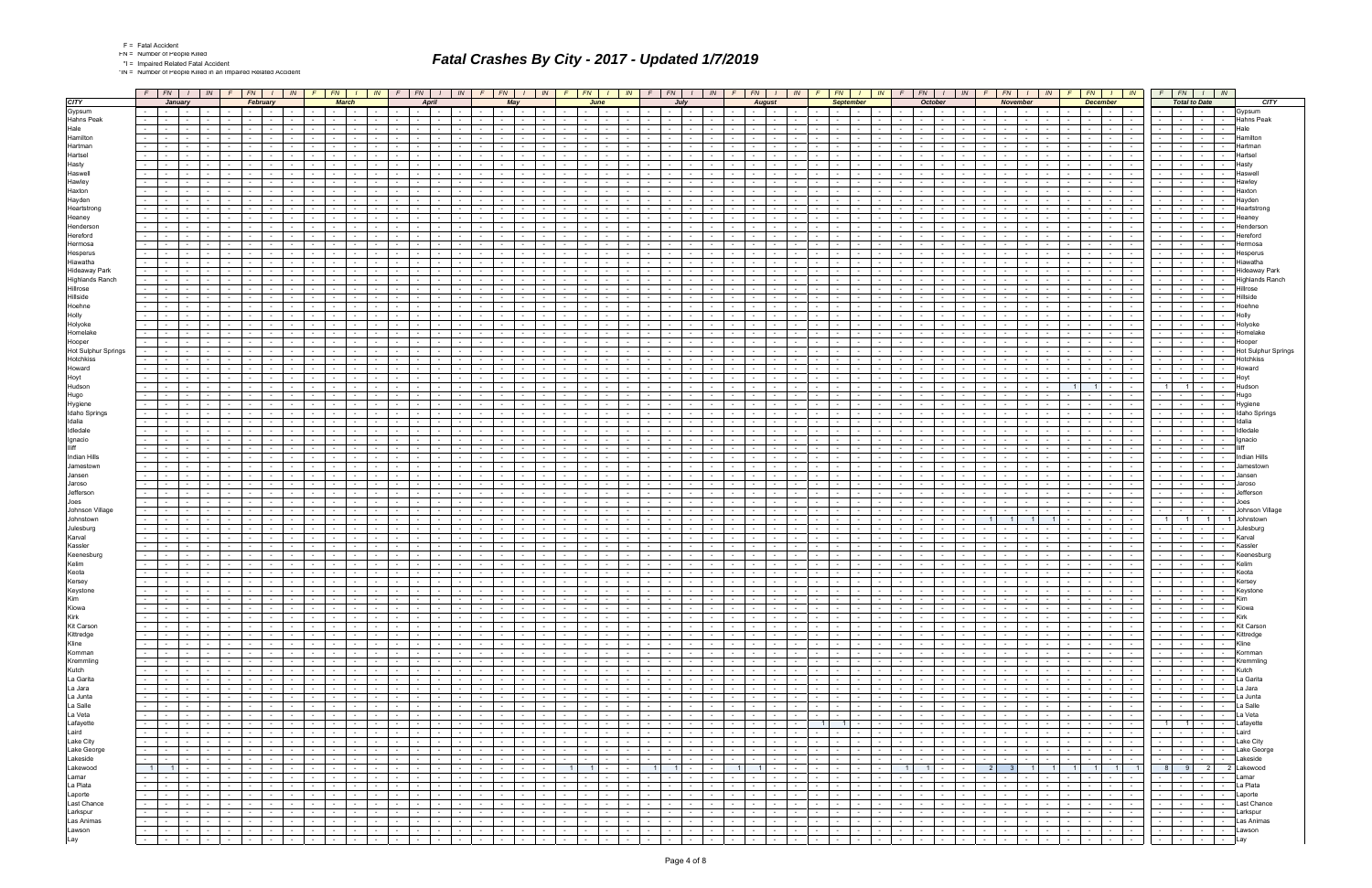|  | Fatal Accide |
|--|--------------|
|  |              |

\*IN = Number of People Killed in an Impaired Related Accident

|                                 |            | $F$ $FN$ $I$ $N$                         |                          |                               |                          | $F$   $FN$   $1$                         |                      | IN              |                          | $F$ $FN$ $I$                                                                                                   |                                    | $\sqrt{N}$     | $F$ $FN$ $I$ $N$                        |                           |                                       |                      | $F$ $FN$ $I$ $N$                |                                 |                |                                         | $F$ $FN$ $I$                                                                                                                                                                                                                   |                 | IN                       | $F$   FN   $I$   IN   $F$              |                                         |                          |                 | $FN$ $I$                                                                      |                     | IN               | F .             | FN                                              | <b>IN</b>                          |                 | FN                                             |                                                                                                                                                                                                                                | IN              | $F$ $FN$                                     | $\frac{1}{1}$ IN         | $F \mid FN \mid$             |                                                                                                                                                                                                                                | $\frac{1}{1}$ IN                                                    |                                     | $F$ $FN$ $I$ $N$                                                                                                |                           |                            |
|---------------------------------|------------|------------------------------------------|--------------------------|-------------------------------|--------------------------|------------------------------------------|----------------------|-----------------|--------------------------|----------------------------------------------------------------------------------------------------------------|------------------------------------|----------------|-----------------------------------------|---------------------------|---------------------------------------|----------------------|---------------------------------|---------------------------------|----------------|-----------------------------------------|--------------------------------------------------------------------------------------------------------------------------------------------------------------------------------------------------------------------------------|-----------------|--------------------------|----------------------------------------|-----------------------------------------|--------------------------|-----------------|-------------------------------------------------------------------------------|---------------------|------------------|-----------------|-------------------------------------------------|------------------------------------|-----------------|------------------------------------------------|--------------------------------------------------------------------------------------------------------------------------------------------------------------------------------------------------------------------------------|-----------------|----------------------------------------------|--------------------------|------------------------------|--------------------------------------------------------------------------------------------------------------------------------------------------------------------------------------------------------------------------------|---------------------------------------------------------------------|-------------------------------------|-----------------------------------------------------------------------------------------------------------------|---------------------------|----------------------------|
| <b>CITY</b>                     |            | January                                  |                          |                               |                          | February                                 |                      |                 |                          | <b>March</b>                                                                                                   |                                    |                |                                         | <b>April</b>              |                                       |                      |                                 | May                             |                |                                         | June                                                                                                                                                                                                                           |                 |                          |                                        | July                                    |                          |                 | <b>August</b>                                                                 |                     |                  |                 | <b>September</b>                                |                                    |                 |                                                | <b>October</b>                                                                                                                                                                                                                 |                 | <b>November</b>                              |                          |                              | <b>December</b>                                                                                                                                                                                                                |                                                                     |                                     | <b>Total to Date</b>                                                                                            |                           | <b>CITY</b>                |
| Gypsum                          |            | <b>Contract Contract</b>                 | $\sim$ $-$               | $\sim$ $-$                    |                          | $\sim$ 100 $\mu$                         | $\sim$ $-$           | $\sim$ $-$      | $\sim 100$               | $\sim 100$                                                                                                     | <b>Contract</b>                    | $\sim$         | $\sim 100$                              | $\sim$<br>$\sim 10^{-11}$ |                                       |                      | $\sim$                          | $\mathbf{I}$                    |                | $\sim 100$                              | $\sim 100$                                                                                                                                                                                                                     | $\sim$          |                          | $\sim$<br>$\sim$ $\sim$ $\sim$         | $\sim$ 100 $\mu$                        |                          | $\sim$          | <b>Service</b>                                                                | $\sim$              |                  |                 | <b>Contract Contract</b>                        | $\sim$                             |                 | $\sim 10^{-11}$                                | <b>Contract</b>                                                                                                                                                                                                                | $\sim$          | $\sim$ $-$<br>$\sim 100$<br>$\sim$ 100 $\mu$ | $\sim$                   |                              | $\sim$<br>$\sim$ 100 $\mu$                                                                                                                                                                                                     | $\sim$                                                              | $\sim$ $-$                          | $\sim$ $-$<br>$\sim$                                                                                            | Gypsum                    |                            |
| Hahns Peak                      |            |                                          |                          |                               |                          |                                          |                      |                 |                          |                                                                                                                |                                    |                |                                         |                           |                                       |                      |                                 |                                 |                |                                         |                                                                                                                                                                                                                                |                 |                          |                                        |                                         |                          |                 |                                                                               |                     |                  |                 |                                                 |                                    |                 |                                                |                                                                                                                                                                                                                                |                 |                                              |                          |                              |                                                                                                                                                                                                                                |                                                                     |                                     |                                                                                                                 | Hahns Peak                |                            |
| Hale                            |            |                                          |                          |                               |                          |                                          |                      |                 |                          |                                                                                                                |                                    |                |                                         |                           |                                       |                      |                                 |                                 |                |                                         |                                                                                                                                                                                                                                |                 |                          |                                        |                                         |                          |                 |                                                                               |                     |                  |                 |                                                 |                                    |                 |                                                |                                                                                                                                                                                                                                |                 |                                              |                          |                              |                                                                                                                                                                                                                                |                                                                     |                                     |                                                                                                                 | Hale                      |                            |
| Hamilton                        |            |                                          | $\sim$                   |                               |                          | $\sim$ 100 $\mu$                         | $\sim$               | $\sim$          |                          | $\sim$                                                                                                         | $\sim$                             |                |                                         | $\sim$                    |                                       |                      |                                 | $\sim$                          |                | $\sim$                                  | $\sim$                                                                                                                                                                                                                         | $\sim$          |                          | $\sim$<br>$\sim$                       | $\sim$                                  |                          |                 |                                                                               |                     |                  |                 |                                                 |                                    |                 | $\sim$                                         |                                                                                                                                                                                                                                |                 | $\sim$                                       | $\overline{\phantom{a}}$ |                              |                                                                                                                                                                                                                                | $\overline{\phantom{a}}$                                            | $\sim$                              | $\sim$                                                                                                          | Hamilton                  |                            |
| Hartman                         |            |                                          |                          |                               |                          |                                          |                      |                 |                          |                                                                                                                |                                    |                |                                         |                           |                                       |                      |                                 |                                 |                |                                         |                                                                                                                                                                                                                                |                 |                          |                                        |                                         |                          |                 |                                                                               |                     |                  |                 |                                                 |                                    |                 |                                                |                                                                                                                                                                                                                                |                 |                                              |                          |                              |                                                                                                                                                                                                                                |                                                                     |                                     |                                                                                                                 |                           |                            |
| Hartsel                         |            |                                          |                          |                               |                          |                                          |                      |                 |                          |                                                                                                                |                                    |                |                                         |                           |                                       |                      |                                 |                                 |                |                                         |                                                                                                                                                                                                                                |                 |                          |                                        |                                         |                          |                 |                                                                               |                     |                  |                 |                                                 |                                    |                 |                                                |                                                                                                                                                                                                                                |                 |                                              |                          |                              |                                                                                                                                                                                                                                |                                                                     |                                     |                                                                                                                 | Hartsel                   |                            |
| Hasty                           |            |                                          | $\sim$                   |                               |                          |                                          |                      |                 |                          | $\sim$                                                                                                         |                                    |                | $\sim$                                  |                           |                                       |                      |                                 |                                 |                | $\sim$ 100 $\mu$                        | $\sim$                                                                                                                                                                                                                         |                 |                          | $\sim$                                 |                                         |                          |                 |                                                                               |                     |                  |                 |                                                 |                                    |                 |                                                |                                                                                                                                                                                                                                |                 | $\overline{\phantom{a}}$                     |                          |                              |                                                                                                                                                                                                                                | $\overline{\phantom{a}}$                                            | $\sim$                              | $\sim$ $\sim$                                                                                                   | Hasty                     |                            |
| Haswell                         |            |                                          |                          |                               |                          |                                          |                      |                 |                          |                                                                                                                |                                    |                |                                         |                           |                                       |                      |                                 |                                 |                |                                         |                                                                                                                                                                                                                                |                 |                          |                                        |                                         |                          |                 |                                                                               |                     |                  |                 |                                                 |                                    |                 |                                                |                                                                                                                                                                                                                                |                 |                                              |                          |                              |                                                                                                                                                                                                                                |                                                                     |                                     |                                                                                                                 | Haswel                    |                            |
| Hawley                          |            |                                          |                          |                               |                          |                                          |                      |                 |                          |                                                                                                                |                                    |                |                                         |                           |                                       |                      |                                 |                                 |                |                                         |                                                                                                                                                                                                                                |                 |                          |                                        |                                         |                          |                 |                                                                               |                     |                  |                 |                                                 |                                    |                 |                                                |                                                                                                                                                                                                                                |                 |                                              |                          |                              |                                                                                                                                                                                                                                |                                                                     |                                     |                                                                                                                 | Hawley                    |                            |
| Haxton                          |            |                                          |                          |                               |                          |                                          |                      |                 |                          |                                                                                                                |                                    |                |                                         |                           |                                       |                      |                                 |                                 |                |                                         |                                                                                                                                                                                                                                |                 |                          |                                        |                                         |                          |                 |                                                                               |                     |                  |                 |                                                 |                                    |                 |                                                |                                                                                                                                                                                                                                |                 |                                              |                          |                              |                                                                                                                                                                                                                                |                                                                     |                                     |                                                                                                                 | Haxton                    |                            |
|                                 |            |                                          |                          |                               |                          |                                          |                      |                 |                          |                                                                                                                |                                    |                |                                         |                           |                                       |                      |                                 |                                 |                |                                         |                                                                                                                                                                                                                                |                 |                          |                                        |                                         |                          |                 |                                                                               |                     |                  |                 |                                                 |                                    |                 |                                                |                                                                                                                                                                                                                                |                 |                                              |                          |                              |                                                                                                                                                                                                                                |                                                                     |                                     |                                                                                                                 | Hayder                    |                            |
| Hayden<br>Heartstrong           |            |                                          |                          |                               |                          |                                          |                      |                 |                          |                                                                                                                |                                    |                |                                         |                           |                                       |                      |                                 |                                 |                |                                         |                                                                                                                                                                                                                                |                 |                          |                                        |                                         |                          |                 |                                                                               |                     |                  |                 |                                                 |                                    |                 |                                                |                                                                                                                                                                                                                                |                 |                                              |                          |                              |                                                                                                                                                                                                                                |                                                                     |                                     |                                                                                                                 | Heartstrong               |                            |
|                                 |            |                                          |                          |                               |                          |                                          |                      |                 |                          |                                                                                                                |                                    |                |                                         |                           |                                       |                      |                                 |                                 |                |                                         |                                                                                                                                                                                                                                |                 |                          |                                        |                                         |                          |                 |                                                                               |                     |                  |                 |                                                 |                                    |                 |                                                |                                                                                                                                                                                                                                |                 |                                              |                          |                              |                                                                                                                                                                                                                                |                                                                     |                                     |                                                                                                                 |                           |                            |
| Heaney                          |            |                                          |                          |                               |                          |                                          |                      |                 |                          |                                                                                                                |                                    |                |                                         |                           |                                       |                      |                                 |                                 |                |                                         |                                                                                                                                                                                                                                |                 |                          |                                        |                                         |                          |                 |                                                                               |                     |                  |                 |                                                 |                                    |                 |                                                |                                                                                                                                                                                                                                |                 |                                              |                          |                              |                                                                                                                                                                                                                                |                                                                     |                                     |                                                                                                                 | ⊣eane∖                    |                            |
| Henderson                       |            |                                          |                          |                               |                          |                                          |                      |                 |                          |                                                                                                                |                                    |                |                                         |                           |                                       |                      |                                 |                                 |                |                                         |                                                                                                                                                                                                                                |                 |                          |                                        |                                         |                          |                 |                                                                               |                     |                  |                 |                                                 |                                    |                 |                                                |                                                                                                                                                                                                                                |                 |                                              |                          |                              |                                                                                                                                                                                                                                |                                                                     |                                     |                                                                                                                 | Hendersor                 |                            |
| Hereford                        |            |                                          |                          |                               |                          |                                          |                      |                 |                          |                                                                                                                |                                    |                |                                         |                           |                                       |                      |                                 |                                 |                |                                         |                                                                                                                                                                                                                                |                 |                          |                                        |                                         |                          |                 |                                                                               |                     |                  |                 |                                                 |                                    |                 |                                                |                                                                                                                                                                                                                                |                 |                                              |                          |                              |                                                                                                                                                                                                                                |                                                                     |                                     |                                                                                                                 |                           |                            |
| Hermosa                         |            |                                          |                          |                               |                          |                                          |                      |                 |                          |                                                                                                                |                                    |                |                                         |                           |                                       |                      |                                 |                                 |                |                                         |                                                                                                                                                                                                                                |                 |                          |                                        |                                         |                          |                 |                                                                               |                     |                  |                 |                                                 |                                    |                 |                                                |                                                                                                                                                                                                                                |                 |                                              |                          |                              |                                                                                                                                                                                                                                |                                                                     |                                     |                                                                                                                 |                           |                            |
| Hesperus                        |            |                                          |                          |                               |                          |                                          |                      |                 |                          |                                                                                                                |                                    |                |                                         |                           |                                       |                      |                                 |                                 |                |                                         |                                                                                                                                                                                                                                |                 |                          |                                        |                                         |                          |                 |                                                                               |                     |                  |                 |                                                 |                                    |                 |                                                |                                                                                                                                                                                                                                |                 |                                              |                          |                              |                                                                                                                                                                                                                                |                                                                     |                                     |                                                                                                                 | Hesperus                  |                            |
| Hiawatha                        |            |                                          |                          |                               |                          |                                          |                      |                 |                          |                                                                                                                |                                    |                |                                         |                           |                                       |                      |                                 |                                 |                |                                         |                                                                                                                                                                                                                                |                 |                          |                                        |                                         |                          |                 |                                                                               |                     |                  |                 |                                                 |                                    |                 |                                                |                                                                                                                                                                                                                                |                 |                                              |                          |                              |                                                                                                                                                                                                                                |                                                                     |                                     |                                                                                                                 |                           |                            |
| <b>Hideaway Park</b>            |            |                                          |                          |                               |                          |                                          |                      |                 |                          |                                                                                                                |                                    |                |                                         |                           |                                       |                      |                                 |                                 |                |                                         |                                                                                                                                                                                                                                |                 |                          |                                        |                                         |                          |                 |                                                                               |                     |                  |                 |                                                 |                                    |                 |                                                |                                                                                                                                                                                                                                |                 |                                              |                          |                              |                                                                                                                                                                                                                                |                                                                     |                                     |                                                                                                                 |                           | Hideaway Park              |
| <b>Highlands Ranch</b>          |            |                                          |                          |                               |                          |                                          |                      |                 |                          |                                                                                                                |                                    |                |                                         |                           |                                       |                      |                                 |                                 |                |                                         |                                                                                                                                                                                                                                |                 |                          |                                        |                                         |                          |                 |                                                                               |                     |                  |                 |                                                 |                                    |                 |                                                |                                                                                                                                                                                                                                |                 |                                              |                          |                              |                                                                                                                                                                                                                                |                                                                     |                                     |                                                                                                                 |                           | <b>Highlands Ranch</b>     |
| Hillrose                        |            |                                          |                          |                               |                          |                                          |                      |                 |                          |                                                                                                                |                                    |                |                                         |                           |                                       |                      |                                 |                                 |                |                                         |                                                                                                                                                                                                                                |                 |                          |                                        |                                         |                          |                 |                                                                               |                     |                  |                 |                                                 |                                    |                 |                                                |                                                                                                                                                                                                                                |                 |                                              |                          |                              |                                                                                                                                                                                                                                |                                                                     |                                     |                                                                                                                 | Hillrose                  |                            |
| Hillside                        |            |                                          |                          |                               |                          |                                          |                      |                 |                          |                                                                                                                |                                    |                |                                         |                           |                                       |                      |                                 |                                 |                |                                         |                                                                                                                                                                                                                                |                 |                          |                                        |                                         |                          |                 |                                                                               |                     |                  |                 |                                                 |                                    |                 |                                                |                                                                                                                                                                                                                                |                 |                                              |                          |                              |                                                                                                                                                                                                                                |                                                                     |                                     |                                                                                                                 | Hillside                  |                            |
| Hoehne                          |            |                                          |                          |                               |                          |                                          |                      |                 |                          |                                                                                                                |                                    |                |                                         |                           |                                       |                      |                                 |                                 |                |                                         |                                                                                                                                                                                                                                |                 |                          |                                        |                                         |                          |                 |                                                                               |                     |                  |                 |                                                 |                                    |                 |                                                |                                                                                                                                                                                                                                |                 |                                              |                          |                              |                                                                                                                                                                                                                                |                                                                     |                                     |                                                                                                                 | Hoehne                    |                            |
| Holly                           |            |                                          |                          |                               |                          |                                          |                      |                 |                          |                                                                                                                |                                    |                |                                         |                           |                                       |                      |                                 |                                 |                |                                         |                                                                                                                                                                                                                                |                 |                          |                                        |                                         |                          |                 |                                                                               |                     |                  |                 |                                                 |                                    |                 |                                                |                                                                                                                                                                                                                                |                 |                                              |                          |                              |                                                                                                                                                                                                                                |                                                                     |                                     |                                                                                                                 | Holly                     |                            |
| Holyoke                         |            |                                          |                          |                               |                          |                                          |                      |                 |                          |                                                                                                                |                                    |                |                                         |                           |                                       |                      |                                 |                                 |                |                                         |                                                                                                                                                                                                                                |                 |                          |                                        |                                         |                          |                 |                                                                               |                     |                  |                 |                                                 |                                    |                 |                                                |                                                                                                                                                                                                                                |                 |                                              |                          |                              |                                                                                                                                                                                                                                |                                                                     |                                     |                                                                                                                 | Holyoke                   |                            |
| Homelake                        |            |                                          |                          |                               |                          |                                          |                      |                 |                          |                                                                                                                |                                    |                |                                         |                           |                                       |                      |                                 |                                 |                |                                         |                                                                                                                                                                                                                                |                 |                          |                                        |                                         |                          |                 |                                                                               |                     |                  |                 |                                                 |                                    |                 |                                                |                                                                                                                                                                                                                                |                 |                                              |                          |                              |                                                                                                                                                                                                                                |                                                                     |                                     |                                                                                                                 | Homelak                   |                            |
| Hooper                          |            |                                          |                          |                               |                          |                                          |                      |                 |                          |                                                                                                                |                                    |                |                                         |                           |                                       |                      |                                 |                                 |                |                                         |                                                                                                                                                                                                                                |                 |                          |                                        |                                         |                          |                 |                                                                               |                     |                  |                 |                                                 |                                    |                 |                                                |                                                                                                                                                                                                                                |                 |                                              |                          |                              |                                                                                                                                                                                                                                |                                                                     |                                     |                                                                                                                 | Hoopei                    |                            |
| Hot Sulphur Springs             |            |                                          |                          |                               |                          |                                          |                      |                 |                          |                                                                                                                |                                    |                |                                         |                           |                                       |                      |                                 |                                 |                |                                         |                                                                                                                                                                                                                                |                 |                          |                                        |                                         |                          |                 |                                                                               |                     |                  |                 |                                                 |                                    |                 |                                                |                                                                                                                                                                                                                                |                 |                                              |                          |                              |                                                                                                                                                                                                                                |                                                                     |                                     |                                                                                                                 |                           | <b>Hot Sulphur Springs</b> |
| Hotchkiss                       |            |                                          |                          |                               |                          |                                          |                      |                 |                          |                                                                                                                |                                    |                |                                         |                           |                                       |                      |                                 |                                 |                |                                         |                                                                                                                                                                                                                                |                 |                          |                                        |                                         |                          |                 |                                                                               |                     |                  |                 |                                                 |                                    |                 |                                                |                                                                                                                                                                                                                                |                 |                                              |                          |                              |                                                                                                                                                                                                                                |                                                                     | $\sim$                              |                                                                                                                 | Hotchkiss                 |                            |
| Howard                          |            |                                          |                          |                               |                          |                                          |                      |                 |                          |                                                                                                                |                                    |                |                                         |                           |                                       |                      |                                 |                                 |                |                                         |                                                                                                                                                                                                                                |                 |                          |                                        |                                         |                          |                 |                                                                               |                     |                  |                 |                                                 |                                    |                 |                                                |                                                                                                                                                                                                                                |                 |                                              |                          |                              |                                                                                                                                                                                                                                |                                                                     |                                     |                                                                                                                 | Howard                    |                            |
| Hoyt                            |            |                                          |                          |                               |                          |                                          |                      |                 |                          |                                                                                                                |                                    |                |                                         |                           |                                       |                      |                                 |                                 |                |                                         |                                                                                                                                                                                                                                |                 |                          |                                        |                                         |                          |                 |                                                                               |                     |                  |                 |                                                 |                                    |                 |                                                |                                                                                                                                                                                                                                |                 |                                              |                          |                              |                                                                                                                                                                                                                                |                                                                     |                                     |                                                                                                                 | Hoyt                      |                            |
| Hudson                          |            |                                          |                          |                               |                          |                                          |                      |                 |                          |                                                                                                                |                                    |                |                                         |                           |                                       |                      |                                 |                                 |                |                                         |                                                                                                                                                                                                                                |                 |                          |                                        |                                         |                          |                 |                                                                               |                     |                  |                 |                                                 |                                    |                 |                                                |                                                                                                                                                                                                                                |                 |                                              |                          |                              |                                                                                                                                                                                                                                | $\overline{\phantom{a}}$                                            | 1 <sup>1</sup>                      | $1 \cdot$                                                                                                       | Hudson                    |                            |
| Hugo                            |            |                                          |                          |                               |                          |                                          |                      |                 |                          |                                                                                                                |                                    |                |                                         |                           |                                       |                      |                                 |                                 |                |                                         |                                                                                                                                                                                                                                |                 |                          |                                        |                                         |                          |                 |                                                                               |                     |                  |                 |                                                 |                                    |                 |                                                |                                                                                                                                                                                                                                |                 |                                              |                          |                              |                                                                                                                                                                                                                                |                                                                     |                                     |                                                                                                                 | Hugo                      |                            |
| Hygiene                         |            |                                          |                          |                               |                          |                                          |                      |                 |                          |                                                                                                                |                                    |                |                                         |                           |                                       |                      |                                 |                                 |                |                                         |                                                                                                                                                                                                                                |                 |                          |                                        |                                         |                          |                 |                                                                               |                     |                  |                 |                                                 |                                    |                 |                                                |                                                                                                                                                                                                                                |                 |                                              |                          |                              |                                                                                                                                                                                                                                |                                                                     |                                     |                                                                                                                 | Hygiene                   |                            |
| Idaho Springs                   |            |                                          |                          |                               |                          |                                          |                      |                 |                          |                                                                                                                |                                    |                |                                         |                           |                                       |                      |                                 |                                 |                |                                         |                                                                                                                                                                                                                                |                 |                          |                                        |                                         |                          |                 |                                                                               |                     |                  |                 |                                                 |                                    |                 |                                                |                                                                                                                                                                                                                                |                 |                                              |                          |                              |                                                                                                                                                                                                                                |                                                                     | $\sim$                              |                                                                                                                 |                           | <b>Idaho Springs</b>       |
| Idalia                          |            |                                          |                          |                               |                          |                                          |                      |                 |                          |                                                                                                                |                                    |                |                                         |                           |                                       |                      |                                 |                                 |                |                                         |                                                                                                                                                                                                                                |                 |                          |                                        |                                         |                          |                 |                                                                               |                     |                  |                 |                                                 |                                    |                 |                                                |                                                                                                                                                                                                                                |                 |                                              |                          |                              |                                                                                                                                                                                                                                |                                                                     |                                     |                                                                                                                 | Idalia                    |                            |
| Idledale                        |            |                                          |                          |                               |                          |                                          |                      |                 |                          |                                                                                                                |                                    |                |                                         |                           |                                       |                      |                                 |                                 |                |                                         |                                                                                                                                                                                                                                |                 |                          |                                        |                                         |                          |                 |                                                                               |                     |                  |                 |                                                 |                                    |                 |                                                |                                                                                                                                                                                                                                |                 |                                              |                          |                              |                                                                                                                                                                                                                                |                                                                     |                                     |                                                                                                                 | Idledal                   |                            |
| Ignacio                         |            |                                          |                          |                               |                          |                                          |                      |                 |                          |                                                                                                                |                                    |                |                                         |                           |                                       |                      |                                 |                                 |                |                                         |                                                                                                                                                                                                                                |                 |                          |                                        |                                         |                          |                 |                                                                               |                     |                  |                 |                                                 |                                    |                 |                                                |                                                                                                                                                                                                                                |                 |                                              |                          |                              |                                                                                                                                                                                                                                |                                                                     |                                     |                                                                                                                 | lanacio                   |                            |
| lliff                           |            |                                          |                          |                               |                          |                                          |                      |                 |                          |                                                                                                                |                                    |                |                                         |                           |                                       |                      |                                 |                                 |                |                                         |                                                                                                                                                                                                                                |                 |                          |                                        |                                         |                          |                 |                                                                               |                     |                  |                 |                                                 |                                    |                 |                                                |                                                                                                                                                                                                                                |                 |                                              |                          |                              |                                                                                                                                                                                                                                |                                                                     |                                     |                                                                                                                 |                           |                            |
| Indian Hills                    |            |                                          |                          |                               |                          |                                          |                      |                 |                          |                                                                                                                |                                    |                |                                         |                           |                                       |                      |                                 |                                 |                |                                         |                                                                                                                                                                                                                                |                 |                          |                                        |                                         |                          |                 |                                                                               |                     |                  |                 |                                                 |                                    |                 |                                                |                                                                                                                                                                                                                                |                 |                                              |                          |                              |                                                                                                                                                                                                                                |                                                                     |                                     |                                                                                                                 |                           |                            |
| Jamestown                       |            |                                          |                          |                               |                          |                                          |                      |                 |                          |                                                                                                                |                                    |                |                                         |                           |                                       |                      |                                 |                                 |                |                                         |                                                                                                                                                                                                                                |                 |                          |                                        |                                         |                          |                 |                                                                               |                     |                  |                 |                                                 |                                    |                 |                                                |                                                                                                                                                                                                                                |                 |                                              |                          |                              |                                                                                                                                                                                                                                |                                                                     |                                     |                                                                                                                 | Indian Hills<br>Jamestowr |                            |
| Jansen                          |            |                                          |                          |                               |                          |                                          |                      |                 |                          |                                                                                                                |                                    |                |                                         |                           |                                       |                      |                                 |                                 |                |                                         |                                                                                                                                                                                                                                |                 |                          |                                        |                                         |                          |                 |                                                                               |                     |                  |                 |                                                 |                                    |                 |                                                |                                                                                                                                                                                                                                |                 |                                              |                          |                              |                                                                                                                                                                                                                                |                                                                     |                                     |                                                                                                                 | lanser                    |                            |
| Jaroso                          |            |                                          |                          |                               |                          |                                          |                      |                 |                          |                                                                                                                |                                    |                |                                         |                           |                                       |                      |                                 |                                 |                |                                         |                                                                                                                                                                                                                                |                 |                          |                                        |                                         |                          |                 |                                                                               |                     |                  |                 |                                                 |                                    |                 |                                                |                                                                                                                                                                                                                                |                 |                                              |                          |                              |                                                                                                                                                                                                                                |                                                                     |                                     |                                                                                                                 | Jaroso                    |                            |
| Jefferson                       |            |                                          |                          |                               |                          |                                          |                      |                 |                          |                                                                                                                |                                    |                |                                         |                           |                                       |                      |                                 |                                 |                |                                         |                                                                                                                                                                                                                                |                 |                          |                                        |                                         |                          |                 |                                                                               |                     |                  |                 |                                                 |                                    |                 |                                                |                                                                                                                                                                                                                                |                 |                                              |                          |                              |                                                                                                                                                                                                                                |                                                                     |                                     |                                                                                                                 | Jeffersor                 |                            |
|                                 |            |                                          |                          |                               |                          |                                          |                      |                 |                          |                                                                                                                |                                    |                |                                         |                           |                                       |                      |                                 |                                 |                |                                         |                                                                                                                                                                                                                                |                 |                          |                                        |                                         |                          |                 |                                                                               |                     |                  |                 |                                                 |                                    |                 |                                                |                                                                                                                                                                                                                                |                 |                                              |                          |                              |                                                                                                                                                                                                                                |                                                                     |                                     |                                                                                                                 |                           |                            |
| Joes                            |            |                                          |                          |                               |                          |                                          |                      |                 |                          |                                                                                                                |                                    |                |                                         |                           |                                       |                      |                                 |                                 |                |                                         |                                                                                                                                                                                                                                |                 |                          |                                        |                                         |                          |                 |                                                                               |                     |                  |                 |                                                 |                                    |                 |                                                |                                                                                                                                                                                                                                |                 |                                              |                          |                              |                                                                                                                                                                                                                                |                                                                     | $\sim$                              |                                                                                                                 | Joes                      | Johnson Village            |
| Johnson Village                 |            |                                          |                          |                               |                          |                                          |                      |                 |                          |                                                                                                                |                                    |                |                                         |                           |                                       |                      |                                 |                                 |                |                                         |                                                                                                                                                                                                                                |                 |                          |                                        |                                         |                          |                 |                                                                               |                     |                  |                 |                                                 |                                    |                 |                                                |                                                                                                                                                                                                                                |                 |                                              |                          |                              |                                                                                                                                                                                                                                |                                                                     |                                     |                                                                                                                 |                           |                            |
| Johnstown                       |            |                                          |                          |                               |                          |                                          |                      |                 |                          |                                                                                                                |                                    |                |                                         |                           |                                       |                      |                                 |                                 |                |                                         |                                                                                                                                                                                                                                |                 |                          |                                        |                                         |                          |                 |                                                                               |                     |                  |                 |                                                 |                                    |                 |                                                |                                                                                                                                                                                                                                |                 |                                              |                          |                              |                                                                                                                                                                                                                                |                                                                     | $\overline{1}$<br>1 <sup>1</sup>    | $\overline{1}$                                                                                                  | Johnstow                  |                            |
| Julesburg                       |            |                                          |                          |                               |                          |                                          |                      |                 |                          |                                                                                                                |                                    |                |                                         |                           |                                       |                      |                                 |                                 |                |                                         |                                                                                                                                                                                                                                |                 |                          |                                        |                                         |                          |                 |                                                                               |                     |                  |                 |                                                 |                                    |                 |                                                |                                                                                                                                                                                                                                |                 |                                              |                          |                              |                                                                                                                                                                                                                                |                                                                     |                                     |                                                                                                                 | Julesburg                 |                            |
| Karval                          |            |                                          |                          |                               |                          |                                          |                      |                 |                          |                                                                                                                |                                    |                |                                         |                           |                                       |                      |                                 |                                 |                |                                         |                                                                                                                                                                                                                                |                 |                          |                                        |                                         |                          |                 |                                                                               |                     |                  |                 |                                                 |                                    |                 |                                                |                                                                                                                                                                                                                                |                 |                                              |                          |                              |                                                                                                                                                                                                                                |                                                                     |                                     |                                                                                                                 | Karval                    |                            |
| Kassler                         |            |                                          |                          |                               |                          |                                          |                      |                 |                          |                                                                                                                |                                    |                |                                         |                           |                                       |                      |                                 |                                 |                |                                         |                                                                                                                                                                                                                                |                 |                          |                                        |                                         |                          |                 |                                                                               |                     |                  |                 |                                                 |                                    |                 |                                                |                                                                                                                                                                                                                                |                 |                                              |                          |                              |                                                                                                                                                                                                                                |                                                                     |                                     |                                                                                                                 | Kassler                   |                            |
| Keenesburg                      |            |                                          |                          |                               |                          |                                          |                      |                 |                          | $\sim$                                                                                                         |                                    |                |                                         |                           |                                       |                      |                                 |                                 |                | $\sim$                                  | $\sim$                                                                                                                                                                                                                         |                 |                          | $\sim$                                 |                                         |                          |                 |                                                                               |                     |                  |                 |                                                 |                                    |                 |                                                |                                                                                                                                                                                                                                |                 |                                              |                          |                              |                                                                                                                                                                                                                                |                                                                     |                                     |                                                                                                                 | Keenesburg                |                            |
| Kelim                           |            |                                          |                          |                               |                          |                                          |                      |                 |                          |                                                                                                                |                                    |                |                                         |                           |                                       |                      |                                 |                                 |                |                                         |                                                                                                                                                                                                                                |                 |                          |                                        |                                         |                          |                 |                                                                               |                     |                  |                 |                                                 |                                    |                 |                                                |                                                                                                                                                                                                                                |                 |                                              |                          |                              |                                                                                                                                                                                                                                |                                                                     |                                     |                                                                                                                 |                           |                            |
| Keota                           |            |                                          |                          |                               |                          |                                          |                      |                 |                          |                                                                                                                |                                    |                |                                         |                           |                                       |                      |                                 |                                 |                |                                         |                                                                                                                                                                                                                                |                 |                          |                                        |                                         |                          |                 |                                                                               |                     |                  |                 |                                                 |                                    |                 |                                                |                                                                                                                                                                                                                                |                 |                                              |                          |                              |                                                                                                                                                                                                                                | $\sim$                                                              |                                     |                                                                                                                 | Keota                     |                            |
| Kersey                          |            | <b>Contract</b>                          | $\sim$                   | $\sim$ $-$                    |                          | $\sim$ 100 $\mu$                         | $\sim 10^{-1}$       | $\sim$          | $\sim$                   | $\sim$ $-$                                                                                                     | $\sim$ $-$                         |                |                                         | $\sim$                    | $\sim$ $-$                            |                      | $\sim$                          | $\sim$                          |                | $\sim$ 10 $\pm$                         | $\sim$ $-$                                                                                                                                                                                                                     | $\sim$ $-$      |                          | $\sim 100$<br><b>Contract Contract</b> | $\sim$                                  |                          | $\sim$          | $\sim$                                                                        |                     |                  |                 | $\sim$                                          |                                    |                 | $\sim$ $-$                                     | $\sim$ $-$                                                                                                                                                                                                                     |                 | $\sim$<br>$\sim$                             | $\sim$                   |                              |                                                                                                                                                                                                                                | $\sim$                                                              | $\sim$                              | $\sim$ $-$                                                                                                      | Kersey                    |                            |
| Keystone                        |            |                                          |                          |                               |                          |                                          |                      |                 |                          |                                                                                                                |                                    |                |                                         |                           |                                       |                      |                                 |                                 |                |                                         |                                                                                                                                                                                                                                |                 |                          |                                        |                                         |                          |                 |                                                                               |                     |                  |                 |                                                 |                                    |                 |                                                |                                                                                                                                                                                                                                |                 |                                              |                          |                              |                                                                                                                                                                                                                                |                                                                     | and the state of the                |                                                                                                                 |                           |                            |
|                                 |            | <b>Contract Contract</b>                 | $\sim$ $-$               | $\mathbf{I}$                  |                          | $\sim$ $-$                               | $\sim$ $\sim$        |                 | and the contract         |                                                                                                                | <b>Contract</b>                    |                | $\sim 10^{-11}$                         | $\sim$                    | <b>Contract Contract</b><br>$\sim$    | $\sim 10^{-11}$      | $\sim$ $-$                      | $\mathbf{I}$ and $\mathbf{I}$   |                | $\sim$ $\sim$ $\sim$                    |                                                                                                                                                                                                                                | $\sim 10^{-11}$ | $\sim 10^{-11}$          | $\sim 10$                              | <b>Contract Contract</b>                | $\sim 10^{-11}$          | $\sim$          | <b>Contract</b>                                                               | $\sim$              | $\sim 10^{-11}$  | $\sim$          | $\mathbf{I}$ and $\mathbf{I}$                   | $\sim$<br>$\sim 10^{-11}$          |                 | $\sim 10^{-11}$                                | $\sim$ $\sim$ $\sim$ $\sim$                                                                                                                                                                                                    | $\sim 10^{-11}$ | and the state<br>$\sim 10^{-10}$             | $\sim$                   | $\sim$ $\sim$ $\sim$         | $\sim$                                                                                                                                                                                                                         | and the state                                                       | .                                   | $\sim$                                                                                                          | Kim                       |                            |
| reystol<br>Kim<br>Kiowa<br>Kirk |            | <b>Contract Contract</b>                 | the contract of the con- |                               | $\sim$                   | $\sim$ $\sim$                            | $\sim$ $-$           | $\sim 10^{-11}$ |                          | the contract of                                                                                                | $\sim$ $\sim$ $\sim$ $\sim$ $\sim$ | $\sim 100$     | <b>Contract</b>                         | $\sim$ $-$                | $\sim$ $ -$<br>$\sim$ $-$             | <b>Contract</b>      |                                 |                                 | $\sim$ $-$     |                                         | the contract of                                                                                                                                                                                                                | $\sim 10^{-11}$ | <b>Contract</b>          | $\sim 10$                              | and the state                           | <b>Contract Contract</b> | $\sim$          | <b><i><u>Property</u></i></b>                                                 | $\sim$ $-$          | $\sim$ $-$       |                 | the contract of the con-                        | $\sim 10^{-10}$<br>$\sim$ $-$      |                 | $\sim$ $-$<br>$\sim$ $-$                       | and the state                                                                                                                                                                                                                  |                 | the contract of<br>$\sim 100$ m $^{-1}$      | $\sim 10^{-1}$           | $\sim$ $\sim$ $\sim$ $\sim$  | $\sim 10^{-11}$                                                                                                                                                                                                                | and the state                                                       | .                                   | $\sim$                                                                                                          | Kiowa                     |                            |
|                                 |            | $\sim$ $\sim$ $\sim$                     | $\sim$ $-$               |                               |                          | $\sim$ $\sim$                            | $\sim 100$           | $\sim 10^{-11}$ | the contract of          |                                                                                                                | <b>Contract Contract</b>           | $\sim 10^{-1}$ | $\sim 100$                              | $\sim 100$                | the contract of the con-              | $\sim 100$           | $\sim$                          | $\mathbf{I}$ $\mathbf{I}$       | $\sim$         | <b>Second Second</b>                    |                                                                                                                                                                                                                                | $\sim 10^{-10}$ | $\sim 100$               | $\sim 10^{-11}$                        | $\sim$ $\sim$ $\sim$ $\sim$             | <b>Contract Contract</b> | $\sim$          | <b>Contract Contract</b>                                                      | $\sim$ $-$          | $\sim$ $-$       | $\sim$          | $\mathbf{I}$ $\mathbf{I}$                       | <b>Contract</b><br>$\sim$ $-$      | $\sim$ $-$      | $\sim$ $\sim$                                  | and the state                                                                                                                                                                                                                  |                 | the contract of                              | the contract             | <b>Service State</b>         |                                                                                                                                                                                                                                | <b>Contract Contract</b>                                            | $-1 - 1 - 1 - 1$                    | $\sim$                                                                                                          | Kirk                      |                            |
| Kit Carson                      |            | $-1 - 1$                                 | the contract of          |                               | $\sim$                   | <b>Contract</b>                          | $-1$                 | <b>Contract</b> | the contract of          |                                                                                                                | 1. 1                               | $\sim 100$     | $\sim 10^{-10}$                         | $\sim$ $-$                | $\sim$ $-$<br>$\sim$ $-$              | $\sim 10^{-11}$      | $\sim$                          | $\mathbf{I}$ and $\mathbf{I}$   | $\sim$ $-$     | the contract of                         |                                                                                                                                                                                                                                | <b>Contract</b> | <b>Contract Contract</b> | $\sim 10^{-11}$                        | $1 - 1 - 1$                             | <b>Contract</b>          | $\sim 100$      | $\blacksquare$                                                                | $\sim$              | <b>Contract</b>  | the contract of |                                                 | the contract of                    |                 | $\sim$ 1                                       | and the state                                                                                                                                                                                                                  |                 | the contract of<br>the contract              |                          |                              |                                                                                                                                                                                                                                |                                                                     | .                                   | $\sim 100$                                                                                                      | <b>Kit Carson</b>         |                            |
| Kittredge<br>Kline              |            | .                                        |                          |                               | $\sim 10^{-11}$          | the contract of the contract of          |                      |                 |                          |                                                                                                                |                                    |                | $\sim 100$<br>$\sim$ $\sim$             |                           | <b>Contract Contract</b>              |                      | $-1 - 1 - 1$                    |                                 | $\sim$         |                                         | the contract of the con-                                                                                                                                                                                                       |                 | <b>Contract Contract</b> | المحال الحال الحال                     |                                         | $\sim 10^{-10}$          | $\sim$ $-$      | $\frac{1}{2}$ , $\frac{1}{2}$ , $\frac{1}{2}$ , $\frac{1}{2}$ , $\frac{1}{2}$ |                     | $\sim$ $-$       |                 | the contract of the contract of                 | $\sim 10^{-10}$<br>$\sim 100$      |                 |                                                | the contract of the contract of the con-                                                                                                                                                                                       |                 | the contract of                              | and the state            |                              |                                                                                                                                                                                                                                |                                                                     |                                     | $-1 - 1 - 1 -$                                                                                                  | Kittredge                 |                            |
|                                 |            | $\sim$ $\sim$                            | $\sim$                   | $\sim$ $-$                    |                          | $\sim$ 100 $\mu$                         | $\sim$               | $\sim$          | <b>Contract Contract</b> | $\sim 100$                                                                                                     | <b>Contract Contract</b>           | $\sim$         | $\sim 100$                              | $\sim 10^{-1}$            | $\sim$                                | $\sim$ 100 $\mu$     | $\sim$ $-$                      | <b>Contract</b>                 | $\sim$         | $\sim$ $\sim$ $\sim$                    | $\sim 10^{-1}$                                                                                                                                                                                                                 | <b>Contract</b> | $\sim 100$               | $\sim 10$                              | and the state                           | <b>Contract Contract</b> | $\sim$          | <b>Contract Contract</b>                                                      | $\sim$              | $\sim$           | $\sim$          | $\sim$ $\sim$                                   | $\sim$ $-$<br>$\sim$               | $\sim$          | $\sim 10^{-11}$                                | <b>Contract Contract</b><br>$\sim$                                                                                                                                                                                             |                 | and the state<br><b>Contract Contract</b>    | $\sim 10^{-1}$           | $\sim$ $\sim$ $\sim$         |                                                                                                                                                                                                                                | <b>Carl Tara</b>                                                    | $-1 - 1 - 1$                        | $\sim$                                                                                                          | Kline                     |                            |
| Kornman                         |            | $\sim$ $-$                               | the contract of          |                               | <b>Contract Contract</b> | $\sim$ $-$                               | the contract of      |                 | and the con-             |                                                                                                                | $\sim$ $ \sim$ $\sim$              | $\sim 100$     | <b>Contract</b>                         | $\sim$ $-$                | and the state of the state            | $\sim 100$           |                                 | the contract of                 | $\sim$         |                                         | the contract of the con-                                                                                                                                                                                                       |                 | $\sim 10^{-10}$          | المحال الحال الحال                     |                                         | <b>Contract</b>          | $\sim$ $-$      | $\sim$ $\sim$ $\sim$ $\sim$                                                   | $\sim$              | $\sim 10^{-11}$  | the contract of |                                                 | the contract of                    |                 |                                                | the contract of the contract of the contract of the contract of the contract of the contract of the contract of the contract of the contract of the contract of the contract of the contract of the contract of the contract o |                 | the contract of<br>the contract              |                          | the contract of              |                                                                                                                                                                                                                                | and the property of the con-                                        |                                     | .                                                                                                               | Kornman                   |                            |
| Kremmling                       |            | .                                        |                          |                               | $\sim 10^{-10}$          | the contract of the contract of the con- |                      |                 |                          |                                                                                                                |                                    |                | $\sim 100$<br>$\sim 10^{-11}$           |                           | <b>Contract Contract</b>              |                      | $-1 - 1 - 1$                    |                                 | $\sim$         |                                         | the contract of the contract of the con-                                                                                                                                                                                       |                 | <b>Contract Contract</b> | the contract of the con-               |                                         | $\sim 10^{-10}$          | $\sim$ $-$      |                                                                               |                     | $\sim 10^{-11}$  |                 | $-1 - 1$                                        | $\sim 10^{-11}$<br>$\sim 10^{-11}$ |                 |                                                | the contract of the contract of the contract of the contract of the contract of the contract of the contract of the contract of the contract of the contract of the contract of the contract of the contract of the contract o |                 | and the state                                | and the state            |                              | $        -$                                                                                                                                                                                                                    |                                                                     |                                     | .                                                                                                               | Kremmling                 |                            |
| Kutch                           |            | $\sim$ 100 $\mu$                         | $\sim$                   |                               |                          | <b>Contract Contract</b>                 | $\sim$               | $\sim$          | <b>Contract Contract</b> | $\sim 10^{-11}$                                                                                                | <b>Contract Contract</b>           | $\sim$         | $\sim$ 100 $\mu$<br>$\sim$              |                           | <b>Contract Contract</b><br>$\sim$    | $\sim$ 100 $\mu$     | $\sim$                          | <b>Contract</b>                 | $\sim$         | $\sim$ $\sim$ $\sim$                    | $\sim 10^{-11}$                                                                                                                                                                                                                | <b>Contract</b> | $\sim 100$               | $\sim 10^{-11}$                        | and the state of the state              | <b>Contract Contract</b> | $\sim$          | <b>Contract Contract</b>                                                      | $\sim$              | $\sim$           | $\sim$          | $\sim$ $-$                                      | $\sim$ $-$<br>$\sim$               | $\sim$          | <b>Contract</b>                                | <b>Contract Contract</b><br>$\sim$                                                                                                                                                                                             |                 | and the state<br><b>Contract Contract</b>    | $\sim 100$               | $\sim$ $\sim$ $\sim$         |                                                                                                                                                                                                                                | <b>Carl Tara</b>                                                    |                                     | the contract of the contract of<br>$\sim$                                                                       | Kutch                     |                            |
| La Garita                       |            | <b>Contract Contract</b>                 | the contract of the con- |                               | <b>Contract</b>          | $\sim$ $-$                               | the contract of      |                 |                          |                                                                                                                |                                    |                | <b>Contract</b>                         | $\sim$ $-$                | and the state of the state            | $\sim$ $\sim$        |                                 |                                 | $\sim$         |                                         | the contract of the con-                                                                                                                                                                                                       |                 | $\sim 10^{-10}$          | $     -$                               |                                         | <b>Contract</b>          | $\sim$          | and the state of the state                                                    |                     | $\sim 10^{-11}$  |                 | the contract of                                 | the contract of                    |                 |                                                | .                                                                                                                                                                                                                              |                 | the contract of<br>the contract              |                          | the contract of              |                                                                                                                                                                                                                                | $  +   +   +  $                                                     |                                     | the contract of the contract of the contract of the contract of the contract of the contract of the contract of | La Garita                 |                            |
| La Jara                         |            | $\sim$ $-$                               | $\sim$                   | <b>Contract</b>               |                          | the contract of the contract of          |                      |                 |                          |                                                                                                                |                                    |                | $\sim 100$<br><b>Contract</b>           |                           | .                                     |                      | .                               |                                 | $\sim$ $-$     |                                         | the contract of the contract of the con-                                                                                                                                                                                       |                 | $\sim 10^{-11}$          | and the contract                       |                                         | <b>Contract</b>          | $\sim 10^{-11}$ | 1994 - Paul Barnett, Albert and St.                                           |                     | $\sim 10^{-11}$  | $\sim$ $-$      | $\mathbf{I}$ and $\mathbf{I}$                   | $\sim 10^{-1}$<br><b>Contract</b>  |                 | $\sim$ $\sim$ $\sim$<br>$\sim$ $-$             | and the state of the state of                                                                                                                                                                                                  |                 | and the state of the state                   | المحال المحال            | and the contract of the con- |                                                                                                                                                                                                                                | 1. – 1. –                                                           | the contract of the contract of the | $\sim 10^{-1}$                                                                                                  | La Jara                   |                            |
| La Junta                        | $\sim$ $-$ | $\sim$ $-$                               | $\sim$                   | and the state of the state of |                          | $-1$                                     | $\sim$ $-$           | <b>Contract</b> | the contract of          |                                                                                                                | $\sim$ $\sim$ $\sim$ $\sim$ $\sim$ | $\sim 100$     | $\sim 10^{-10}$                         | $\sim 10^{-11}$           | .                                     | $ -$                 |                                 |                                 | $\sim$ $-$     | <b>Service State</b>                    |                                                                                                                                                                                                                                | $\sim 10^{-10}$ | $\sim 10^{-11}$          | $\sim 10^{-11}$                        | and the state of the state of the state | $\sim 10^{-10}$          | $\sim$ $-$      |                                                                               |                     | $\sim 10^{-11}$  | $\sim$          | $\mathbf{1}$ and $\mathbf{1}$                   | $\sim 10^{-10}$<br><b>Contract</b> |                 | $\sim 10^{-11}$<br>$\sim$ $\sim$ $\sim$        | $\sim$ $\sim$ $\sim$ $\sim$ $\sim$                                                                                                                                                                                             | $\sim 10^{-11}$ | and the state<br>and the state               |                          |                              |                                                                                                                                                                                                                                |                                                                     | $-1 - 1 - 1$                        | $\sim$ $-$                                                                                                      | La Junta                  |                            |
| La Salle                        |            | $ -$                                     | the contract of the con- |                               | <b>Service</b>           | $\sim$ $\sim$                            | $\sim 100$           | $\sim 10^{-11}$ | the contract of          |                                                                                                                | $\sim$ $\sim$ $\sim$ $\sim$        | $\sim 10^{-1}$ | $-1$<br>$\sim 100$                      |                           | <b>Contract Contract</b>              | $\sim$ $\sim$        |                                 | $-1 - 1$                        | $\sim$         | ta a Tagairt                            |                                                                                                                                                                                                                                | $\sim 10^{-10}$ | $\sim 10^{-11}$          | $\sim 10^{-1}$                         | <b>Contract Contract</b>                | $\sim$ $-$               | $\sim 10^{-11}$ | $\sim$ $\sim$ $\sim$ $\sim$                                                   | $\sim$              | <b>Contract</b>  |                 | the contract of                                 | $\sim$<br>$\sim 10^{-10}$          |                 | $\sim$ 100 $\pm$                               | and the state of the state                                                                                                                                                                                                     |                 | and the state<br>and the state               |                          |                              | the contract of the contract of the contract of the contract of the contract of the contract of the contract of the contract of the contract of the contract of the contract of the contract of the contract of the contract o |                                                                     | $-1 - 1 - 1$                        | J,                                                                                                              | La Salle                  |                            |
| La Veta                         | $\sim$     | $-1$                                     | the contract of          |                               | $\sim$                   | $-1 - 1$                                 |                      | $\sim 100$      |                          | $-1-1-1$                                                                                                       |                                    | $\sim 100$     | $\sim 100$<br><b>Contract</b>           |                           | $\sim$ $\sim$ $\sim$ $\sim$           |                      | $-1 - 1 - 1$                    |                                 | $\sim$ $-$     | and the contract of the contract of the |                                                                                                                                                                                                                                | $\sim 10^{-10}$ | $\sim 10^{-11}$          | المسترات والمستور                      |                                         | $\sim 10^{-10}$          | $\sim$ $-$      | $\mathbb{R}^n$ . The set of $\mathbb{R}^n$                                    |                     | <b>Contract</b>  |                 | the contract of                                 | the contract of                    |                 | $\sim$ $\sim$ $\sim$ $\sim$<br>$\sim 10^{-11}$ | and the control                                                                                                                                                                                                                |                 | the contract of                              | المحارات والمنافذ        | <b>Contract Contract</b>     |                                                                                                                                                                                                                                | $\vert \hspace{.1cm} \vert$ - $\vert \hspace{.1cm} \vert$ - $\vert$ |                                     | -   -   -   -   La Veta                                                                                         |                           |                            |
|                                 |            | the contract of the con-                 | the contract of          |                               | $\sim 10^{-10}$          | $     -$                                 |                      |                 | the contract of          |                                                                                                                | $\mathbf{1}$ $\mathbf{1}$          | $\sim 100$     | $\sim$ $\sim$ $\sim$                    | $\sim 100$                | $\sim$ $\sim$ $\sim$ $\sim$           | $ -$                 |                                 |                                 | $\sim$ $-$     |                                         | and the contract of the contract of the contract of the contract of the contract of the contract of the contract of the contract of the contract of the contract of the contract of the contract of the contract of the contra |                 | <b>Contract Contract</b> |                                        |                                         | <b>Contract Contract</b> | $\sim$ $-$      |                                                                               | $1 - 1 - 1 - 1 - 1$ |                  |                 |                                                 | $1 \quad 1 \quad - \quad -$        |                 |                                                | $-1 - 1 - 1 - 1 -$                                                                                                                                                                                                             |                 | the contract of<br>the contract              |                          |                              |                                                                                                                                                                                                                                |                                                                     |                                     | $1 \mid 1 \mid - \mid - \mid$ Lafayette                                                                         |                           |                            |
| Lafayette<br>Laird              |            | $\sim$ $\sim$                            | $\sim$                   | $\mathbf{1}$ and $\mathbf{1}$ | $\sim$ $\sim$ $\sim$     | $\sim$ $\sim$                            | $\sim$ $-$           | $\sim 10^{-10}$ | the contract of          |                                                                                                                |                                    | $\sim 100$     | $\sim$ $\sim$<br>$\sim 100$             |                           | and the state                         | $\sim$ $ \sim$       |                                 | the contract of                 | $\sim$         |                                         |                                                                                                                                                                                                                                | $\sim 10^{-11}$ | $\sim 10^{-10}$          | $\sim 10^{-11}$                        | <b>Contract Contract</b>                | $\sim 10^{-10}$          | $\sim$ $-$      | $\sim$ $\sim$ $\sim$ $\sim$                                                   | $\sim$              | $\sim$ $-$       |                 | the contract of                                 | $\sim$ $\sim$<br>$\sim 10^{-10}$   |                 | $\sim$ $-$<br>$\sim$ $\sim$ $\sim$             | and the state                                                                                                                                                                                                                  |                 | <b>Contract Contract</b>                     | and the state            |                              |                                                                                                                                                                                                                                |                                                                     |                                     | $-1 - 1 - 1 -$                                                                                                  | Laird                     |                            |
| Lake City                       |            | $\sim$ $\sim$                            | $\sim$                   | $\mathbf{I}$ and $\mathbf{I}$ | $\sim$                   | the contract of                          |                      | $\sim 10^{-11}$ |                          | and the discussion of the second service of the series of the series of the series of the series of the series |                                    |                | $\sim 100$<br><b>Contract</b>           |                           | and the state of the state            |                      | $-1 - 1 - 1$                    |                                 | $\sim$ $-$     | and the contract of the contract of the |                                                                                                                                                                                                                                | $\sim 10^{-11}$ | $\sim 10^{-11}$          | المحال الجارات                         |                                         | $\sim 10^{-10}$          | $\sim 10^{-11}$ | $1 - 1 - 1$                                                                   |                     | <b>Contract</b>  |                 | the contract of                                 | $\sim 10^{-10}$<br>$\sim 10^{-1}$  |                 | $\sim$ $\sim$ $\sim$                           | $\sim$ $\sim$ $\sim$ $\sim$ $\sim$<br>$\sim 100$                                                                                                                                                                               |                 | the contract of                              | المحارات والمنافذ        | <b>Contract Contract</b>     |                                                                                                                                                                                                                                | 1. – 1. –                                                           |                                     | $-1 - 1 - 1 - 1$                                                                                                | Lake City                 |                            |
| Lake George                     |            | the contract of the con-                 | the contract of          |                               | $\sim 10^{-10}$          |                                          |                      |                 | the contract of          |                                                                                                                | 1. 1                               | $\sim 100$     | <b>Contract</b>                         | $\sim$ $-$                | .                                     | $\sim$ $\sim$ $\sim$ |                                 |                                 | $\sim$ $-$     |                                         |                                                                                                                                                                                                                                |                 | <b>Contract Contract</b> | $\sim 10^{-11}$                        | <b>Contract Contract Contract</b>       | $\sim 10^{-10}$          | $\sim$ $-$      | $\sim$ $\sim$ $\sim$ $\sim$                                                   |                     | <b>Contract</b>  |                 | the contract of the con-                        | $\sim 10^{-10}$<br><b>Contract</b> |                 | $-1 - 1 - 1$                                   | and the state of the state of                                                                                                                                                                                                  |                 | and the state of the state                   | the contract             |                              |                                                                                                                                                                                                                                |                                                                     |                                     | -   -   -   - Lake George                                                                                       |                           |                            |
| Lakeside                        | $\sim 100$ | $\sim$ $\sim$ $\sim$ $\sim$ $\sim$       | the contract of          |                               | $\sim 10^{-10}$          | $-1 - 1$                                 |                      | $\sim 10^{-10}$ |                          |                                                                                                                |                                    | $\sim 100$     | the contract of                         |                           | and the state of the state            |                      | $-1 - 1 - 1$                    |                                 | $\sim$         |                                         |                                                                                                                                                                                                                                |                 | <b>Contract</b>          | المحال جال جا                          |                                         | $\sim 10^{-10}$          | $\sim 10^{-11}$ | $1 - 1 - 1$                                                                   |                     | $\sim 10^{-11}$  |                 |                                                 | $\sim 10^{-10}$                    |                 |                                                |                                                                                                                                                                                                                                |                 | and the state<br>and the state               |                          |                              |                                                                                                                                                                                                                                |                                                                     |                                     | . <del>. .</del>                                                                                                | Lakeside                  |                            |
| Lakewood                        |            | $1 \quad 1$                              |                          | $\mathbf{I}$                  |                          | $\sim$ $-$                               | $\sim$ $-$           | <b>Contract</b> | and the state            |                                                                                                                | $\sim$ $\sim$ $\sim$ $\sim$        | $\sim 100$     | $\sim 100$<br>$\sim 10^{-10}$           |                           | <b>Contract Contract</b>              | $ -$                 |                                 | the contract of the contract of | $\sim$ $-$     |                                         | $1 \mid 1 \mid$                                                                                                                                                                                                                |                 | $\sim 10^{-11}$          | $1 \quad 1$                            |                                         | $\sim$                   |                 | $1 \quad 1$                                                                   |                     | <b>Contract</b>  |                 | the contract of the con-                        | $\sim 10^{-11}$<br>$\sim 10^{-11}$ |                 | $1 \ 1 \ -1$                                   | $\sim$                                                                                                                                                                                                                         |                 | $\vert$ 2<br>3 <sup>1</sup><br>$\sim$ 1      | $\sim$ 1 l               |                              | $1 \quad 1 \quad 1 \quad 1$                                                                                                                                                                                                    |                                                                     |                                     | 8 9 2 2 Lakewood                                                                                                |                           |                            |
| Lamar                           |            | $\sim$ $\sim$ $\sim$ $\sim$              | the contract of          |                               | <b>Contract</b>          |                                          |                      |                 |                          |                                                                                                                |                                    |                | <b>Contract</b>                         | $\sim$ $-$                | and the state of the state            | $ -$                 |                                 | the contract of the contract of | $\sim$ $-$     |                                         | $-1 - 1 - 1 - 1$                                                                                                                                                                                                               |                 | $\sim 10^{-10}$          | the contract of the con-               |                                         | <b>Contract Contract</b> | $\sim$          | <b>Contract Contract</b>                                                      |                     | <b>Contract</b>  |                 | the contract of the con-                        | $\sim$ $  -$<br>$\sim 10^{-11}$    |                 | $ -$                                           | the contract of the con-                                                                                                                                                                                                       |                 | the contract of<br>$\sim$ $-$                | $\sim 100$               | $-1$                         |                                                                                                                                                                                                                                |                                                                     | $-1 - 1 - 1$                        |                                                                                                                 | - Lamar                   |                            |
| La Plata                        |            | .                                        |                          |                               | $\sim$                   |                                          |                      | $\sim 10^{-11}$ |                          |                                                                                                                |                                    |                | the contract of                         |                           | and the state                         |                      | .                               |                                 | $\sim 10^{-1}$ | the collection                          |                                                                                                                                                                                                                                | $\sim 10^{-10}$ | <b>Contract</b>          | .                                      |                                         | <b>Contract</b>          | $\sim 10^{-11}$ | the contract of the con-                                                      |                     | <b>Contract</b>  |                 | the contract of the con-                        | $\sim$ $-$                         |                 |                                                | .                                                                                                                                                                                                                              |                 | and the state<br>and the state of the state  |                          | the contract of the con-     |                                                                                                                                                                                                                                | .                                                                   |                                     | $-1 - 1 - 1 - 1 - 1$                                                                                            | La Plata                  |                            |
| Laporte                         |            | $\mathbf{I}$ $\mathbf{I}$                | the contract of          |                               |                          | $\sim$ $-$                               | $\sim$ $\sim$ $\sim$ | $\sim 10^{-11}$ | <b>Contract Contract</b> |                                                                                                                |                                    | $\sim 100$     | $\sim 10^{-11}$<br>$\sim$ $\sim$ $\sim$ |                           | the contract of the con-              | $ -$                 |                                 | the contract of the contract of | $\sim$         |                                         |                                                                                                                                                                                                                                | $\sim 10^{-10}$ | $\sim 10^{-11}$          | $\sim 10^{-11}$                        | and the state of the state of the state | $\sim 10^{-10}$          | $\sim$ $-$      |                                                                               |                     | $\mathbf{I}$     |                 | the contract of the con-                        | $\sim 10^{-10}$<br>$\sim 10^{-11}$ |                 | $\sim$ $-$<br>$\sim 10^{-10}$                  | <b>Contract Contract</b>                                                                                                                                                                                                       |                 | and the state                                | and the state            | the contract of the con-     |                                                                                                                                                                                                                                | $1 - 1 - 1$                                                         | $-1 - 1 - 1$                        | $\sim$                                                                                                          | Laporte                   |                            |
| Last Chance                     |            | the contract of the contract of the con- |                          |                               | $\sim$ 100 $\mu$         | $-1 - 1 - 1 - 1$                         |                      |                 |                          | .                                                                                                              |                                    |                | $\sim 100$<br>$-1$                      |                           | and the state of the state            |                      | the contract of the contract of |                                 | $\sim$         |                                         | $-1 - 1 - 1$                                                                                                                                                                                                                   |                 | $\sim 10^{-10}$          | the property of the con-               |                                         | $\sim 10^{-10}$          | $\sim$ $-$      |                                                                               |                     | <b>CALL 19</b>   |                 | the contract of                                 | $\sim 10^{-11}$<br>$\sim$          |                 | $\sim$ 100 $\pm$                               | <b>Contract Contract</b>                                                                                                                                                                                                       |                 | <b>Contract Contract</b>                     | المحارات والمنافذ        |                              | $-1 - 1 - 1 - 1$                                                                                                                                                                                                               |                                                                     |                                     | $\sim$ 1 + 1 + 1 +                                                                                              | <b>Last Chance</b>        |                            |
| Larkspur                        |            | $-1$                                     | $\sim$                   |                               | $\sim$                   | the contract of                          |                      | $\sim 10^{-11}$ | the contract of          |                                                                                                                | <b>Contract Contract</b>           | $\sim 100$     | <b>Contract</b><br>$\sim 100$           |                           | and the state of the state of         | $\sim$ $\sim$ $\sim$ | $\sim 10^{-11}$                 | $\sim$ $-$                      | $\sim$ $-$     | the contract of                         |                                                                                                                                                                                                                                | $\sim 10^{-10}$ | $\sim 10^{-11}$          | $\sim 10^{-11}$                        | and the state of the state              | <b>Contract</b>          | $\sim 10^{-11}$ | $\sim$ $-$                                                                    | $\sim$ $-$          | $\sim$ $-$       | $\sim$          | <b>Contract Contract</b>                        | $\sim 10^{-1}$<br>$\sim 10^{-11}$  | $\sim 10^{-1}$  | $\sim$ $-$                                     | $\sim$ $-$                                                                                                                                                                                                                     | $\sim 10^{-11}$ | and the state of the state of                | $\sim 100$               | the contract of              |                                                                                                                                                                                                                                | <b>Contract Contract</b>                                            |                                     | .                                                                                                               | Larkspur                  |                            |
| Las Animas                      |            | $\sim$ $-$                               | the contract of          |                               |                          | <b>Contract</b>                          | $\sim$ $-$           | $\sim 10^{-11}$ | $\sim$ $-$               | <b>Contract</b>                                                                                                | $\sim 10^{-10}$                    | $\sim 100$     | $\sim 10^{-11}$                         | $\sim$ $-$                | $\sim$ $-$<br>$\sim$ $-$              | $\sim$ $\sim$        |                                 | <b>Service State</b>            | $\sim$ $-$     | <b>Service State</b>                    |                                                                                                                                                                                                                                | $\sim 10^{-11}$ | $\sim 10^{-11}$          | $\sim 10^{-11}$                        | and the state of the state of the state | <b>Contract</b>          | $\sim$          | <b><i><u>Property</u></i></b>                                                 | $\sim$ $-$          | $\sim 10^{-11}$  | $\sim$          | $\mathbf{I}$ and $\mathbf{I}$                   | $\sim 10^{-1}$<br>$\sim 10^{-11}$  | $\sim 10^{-11}$ | $\sim 10^{-11}$                                | $\sim$ $\sim$ $\sim$                                                                                                                                                                                                           | $\sim 10^{-11}$ | and the state<br>$\sim 10^{-10}$             | $\sim 10^{-1}$           | $-1$                         | $\sim$ $-$                                                                                                                                                                                                                     | <b>Carl Tara</b>                                                    |                                     | the contract of the contract of<br>$\sim$                                                                       | Las Animas                |                            |
| Lawson                          |            |                                          |                          |                               | $\sim 10^{-11}$          | $-1 - 1 - 1 - 1$                         |                      |                 |                          | $-$ 1 $-$ 1 $-$ 1 $-$                                                                                          |                                    |                | $\sim 10^{-11}$                         | $\sim$ $-$                | $1 - 1 -$                             |                      |                                 | the collection                  | $\sim$         |                                         | $-1 - 1 - 1 - 1$                                                                                                                                                                                                               |                 | <b>Contract Contract</b> | the property of the con-               |                                         | $\sim 10^{-10}$          | $\sim$ $-$      |                                                                               |                     |                  |                 | the contract of                                 | $\sim 10^{-11}$<br>$\sim$          |                 | $\sim$ 100 $\pm$<br>$\sim$ $\sim$ $\sim$       | <b>Contract Contract</b>                                                                                                                                                                                                       |                 | and the state<br>$\sim 10^{-10}$             | $\sim 10^{-1}$           |                              | $\sim$                                                                                                                                                                                                                         | the contract                                                        | $-1 - 1 - 1$                        | 47.                                                                                                             | Lawson                    |                            |
|                                 |            | $-1$                                     | the contract of          |                               |                          |                                          |                      |                 |                          |                                                                                                                |                                    |                |                                         |                           |                                       | $\sim$ $\sim$        |                                 |                                 |                |                                         |                                                                                                                                                                                                                                |                 |                          |                                        |                                         |                          |                 |                                                                               |                     | $\sim$ 100 $\mu$ |                 |                                                 |                                    |                 |                                                |                                                                                                                                                                                                                                |                 |                                              |                          | $\sim$ $-$                   |                                                                                                                                                                                                                                |                                                                     |                                     |                                                                                                                 |                           |                            |
| Lay                             |            | $\sim 10^{-11}$                          | $\sim$                   | $\sim$ $-$                    | $\sim$                   | $-1 - 1$                                 |                      | $\sim 10^{-1}$  |                          | $-1 - 1 - 1 - 1$                                                                                               |                                    | $\sim 10^{-1}$ | $\sim 100$                              | $\sim$ $ \sim$            | $\mathbb{R}$ - $\mathbb{R}$<br>$\sim$ | $\sim$ 100 $\mu$     | $\sim$                          | $\sim$                          | $\sim$         |                                         | the contract of                                                                                                                                                                                                                | $\sim 10^{-10}$ | $\sim 100$               | $-1 - 1 - 1 - 1$                       |                                         | $\sim 10^{-11}$          | $\sim$          | $\sim$ 100 $\sim$ 100 $\sim$                                                  | $\sim$              | $\sim$           | $\sim$          | $\vert \hspace{.1cm} \cdot \hspace{.1cm} \vert$ | $\sim 10^{-11}$<br>$\sim$          |                 | $\sim$ $-$<br><b>Contract</b>                  | $\sim$ $\sim$ $\sim$                                                                                                                                                                                                           | $\sim$ $-$      | <b>Contract Contract</b><br>$\sim 10^{-10}$  | $\sim 10^{-1}$           | $\sim$ $\sim$                | $\sim$<br>$\sim$ 100 $\mu$                                                                                                                                                                                                     | $\sim$                                                              | $    -$                             | $\sim$                                                                                                          | Lay                       |                            |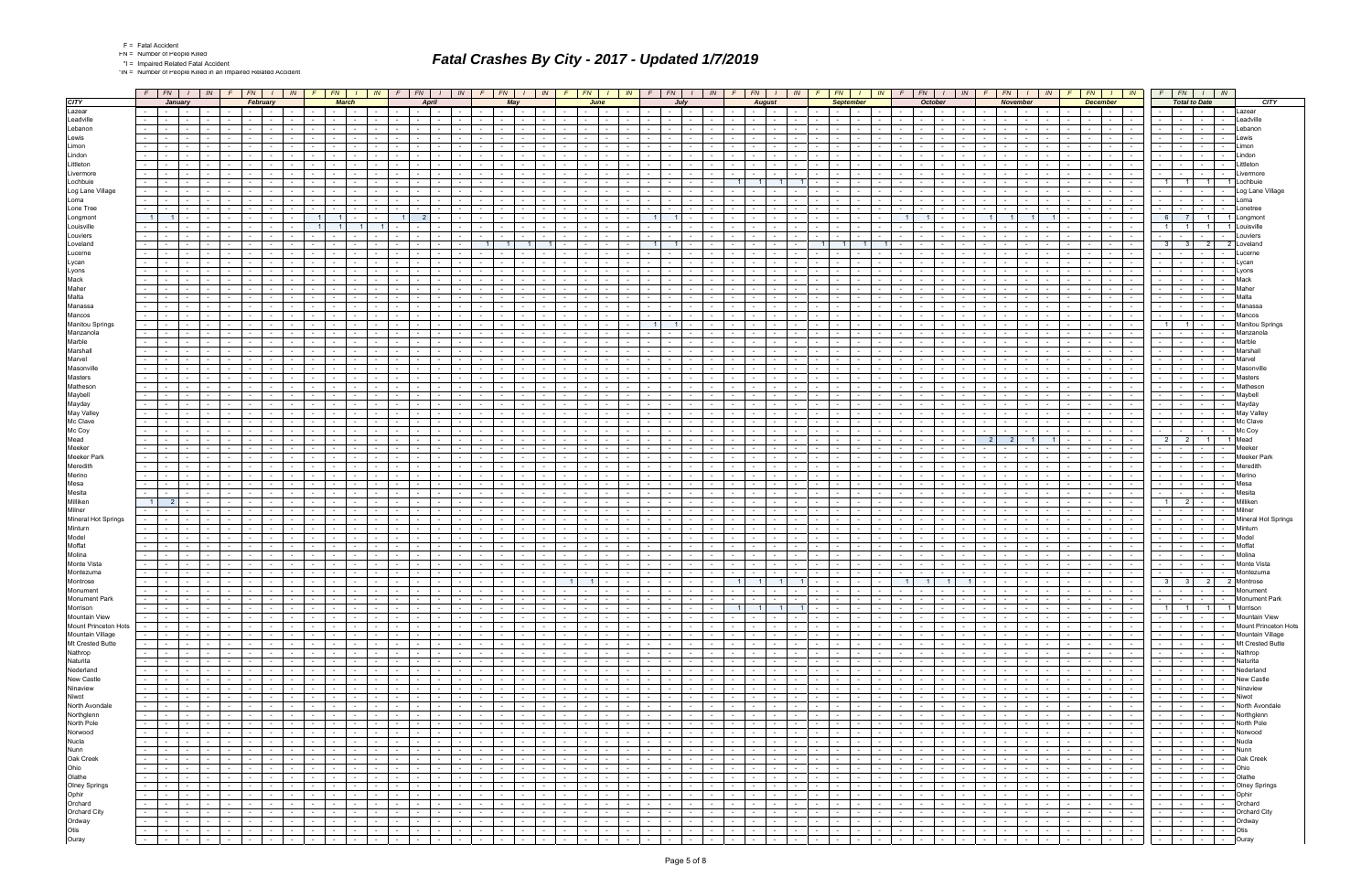|  | Fatal Accide |
|--|--------------|
|  |              |

\*IN = Number of People Killed in an Impaired Related Accident

|                           | $F$ $FN$ $I$                                                                                                                                                                                                                                                                     | $IN \mid F \mid FN \mid I \mid IN \mid F \mid FN \mid I$                                                                            |                                                                                           | $\mid$ IN F FN J I N F FN                   |                                                                |                             |                                                           |                      | $IN$ $F$ $FN$                                         |                                | $IN$ $F$                    |                               | FN<br>IN IN                                                                                 | $F_N$<br>$1 \parallel$ $\parallel$ $\parallel$<br>F.                                                  |                      | FN  <br>$\parallel$ M $\parallel$ F                                                | FN                                                                                                   | $\sqrt{N}$                                                             | FN  <br>$1 \mid N \mid F$                                                                  |                                    | $FN$ $I$ $IN$                                             |                | $F$ $FN$                    | $\mathsf{IN}$                                            |                                           |
|---------------------------|----------------------------------------------------------------------------------------------------------------------------------------------------------------------------------------------------------------------------------------------------------------------------------|-------------------------------------------------------------------------------------------------------------------------------------|-------------------------------------------------------------------------------------------|---------------------------------------------|----------------------------------------------------------------|-----------------------------|-----------------------------------------------------------|----------------------|-------------------------------------------------------|--------------------------------|-----------------------------|-------------------------------|---------------------------------------------------------------------------------------------|-------------------------------------------------------------------------------------------------------|----------------------|------------------------------------------------------------------------------------|------------------------------------------------------------------------------------------------------|------------------------------------------------------------------------|--------------------------------------------------------------------------------------------|------------------------------------|-----------------------------------------------------------|----------------|-----------------------------|----------------------------------------------------------|-------------------------------------------|
| <b>CITY</b>               | January                                                                                                                                                                                                                                                                          | February                                                                                                                            | <b>March</b>                                                                              | April                                       |                                                                |                             | May                                                       |                      |                                                       | June                           |                             |                               | July                                                                                        | <b>August</b>                                                                                         |                      | <b>September</b>                                                                   | <b>October</b>                                                                                       |                                                                        | <b>November</b>                                                                            |                                    | <b>December</b>                                           |                | <b>Total to Date</b>        |                                                          | <b>CITY</b>                               |
| Lazear                    | <b>Contract Contract</b><br>$\sim$                                                                                                                                                                                                                                               | $\sim$ 100 $\mu$                                                                                                                    | $\sim$                                                                                    | <b>Service</b><br>$\sim 100$                |                                                                |                             | $\sim$                                                    |                      |                                                       |                                |                             |                               | $\sim$                                                                                      | $\sim$ 10 $\pm$<br>$\sim$                                                                             |                      |                                                                                    |                                                                                                      |                                                                        | $\sim$ 100 $\mu$                                                                           |                                    | $\sim$<br><b>Contract Contract</b>                        |                | $\sim$                      |                                                          | Lazear                                    |
| Leadville                 | $\sim$                                                                                                                                                                                                                                                                           |                                                                                                                                     |                                                                                           |                                             |                                                                |                             |                                                           |                      |                                                       |                                |                             |                               |                                                                                             |                                                                                                       |                      |                                                                                    |                                                                                                      |                                                                        |                                                                                            |                                    | $\sim$<br>$\sim$ $\sim$                                   |                |                             |                                                          | Leadville                                 |
| Lebanon                   | $\sim$                                                                                                                                                                                                                                                                           |                                                                                                                                     |                                                                                           |                                             |                                                                |                             |                                                           |                      |                                                       |                                |                             |                               |                                                                                             |                                                                                                       |                      |                                                                                    |                                                                                                      |                                                                        |                                                                                            |                                    | $\sim$                                                    |                | $\sim$                      |                                                          | Lebanon                                   |
| Lewis                     |                                                                                                                                                                                                                                                                                  |                                                                                                                                     |                                                                                           |                                             |                                                                |                             |                                                           |                      |                                                       |                                |                             |                               |                                                                                             |                                                                                                       |                      |                                                                                    |                                                                                                      |                                                                        |                                                                                            |                                    |                                                           |                |                             |                                                          | Lewis                                     |
| Limon                     |                                                                                                                                                                                                                                                                                  |                                                                                                                                     |                                                                                           |                                             |                                                                |                             |                                                           |                      |                                                       |                                |                             |                               |                                                                                             |                                                                                                       |                      |                                                                                    |                                                                                                      |                                                                        |                                                                                            |                                    |                                                           |                |                             |                                                          | Limor                                     |
| Lindon                    |                                                                                                                                                                                                                                                                                  |                                                                                                                                     |                                                                                           |                                             |                                                                |                             |                                                           |                      |                                                       |                                |                             |                               |                                                                                             |                                                                                                       |                      |                                                                                    |                                                                                                      |                                                                        |                                                                                            |                                    |                                                           |                |                             |                                                          | Lindon                                    |
| Littleton                 |                                                                                                                                                                                                                                                                                  |                                                                                                                                     |                                                                                           |                                             |                                                                |                             |                                                           |                      |                                                       |                                |                             |                               |                                                                                             |                                                                                                       |                      |                                                                                    |                                                                                                      |                                                                        |                                                                                            |                                    |                                                           |                |                             |                                                          | .ittleton                                 |
| Livermore                 |                                                                                                                                                                                                                                                                                  |                                                                                                                                     |                                                                                           |                                             |                                                                |                             |                                                           |                      |                                                       |                                |                             |                               |                                                                                             |                                                                                                       |                      |                                                                                    |                                                                                                      |                                                                        |                                                                                            |                                    |                                                           |                |                             |                                                          | ivermore                                  |
| Lochbuie                  |                                                                                                                                                                                                                                                                                  |                                                                                                                                     |                                                                                           |                                             |                                                                |                             |                                                           |                      |                                                       |                                |                             |                               |                                                                                             |                                                                                                       |                      |                                                                                    |                                                                                                      |                                                                        |                                                                                            |                                    |                                                           | $\overline{1}$ | $\overline{1}$              | $\blacksquare$                                           | Lochbui                                   |
| Log Lane Village          |                                                                                                                                                                                                                                                                                  |                                                                                                                                     |                                                                                           |                                             |                                                                |                             |                                                           |                      |                                                       |                                |                             |                               | $\sim$                                                                                      |                                                                                                       |                      |                                                                                    |                                                                                                      |                                                                        |                                                                                            |                                    | $\sim$ 100 $\pm$                                          |                | $\sim$                      |                                                          | Log Lane Village                          |
| Loma                      |                                                                                                                                                                                                                                                                                  |                                                                                                                                     |                                                                                           |                                             |                                                                |                             |                                                           |                      |                                                       |                                |                             |                               |                                                                                             |                                                                                                       |                      |                                                                                    |                                                                                                      |                                                                        |                                                                                            |                                    |                                                           |                |                             |                                                          |                                           |
| Lone Tree                 |                                                                                                                                                                                                                                                                                  |                                                                                                                                     |                                                                                           |                                             |                                                                |                             |                                                           |                      |                                                       |                                |                             |                               |                                                                                             |                                                                                                       |                      |                                                                                    |                                                                                                      |                                                                        |                                                                                            |                                    |                                                           |                | $\sim$                      |                                                          | Lonetree                                  |
| Longmont                  | $1 \vert$<br>$\blacksquare$                                                                                                                                                                                                                                                      | 11                                                                                                                                  | $\blacksquare$                                                                            | - 2                                         |                                                                |                             |                                                           |                      |                                                       |                                |                             | $\overline{1}$                | $\blacksquare$<br>$\sim$                                                                    | $\sim$<br>$\sim$                                                                                      |                      |                                                                                    | $\overline{1}$                                                                                       | $\overline{1}$                                                         | $\overline{1}$                                                                             |                                    | <b>Contract</b><br>$\sim$                                 | $6^{\circ}$    | 7 <sup>1</sup>              | $\overline{1}$                                           | 1 Longmont                                |
| Louisville                |                                                                                                                                                                                                                                                                                  |                                                                                                                                     |                                                                                           |                                             |                                                                |                             |                                                           |                      |                                                       |                                |                             |                               |                                                                                             |                                                                                                       |                      |                                                                                    |                                                                                                      |                                                                        |                                                                                            |                                    |                                                           | $1 \mid$       |                             |                                                          |                                           |
| Louviers                  |                                                                                                                                                                                                                                                                                  |                                                                                                                                     |                                                                                           |                                             |                                                                |                             |                                                           |                      |                                                       |                                |                             |                               |                                                                                             |                                                                                                       |                      |                                                                                    |                                                                                                      |                                                                        |                                                                                            |                                    |                                                           |                |                             |                                                          | Louviers                                  |
| Loveland                  |                                                                                                                                                                                                                                                                                  |                                                                                                                                     |                                                                                           | $\sim$                                      |                                                                | 11                          | $\overline{1}$                                            |                      |                                                       |                                |                             | $\blacksquare$                | $\blacksquare$<br>$\sim$                                                                    | $\sim$                                                                                                |                      | $\overline{1}$<br>$\mathbf{1}$                                                     |                                                                                                      |                                                                        |                                                                                            |                                    | <b>Service</b>                                            |                | $3 \mid 3 \mid$             | 2 <sub>1</sub>                                           | 2 ILovelan                                |
| Lucerne<br>Lycan          |                                                                                                                                                                                                                                                                                  |                                                                                                                                     |                                                                                           |                                             |                                                                |                             |                                                           |                      |                                                       |                                |                             |                               |                                                                                             |                                                                                                       |                      |                                                                                    |                                                                                                      |                                                                        |                                                                                            |                                    |                                                           |                |                             |                                                          | Lycan                                     |
| Lyons                     |                                                                                                                                                                                                                                                                                  |                                                                                                                                     |                                                                                           |                                             |                                                                |                             |                                                           |                      |                                                       |                                |                             |                               |                                                                                             |                                                                                                       |                      |                                                                                    |                                                                                                      |                                                                        |                                                                                            |                                    |                                                           |                | $\sim$                      |                                                          | vons                                      |
| Mack                      |                                                                                                                                                                                                                                                                                  |                                                                                                                                     |                                                                                           |                                             |                                                                |                             |                                                           |                      |                                                       |                                |                             |                               |                                                                                             |                                                                                                       |                      |                                                                                    |                                                                                                      |                                                                        |                                                                                            |                                    |                                                           |                |                             |                                                          | Mack                                      |
| Maher                     |                                                                                                                                                                                                                                                                                  |                                                                                                                                     |                                                                                           |                                             |                                                                |                             |                                                           |                      |                                                       |                                |                             |                               |                                                                                             |                                                                                                       |                      |                                                                                    |                                                                                                      |                                                                        |                                                                                            |                                    |                                                           |                |                             |                                                          | Maher                                     |
| Malta                     |                                                                                                                                                                                                                                                                                  |                                                                                                                                     |                                                                                           |                                             |                                                                |                             |                                                           |                      |                                                       |                                |                             |                               |                                                                                             |                                                                                                       |                      |                                                                                    |                                                                                                      |                                                                        |                                                                                            |                                    |                                                           |                | $\sim$                      |                                                          | Malta                                     |
| Manassa                   |                                                                                                                                                                                                                                                                                  |                                                                                                                                     |                                                                                           |                                             |                                                                |                             |                                                           |                      |                                                       |                                |                             |                               |                                                                                             |                                                                                                       |                      |                                                                                    |                                                                                                      |                                                                        |                                                                                            |                                    |                                                           |                |                             |                                                          | Manassa                                   |
| Mancos                    |                                                                                                                                                                                                                                                                                  |                                                                                                                                     |                                                                                           |                                             |                                                                |                             |                                                           |                      |                                                       |                                |                             |                               |                                                                                             |                                                                                                       |                      |                                                                                    |                                                                                                      |                                                                        |                                                                                            |                                    | $\sim$                                                    |                | $\sim$                      |                                                          | Mancos                                    |
| <b>Manitou Springs</b>    |                                                                                                                                                                                                                                                                                  |                                                                                                                                     |                                                                                           |                                             |                                                                |                             |                                                           |                      |                                                       |                                |                             | $\overline{1}$                | $\overline{1}$                                                                              |                                                                                                       |                      |                                                                                    |                                                                                                      |                                                                        |                                                                                            |                                    |                                                           | 1              | $1 \vert$                   |                                                          | <b>Manitou Springs</b>                    |
| Manzanola                 |                                                                                                                                                                                                                                                                                  |                                                                                                                                     |                                                                                           |                                             |                                                                |                             |                                                           |                      |                                                       |                                |                             |                               |                                                                                             |                                                                                                       |                      |                                                                                    |                                                                                                      |                                                                        |                                                                                            |                                    |                                                           |                |                             |                                                          | Manzanola                                 |
| Marble                    |                                                                                                                                                                                                                                                                                  |                                                                                                                                     |                                                                                           |                                             |                                                                |                             |                                                           |                      |                                                       |                                |                             |                               |                                                                                             |                                                                                                       |                      |                                                                                    |                                                                                                      |                                                                        |                                                                                            |                                    | $\sim$                                                    |                |                             |                                                          | Marble                                    |
| Marshall                  |                                                                                                                                                                                                                                                                                  |                                                                                                                                     |                                                                                           |                                             |                                                                |                             |                                                           |                      |                                                       |                                |                             |                               |                                                                                             |                                                                                                       |                      |                                                                                    |                                                                                                      |                                                                        |                                                                                            |                                    |                                                           |                |                             |                                                          | Marshall                                  |
| Marvel                    |                                                                                                                                                                                                                                                                                  |                                                                                                                                     |                                                                                           |                                             |                                                                |                             |                                                           |                      |                                                       |                                |                             |                               |                                                                                             |                                                                                                       |                      |                                                                                    |                                                                                                      |                                                                        |                                                                                            |                                    |                                                           |                |                             |                                                          | Marvel                                    |
| Masonville                |                                                                                                                                                                                                                                                                                  |                                                                                                                                     |                                                                                           |                                             |                                                                |                             |                                                           |                      |                                                       |                                |                             |                               |                                                                                             |                                                                                                       |                      |                                                                                    |                                                                                                      |                                                                        |                                                                                            |                                    |                                                           |                |                             |                                                          | Masonvill                                 |
| Masters                   |                                                                                                                                                                                                                                                                                  |                                                                                                                                     |                                                                                           |                                             |                                                                |                             |                                                           |                      |                                                       |                                |                             |                               |                                                                                             |                                                                                                       |                      |                                                                                    |                                                                                                      |                                                                        |                                                                                            |                                    |                                                           |                |                             |                                                          | Master:                                   |
| Matheson                  |                                                                                                                                                                                                                                                                                  |                                                                                                                                     |                                                                                           |                                             |                                                                |                             |                                                           |                      |                                                       |                                |                             |                               |                                                                                             |                                                                                                       |                      |                                                                                    |                                                                                                      |                                                                        |                                                                                            |                                    |                                                           |                |                             |                                                          | Matheso                                   |
| Maybell                   |                                                                                                                                                                                                                                                                                  |                                                                                                                                     |                                                                                           |                                             |                                                                |                             |                                                           |                      |                                                       |                                |                             |                               |                                                                                             |                                                                                                       |                      |                                                                                    |                                                                                                      |                                                                        |                                                                                            |                                    |                                                           |                |                             |                                                          | lavbel                                    |
| Mayday                    |                                                                                                                                                                                                                                                                                  |                                                                                                                                     |                                                                                           |                                             |                                                                |                             |                                                           |                      |                                                       |                                |                             |                               |                                                                                             |                                                                                                       |                      |                                                                                    |                                                                                                      |                                                                        |                                                                                            |                                    |                                                           |                |                             |                                                          | Mayday                                    |
| May Valley                |                                                                                                                                                                                                                                                                                  |                                                                                                                                     |                                                                                           |                                             |                                                                |                             |                                                           |                      |                                                       |                                |                             |                               |                                                                                             |                                                                                                       |                      |                                                                                    |                                                                                                      |                                                                        |                                                                                            |                                    | $\sim$                                                    |                |                             |                                                          | May Valle                                 |
| Mc Clave                  |                                                                                                                                                                                                                                                                                  |                                                                                                                                     |                                                                                           |                                             |                                                                |                             |                                                           |                      |                                                       |                                |                             |                               |                                                                                             |                                                                                                       |                      |                                                                                    |                                                                                                      |                                                                        |                                                                                            |                                    |                                                           |                |                             |                                                          | Mc Clav∈                                  |
| Mc Coy<br>Mead            |                                                                                                                                                                                                                                                                                  |                                                                                                                                     |                                                                                           |                                             |                                                                |                             |                                                           |                      |                                                       |                                |                             |                               |                                                                                             |                                                                                                       |                      |                                                                                    |                                                                                                      |                                                                        |                                                                                            |                                    |                                                           |                |                             |                                                          | Mc Coy                                    |
| Meeker                    |                                                                                                                                                                                                                                                                                  |                                                                                                                                     |                                                                                           |                                             |                                                                |                             |                                                           |                      |                                                       |                                |                             |                               |                                                                                             |                                                                                                       |                      |                                                                                    |                                                                                                      | 2                                                                      |                                                                                            |                                    |                                                           | $2^{\circ}$    | 2                           | -1                                                       | <b>Mead</b>                               |
| <b>Meeker Park</b>        |                                                                                                                                                                                                                                                                                  |                                                                                                                                     |                                                                                           |                                             |                                                                |                             |                                                           |                      |                                                       |                                |                             |                               |                                                                                             |                                                                                                       |                      |                                                                                    |                                                                                                      |                                                                        |                                                                                            |                                    |                                                           |                |                             |                                                          | <i>l</i> leeker                           |
| Meredith                  |                                                                                                                                                                                                                                                                                  |                                                                                                                                     |                                                                                           |                                             |                                                                |                             |                                                           |                      |                                                       |                                |                             |                               |                                                                                             |                                                                                                       |                      |                                                                                    |                                                                                                      |                                                                        |                                                                                            |                                    | $\sim$ $\sim$                                             |                | $\sim$                      |                                                          |                                           |
| Merino                    |                                                                                                                                                                                                                                                                                  |                                                                                                                                     |                                                                                           |                                             |                                                                |                             |                                                           |                      |                                                       |                                |                             |                               |                                                                                             |                                                                                                       |                      |                                                                                    |                                                                                                      |                                                                        |                                                                                            |                                    |                                                           |                |                             |                                                          |                                           |
| Mesa                      |                                                                                                                                                                                                                                                                                  |                                                                                                                                     |                                                                                           |                                             |                                                                |                             |                                                           |                      |                                                       |                                |                             |                               |                                                                                             |                                                                                                       |                      |                                                                                    |                                                                                                      |                                                                        |                                                                                            |                                    |                                                           |                |                             |                                                          | Mesa                                      |
| Mesita                    |                                                                                                                                                                                                                                                                                  |                                                                                                                                     |                                                                                           |                                             |                                                                |                             |                                                           |                      |                                                       |                                |                             |                               |                                                                                             |                                                                                                       |                      |                                                                                    |                                                                                                      |                                                                        |                                                                                            |                                    |                                                           |                | $\sim$                      |                                                          | <i>A</i> esita                            |
| Milliken                  | $\overline{2}$                                                                                                                                                                                                                                                                   |                                                                                                                                     |                                                                                           |                                             |                                                                |                             |                                                           |                      |                                                       |                                |                             |                               |                                                                                             |                                                                                                       |                      |                                                                                    |                                                                                                      |                                                                        |                                                                                            |                                    |                                                           | $1 \mid$       | $\overline{2}$              |                                                          | Milliken                                  |
| Milner                    | $\sim$                                                                                                                                                                                                                                                                           |                                                                                                                                     |                                                                                           |                                             |                                                                |                             |                                                           |                      |                                                       |                                |                             |                               |                                                                                             |                                                                                                       |                      |                                                                                    |                                                                                                      |                                                                        |                                                                                            |                                    |                                                           |                |                             |                                                          | Milne                                     |
| Mineral Hot Springs       |                                                                                                                                                                                                                                                                                  |                                                                                                                                     |                                                                                           |                                             |                                                                |                             |                                                           |                      |                                                       |                                |                             |                               |                                                                                             |                                                                                                       |                      |                                                                                    |                                                                                                      |                                                                        |                                                                                            |                                    |                                                           |                | $\sim$                      |                                                          | Mineral Hot Springs                       |
| Minturn                   |                                                                                                                                                                                                                                                                                  |                                                                                                                                     |                                                                                           |                                             |                                                                |                             |                                                           |                      |                                                       |                                |                             |                               |                                                                                             |                                                                                                       |                      |                                                                                    |                                                                                                      |                                                                        |                                                                                            |                                    |                                                           |                |                             |                                                          | Minturn                                   |
| Model                     |                                                                                                                                                                                                                                                                                  |                                                                                                                                     |                                                                                           |                                             |                                                                |                             |                                                           |                      |                                                       |                                |                             |                               |                                                                                             |                                                                                                       |                      |                                                                                    |                                                                                                      |                                                                        |                                                                                            |                                    |                                                           |                |                             |                                                          | Model                                     |
| Moffat                    |                                                                                                                                                                                                                                                                                  |                                                                                                                                     |                                                                                           |                                             |                                                                |                             |                                                           |                      |                                                       |                                |                             |                               |                                                                                             |                                                                                                       |                      |                                                                                    |                                                                                                      |                                                                        |                                                                                            |                                    |                                                           |                |                             |                                                          | Moffat                                    |
| Molina                    |                                                                                                                                                                                                                                                                                  |                                                                                                                                     |                                                                                           |                                             |                                                                |                             |                                                           |                      |                                                       |                                |                             |                               |                                                                                             |                                                                                                       |                      |                                                                                    |                                                                                                      |                                                                        |                                                                                            |                                    |                                                           |                |                             |                                                          | Molina                                    |
| Monte Vista               |                                                                                                                                                                                                                                                                                  |                                                                                                                                     |                                                                                           |                                             |                                                                |                             |                                                           |                      |                                                       |                                |                             |                               |                                                                                             |                                                                                                       |                      |                                                                                    |                                                                                                      |                                                                        |                                                                                            |                                    | $\sim$ $\sim$                                             |                | $\sim$                      |                                                          | Monte Vista                               |
| Montezuma                 |                                                                                                                                                                                                                                                                                  |                                                                                                                                     |                                                                                           |                                             |                                                                |                             |                                                           |                      |                                                       |                                |                             |                               |                                                                                             |                                                                                                       |                      |                                                                                    |                                                                                                      |                                                                        |                                                                                            |                                    |                                                           |                | $\sim$                      |                                                          | Montezuma                                 |
| Montrose                  | $\sim$ $-$                                                                                                                                                                                                                                                                       |                                                                                                                                     | $\sim$                                                                                    |                                             |                                                                |                             |                                                           |                      | $\vert$ 1  <br>$\overline{1}$                         |                                |                             |                               |                                                                                             | $1 \mid$<br>$\overline{1}$                                                                            |                      |                                                                                    | $\blacksquare$                                                                                       |                                                                        |                                                                                            |                                    |                                                           |                | $3 \mid 3 \mid$             | 2 <sub>1</sub>                                           | 2 Montrose                                |
| Monument                  | $  -$                                                                                                                                                                                                                                                                            | $\mathbf{I}$ $\mathbf{I}$                                                                                                           | $\sim$ $-$<br>$\sim$ $-$<br>$\sim$                                                        | the contract of the con-                    | $\sim$                                                         | $  -$                       | .                                                         |                      |                                                       |                                |                             | $\sim$ 100 $\pm$<br>$\sim$    | $\sim$ $\sim$ $\sim$ $\sim$<br>$\mathbf{I}$ $\mathbf{I}$                                    | $\sim$<br>$\sim$ $-$<br><b>Contract</b><br>$\overline{\phantom{a}}$<br>$\overline{\phantom{a}}$       |                      | .                                                                                  |                                                                                                      |                                                                        | $\sim$                                                                                     |                                    | $\sim$<br>.<br>$\sim$ $\sim$                              |                | $\sim 10^{-1}$ km s $^{-1}$ | $\mathbf{1}$ and $\mathbf{1}$ and $\mathbf{1}$<br>$\sim$ | Monument                                  |
| Monument Park<br>Morrison | $\sim$<br><b>Contract</b><br>$\sim$<br>$\sim 100$<br>$\mathbf{I}$ and $\mathbf{I}$<br>$\sim$                                                                                                                                                                                     | $\sim$ $-$<br><b>Contract</b><br>$\sim$<br>$\sim$<br><b>Contract</b><br>$\sim$<br><b>Contract</b><br>$\sim$ $\sim$ $\sim$<br>$\sim$ | $\sim 100$<br>and the state of the state<br>$\sim 10^{-11}$<br>and the state of the state | <b>Contract Contract</b><br>the contract of | <b>Contract</b><br>$\sim 10^{-1}$<br><b>Contract</b><br>$\sim$ | $\sim$ $\sim$<br>$\sim$ $-$ | $\sim$ $-$<br>$\sim 100$<br>$\sim$ $-$<br>$\sim 10^{-11}$ | $\sim$<br>$\sim$     | $\sim 10^{-11}$<br>$\sim$<br>$\sim$ $-$<br>$\sim$     | the college of                 | the contract of             | $\sim 10^{-11}$               | $\sim 100$<br><b>Contract</b><br>the contract of<br>$\sim 100$                              | $\sim 100$ m $^{-1}$<br>$\sim$ $-$<br><b>Contract</b><br>$1 \quad 1$<br>$1 \quad 1$                   | $\sim$ $-$<br>$\sim$ | $\sim 100$<br>$\sim$<br>$\sim$ $-$<br>$\sim 10^{-11}$<br>the contract of           | $\sim$<br><b>Contract</b><br>$\sim$ $-$<br>$\sim$ $-$<br><b>Contract</b><br><b>Contract Contract</b> | $\sim 10^{-11}$<br><b>Contract</b><br>$\sim 10^{-11}$<br>$\sim$ $\sim$ | $\sim 10^{-11}$<br><b>Contract Contract</b><br>$\sim 10^{-11}$<br><b>Contract Contract</b> | <b>Contract</b><br>$\sim 10^{-11}$ | $\sim$ $-$<br>$\sim 10^{-11}$<br><b>Contract Contract</b> |                |                             | $\sim$ $\sim$ $\sim$ $\sim$                              | <b>Monument Park</b><br>1 1 1 1 Morrison  |
| Mountain View             | the contract of the con-<br>$\sim$<br>$\sim 100$                                                                                                                                                                                                                                 | the contract of<br><b>Carolina Co</b><br>$\sim$<br>$\sim 10^{-11}$                                                                  | the contract of                                                                           | <b>Contract Contract</b>                    | $\sim 10^{-10}$<br>$\sim$                                      | the contract                | $\sim$ $\sim$                                             | $\sim 10^{-1}$       | $\sim$ $\sim$<br>$\sim$                               |                                | the contract of             | $\sim 10^{-11}$               | $\sim$ $\sim$<br>$\sim 10^{-11}$<br><b>Contract</b>                                         | $\sim$<br><b>Contract</b><br>the contract of                                                          | $\sim$               | the contract of<br>$\sim$ $\sim$ $\sim$                                            | $\sim$<br>$\sim 10^{-11}$                                                                            | $\sim 10^{-11}$<br>$\sim$ $\sim$                                       | $\sim 10^{-11}$<br>the contract of                                                         | <b>Contract</b>                    | and the contract                                          |                | $-1 - 1 - 1$                | $\sim$ $-$                                               | Mountain View                             |
| Mount Princeton Hots      | $\sim$ $-$<br><b>The Contract of the Contract of the Contract of the Contract of the Contract of the Contract of the Contract of the Contract of the Contract of the Contract of the Contract of the Contract of the Contract of the Contract </b><br>$\sim$<br>$\sim$ 100 $\mu$ | $\sim$<br>$\sim$ $-$<br>$\sim$<br>$\sim$<br>$\sim$ $-$                                                                              | $\sim$ $-$<br>$\sim$ $-$<br>$\sim 10^{-1}$                                                | <b>Contract Contract</b>                    | <b>Contract</b><br>$\sim$                                      | $\sim 10^{-11}$             | $\sim$<br>$\sim 100$                                      | $\sim$               | $\sim 10^{-11}$<br>$\sim$                             | $\sim$ $-$                     | $\sim 10^{-1}$              | $\sim$                        | $\sim 10^{-10}$<br>$\sim$ $-$<br>$\sim$                                                     | $\sim$<br>$\sim 10^{-11}$<br>$\sim$ $-$<br>$\sim$                                                     | $\sim$ $-$           | $\sim$<br>$\sim 10^{-11}$<br>$\sim 10^{-11}$                                       | $\sim$<br>$\sim 10^{-11}$<br>$\sim 10^{-1}$                                                          | $\sim$ $-$<br>$\sim 10^{-11}$                                          | $\sim$ $-$<br>the contract of                                                              | $\sim 10^{-11}$                    | $\sim$<br><b>Contract Contract</b>                        |                | the contract of             | <b>Contract Contract</b>                                 | Mount Princeton Hots                      |
| Mountain Village          | $-1 - 1$<br>$\sim$<br>$\sim$ 100 $\mu$                                                                                                                                                                                                                                           | the contract of<br>$\sim$<br>$\sim$<br>$\sim$ $\sim$ $\sim$                                                                         | <b>Contract</b><br><b>Contract Contract</b>                                               | the contract of                             | $\sim$ $-$<br>$\sim$                                           | $ -$                        | $\sim$<br>$\sim 100$                                      | $\sim$ $-$           | <b>Contract</b><br>$\sim$ $-$                         | the contract                   |                             | <b>Contract</b>               | $\sim 10^{-11}$<br>$\sim$ $-$                                                               | $\sim$<br>$\sim 10^{-11}$<br>$\sim$ $-$<br>$\sim 10^{-11}$                                            | $\sim$               | <b>Service</b><br>$\sim 100$<br>$\sim$ $-$                                         | $\sim$<br>$\sim 100$<br>$\sim 10^{-10}$                                                              | $\sim 10^{-11}$<br>$\sim$ $\sim$ $\sim$                                | $\sim 10^{-11}$<br>and the state of the state                                              | $\sim$ $-$                         | $\sim 10^{-1}$<br>1999 - Peter Bank                       |                |                             |                                                          | -   - Mountain Village                    |
| Mt Crested Butte          | $\sim$<br><b>Contract</b><br>$\sim$                                                                                                                                                                                                                                              | $\sim$<br><b>Contract</b><br>$\sim$                                                                                                 | $\sim$<br>$\sim$ $  -$<br>$\sim 10^{-11}$                                                 | the contract of                             | $\sim$<br>$\sim$ $ \sim$                                       | $\sim$ 100 $\mu$            | $\sim$<br>$\sim 100$                                      | $\sim$               | $\sim$ $-$<br>$\sim$                                  | $\sim$ $\sim$                  | $\sim 100$                  | $\sim$                        | <b>Contract</b><br>$\sim$ $-$<br>$\sim$ $-$                                                 | $\sim$<br>$\sim$ $-$<br>$\sim$<br>$\sim 100$                                                          | $\sim$               | $\sim$<br>$\sim$ $-$<br>$\sim 100$                                                 | $\sim$<br><b>Contract</b><br>$\sim$ $-$                                                              | $\sim 10^{-11}$<br>$\sim 10^{-11}$                                     | $\sim$ $-$<br>the contract of                                                              | $\sim 10^{-11}$                    | $\sim$<br>$\sim$ $-$<br>$\sim$                            |                | the contract                | the contract                                             | Mt Crested Butte                          |
| Nathrop                   | $\sim$ 10 $\pm$<br><b>Contract</b><br>$\sim$<br>$\sim$ 100 $\mu$                                                                                                                                                                                                                 | $\sim$<br><b>Contract</b><br>$\sim$ $-$<br>$\sim 10^{-11}$<br>$\sim$                                                                | $\sim 10^{-11}$<br>and the state                                                          | the contract of                             | <b>Contract</b><br>$\sim$                                      | $\sim 10^{-11}$             | $\sim$<br>$\sim 10^{-11}$                                 | $\sim$               | $\sim 10^{-11}$<br>$\sim$ $-$                         | $\sim$ $-$                     | $\sim 10^{-1}$              | $\sim$                        | $\sim$ $-$<br><b>Contract</b><br>$\sim$                                                     | $\sim$<br>$\sim$<br>$\sim 10^{-11}$<br>$\sim 100$                                                     | $\sim$               | $\sim 10^{-11}$<br>$\sim$<br><b>Contract</b>                                       | $\sim$<br>$\sim 10^{-1}$<br>$\sim$ $-$                                                               | $\sim 10^{-11}$<br>$\sim 10^{-11}$                                     | $\sim$ $-$<br>the contract of                                                              | $\sim 10^{-11}$                    | $\sim$<br>the contract                                    |                | the contract                | $\sim$ $\sim$ $\sim$<br>$\sim$ $-$                       | Nathrop                                   |
| Naturita                  | $\sim$<br><b>Contract</b><br>$\sim$<br>$\sim$ $-$                                                                                                                                                                                                                                | $\sim$<br>$\mathbf{r}$<br>$\sim$<br>$\sim$ $\sim$ $\sim$<br>$\sim$                                                                  | $\sim 100$<br>the contract                                                                | the contract of                             | $\sim$<br>$\sim$                                               | $\sim 100$                  | $\sim$<br>$\sim 100$                                      | $\sim$ $-$           | $\sim$ $-$<br>$\sim$ $-$                              | the contract                   |                             | $\sim 100$                    | <b>Contract</b><br>$\sim 10^{-11}$<br>$\sim$                                                | $\sim$<br>$\sim 10^{-11}$<br>$\sim$<br>$\sim$ 100 $\mu$                                               | $\sim$               | <b>Service</b><br>$\sim$<br>$\sim$                                                 | $\sim$<br>$\sim 100$<br>$\sim$                                                                       | $\sim 10^{-11}$<br><b>Contract</b>                                     | $\sim$ $ \sim$<br>the contract                                                             | $\sim$                             | $\sim$<br>and the property of the con-                    |                | the contract of             | $\sim$ $\sim$ $\sim$<br>$\sim$                           | Naturita                                  |
| Nederland                 | <b>Contract</b><br>$\sim$                                                                                                                                                                                                                                                        | $\sim$<br>$\sim 10^{-11}$<br>$\sim$                                                                                                 | $\sim$<br><b>Contract Contract</b><br>$\sim 100$                                          | the contract of                             | $\sim$ $-$<br>$\sim$                                           | $\sim 100$                  | $\sim$<br>$\sim$ 10 $\pm$                                 | $\sim$               | $\sim$ $-$<br>$\sim$                                  | $\sim$ $\sim$                  | $\sim 100$                  | $\sim$                        | <b>Contract</b><br>$\sim$ $-$<br>$\sim$                                                     | $\sim$<br>$\sim$ $-$<br>$\sim$<br>$\sim 10^{-1}$                                                      | $\sim$               | $\sim$<br>$\sim 10^{-11}$                                                          | $\sim$<br>$\sim$<br>$\sim$                                                                           | $\sim$<br>$\sim 10^{-1}$                                               | $\sim$ $-$<br>the collection                                                               |                                    | $\sim$<br>$\sim$ $-$                                      |                | the control of the          | $\sim$<br>$\sim 100$                                     | Nederland                                 |
| New Castle                | $\sim$ $-$<br>$\mathbf{I}$ and $\mathbf{I}$<br>$\sim$<br>$\sim$                                                                                                                                                                                                                  | <b>Contract</b><br>$\sim$ 100 $\sim$<br>$\sim$ $-$                                                                                  | $\sim 10^{-11}$<br><b>Contract Contract</b>                                               | the contract of                             | <b>Contract</b><br>$\sim$                                      | $\sim$ $-$                  | $\sim$<br>$\sim 10^{-11}$                                 | $\sim$               | $\sim 10^{-11}$<br>$\sim$                             | the contract                   |                             | $\sim 10^{-1}$                | $\sim 10^{-10}$<br>$\sim 10^{-11}$<br>$\sim$                                                | $\sim$<br>$\sim 10^{-11}$<br>$\sim$<br>$\sim$                                                         | $\sim$               | $\sim$ 100 $\mu$<br>$\sim$<br>$\sim$                                               | $\sim 10^{-11}$<br>$\sim$                                                                            | $\sim 10^{-11}$<br>$\sim 10^{-11}$                                     | $\sim$ $-$<br><b>Contract Contract</b>                                                     | $\sim 10^{-11}$                    | $\sim$ $-$                                                |                | the contract of             | the contract                                             | New Castle                                |
| Ninaview                  | $-1 - 1$<br>$\sim$<br>$\sim$ 100 $\mu$                                                                                                                                                                                                                                           | $\sim$ $\sim$<br>the contract of<br>$\sim$ $-$<br>$\sim 10^{-11}$                                                                   | $\sim 10^{-11}$<br>the contract of                                                        | <b>Contract Contract</b>                    | $\sim 10^{-10}$<br>$\sim$                                      | $\sim$                      | $\sim$ $-$<br>$-1$                                        | $\sim$               | $\sim$<br>$\sim 10^{-11}$                             |                                | the contract of             | $\sim 10^{-11}$               | <b>Carolina Co</b><br><b>Contract Contract</b>                                              | $\sim$<br>$\sim 10^{-11}$<br>$\sim$<br><b>Contract</b>                                                | $\sim$               | the contract of<br>$\sim 100$                                                      | $\sim$<br><b>Contract</b><br>$\sim$ $  -$                                                            | $\sim$ $-$<br>$\sim$                                                   | $\sim$ $-$<br>the contract of                                                              | $\sim 10^{-11}$                    | the contract of the con-                                  |                | the contract of             |                                                          | - - - Ninaview                            |
| Niwot                     | $\sim 100$                                                                                                                                                                                                                                                                       | $\sim$ $-$<br><b>Contract</b><br>$\sim$ $-$                                                                                         | $\sim 10^{-11}$<br>the contract                                                           | the contract of                             | $\sim 100$<br>$\sim$ $-$                                       | $\sim 100$                  | $\sim$<br>$\sim$ 100 $\mu$                                | $\sim$ $-$           | $\sim$ $-$<br>$\sim$                                  | the contract                   |                             | $\sim 10^{-1}$                | $\sim 10^{-11}$<br><b>Contract</b><br>$\sim$                                                | $\sim$<br>$\sim$ $-$<br>$\sim 10^{-11}$<br>$\sim$ 100 $\mu$                                           |                      | $\sim$<br>$\sim$<br><b>Service</b>                                                 | $\sim$<br>$\sim 100$<br>$\sim$ $-$                                                                   | $\sim 10^{-11}$<br>$\sim$                                              | $\sim$ $-$<br><b>Contract Contract</b>                                                     |                                    | and the state of the state<br>$\sim$ $-$                  |                | the contract                | $\sim$ $  \sim$<br>$\sim$                                | Niwot                                     |
| North Avondale            | $\sim$ 10 $\pm$<br><b>Contract</b><br>$\sim$<br>$\sim$                                                                                                                                                                                                                           | $\sim$<br><b>Contract</b><br><b>Contract</b><br>$\sim$ $-$                                                                          | $\sim 10^{-11}$<br><b>Contract Contract</b>                                               | the collection                              | <b>Contract</b><br>$\sim$                                      | $\sim 10^{-10}$             | $\sim$<br>$\sim$ 100 $\mu$                                | $\sim$               | $\sim 10^{-11}$<br>$\sim$                             | $\sim$ $\sim$                  | $\sim 10^{-1}$              | $\sim 10^{-11}$               | $\sim 10^{-10}$<br>$\sim 10^{-11}$<br>$\sim 10^{-11}$                                       | $\sim$<br>$\sim 10^{-11}$<br>$\sim$<br>$\sim 100$                                                     | $\sim$               | $\sim$<br>$\sim$<br>$\sim$ 100 $\mu$                                               | $\sim$<br>$\sim 10^{-11}$<br>$\sim$ $-$                                                              | $\sim 10^{-11}$<br><b>Contract</b>                                     | $\sim 10^{-11}$<br>and the state                                                           | <b>Contract</b>                    | $\sim$<br>the contract                                    |                | the contract of             | $\sim$ $-$<br>$\sim$ $-$                                 | North Avondale                            |
| Northglenn                | the contract of<br>$\sim$ $-$<br>$\sim 10^{-11}$                                                                                                                                                                                                                                 | the contract of<br>$\sim 10^{-11}$<br>$\sim 10^{-11}$<br>$\sim$ $\sim$ $\sim$                                                       | $\sim 10^{-11}$<br>the contract of                                                        | <b>Contract Contract</b>                    | $\sim 10^{-10}$<br>$\sim$                                      | the contract                | $\sim$ $\sim$ $\sim$                                      | $\sim 10^{-1}$       | $\sim$ $-$<br>$\sim 100$                              | the contract of                |                             | $\sim 10^{-11}$               | <b>Carolina Co</b><br><b>Contract</b>                                                       | $\sim$<br>$\sim 10^{-11}$<br>$\sim 10^{-1}$<br><b>Contract</b>                                        | $\sim$               | $-1$<br>the contract of                                                            | $\sim$ $-$<br><b>Contract</b><br>$\sim$ $  -$                                                        | $\sim$ $-$<br>$\sim$ $\sim$                                            | $\sim$ $-$<br>the contract of                                                              | <b>Contract</b>                    | the contract of the con-                                  |                |                             |                                                          | $    -$ Northglenn                        |
| North Pole                | $\sim$<br>$\sim 10^{-11}$<br>$\sim$                                                                                                                                                                                                                                              | $\sim$ $-$<br><b>Contract Contract</b><br>$\sim$ $-$<br>$\sim$                                                                      | $\sim$<br><b>Contract Contract</b><br>$\sim 100$                                          | $\sim 100$<br>$\sim 100$                    | $\sim$<br>$\sim 10^{-11}$                                      | $\sim$ 100 $\mu$            | $\sim$<br>$\sim$ 100 $\mu$                                | $\sim$               | $\sim 10^{-11}$<br>$\sim$                             | $\sim$ $\sim$                  | $\sim 10^{-1}$              | $\sim$                        | $\sim$<br>$\sim$ $-$<br>$\sim$                                                              | $\sim$<br>$\sim$ $-$<br>$\sim$<br>$\sim 100$                                                          | $\sim$               | $\sim$<br>$\sim 10^{-11}$<br>$\sim$ 100 $\mu$                                      | $\sim$<br>$\sim$<br>$\sim$                                                                           | $\sim$ $-$<br>$\sim$                                                   | $\sim$<br>the contract of                                                                  | $\sim$ $-$                         | $\sim$<br>the contract                                    |                | <b>Second Control</b>       | $\sim$<br>$\sim$ $  \sim$                                | North Pole                                |
| Norwood                   | $\sim$<br><b>Contract Contract</b><br>$\sim$<br>$\sim 100$                                                                                                                                                                                                                       | the contract of<br>$\sim$<br>$\sim 10^{-11}$<br>$\sim$ $\sim$ $\sim$                                                                | $\sim 10^{-10}$<br>and the state of the state                                             | the contract of                             | $\sim 10^{-10}$<br>$\sim$                                      | $\sim$ $-$                  | $\sim$<br>$\sim 100$                                      | $\sim$ $-$           | <b>Contract</b><br>$\sim$ $-$                         | the college of                 |                             | <b>Contract</b>               | $\sim 100$<br><b>Contract</b>                                                               | $\sim$<br>$\sim$<br><b>Contract</b><br><b>Contract</b>                                                | $\sim$               | $\sim 100$<br>$\sim$<br>$\sim$ $-$                                                 | $\sim$<br>$\sim 100$<br>$\sim 10^{-11}$                                                              | $\sim 10^{-11}$<br>$\sim$ $\sim$ $\sim$                                | $\sim 10^{-11}$<br>the contract of                                                         | $\sim 10^{-11}$                    | the contract<br>$\sim 10^{-1}$                            |                | the contract of the con-    | $\sim$ $\sim$ $\sim$ $\sim$<br>$\sim$ $ \sim$            | Norwood                                   |
| Nucla                     | $\sim$<br>$\sim$<br><b>Contract Contract Street</b><br>$\sim$ $-$                                                                                                                                                                                                                | $\sim$<br>$\sim$ $-$<br>$\sim 10^{-1}$<br>$\sim$<br>$\sim$ $\sim$ $\sim$                                                            | $\sim 10^{-11}$<br>the contract of                                                        | <b>Contract Contract</b>                    | $\sim 10^{-10}$<br>$\sim$                                      | the contract                | $\sim$ $\sim$                                             | $\sim 10^{-1}$       | $\sim$<br>$\sim 100$                                  | <b>Security</b>                |                             | $\sim 10^{-11}$               | <b>Carolina Co</b><br><b>Contract</b>                                                       | $\sim$<br>$\sim 10^{-11}$<br>$\sim 10^{-1}$<br><b>Contract</b>                                        | $\sim$               | $\sim$ $\sim$<br>the contract of                                                   | $\sim$<br><b>Contract</b><br>$\sim 10^{-10}$                                                         | $\sim$<br>$\sim 10^{-11}$                                              | $\sim 10^{-11}$<br>the contract of                                                         | <b>Contract</b>                    | $-1 - 1 - 1 - 1$                                          |                | $-1 - 1 - 1 - 1$            | <b>Contract</b>                                          | Nucla                                     |
| Nunn                      | $\sim$<br>$\sim 10^{-11}$<br>$\sim$                                                                                                                                                                                                                                              | $\sim$<br>$\sim$<br>$\sim$ $-$                                                                                                      | $\sim$<br><b>Contract Contract</b><br>$\sim 100$                                          | the contract of                             | $\sim$<br>$\sim$ 100 $\sim$                                    | $\sim$ 100 $\mu$            | $\sim$<br>$\sim$ 100 $\mu$                                | $\sim$               | $\sim 10^{-11}$<br>$\sim$                             | $\sim$ $\sim$                  | $\sim 10^{-1}$              | $\sim$                        | $\sim$<br>$\sim$ $-$<br>$\sim$                                                              | $\sim$<br>$\sim$<br>$\sim$<br>$\sim 100$                                                              | $\sim$               | $\sim$<br>$\sim 10^{-11}$<br>$\sim$ 100 $\mu$                                      | $\sim$<br>$\sim$ $-$<br>$\sim$ $-$                                                                   | $\sim$ $-$<br>$\sim$                                                   | $\sim$<br>the contract of                                                                  | $\sim$ $-$                         | $\sim$<br>and the state of the state                      |                | <b>Second Control</b>       | $\sim$<br><b>Contract</b>                                | Nunn                                      |
| Oak Creek                 | $\sim$<br><b>Contract</b><br>$\sim$<br>$\sim 100$                                                                                                                                                                                                                                | the contract of<br>$\sim$<br>$\sim 10^{-11}$<br>$\sim$ $\sim$ $\sim$                                                                | $\sim 10^{-10}$<br>and the state of the state                                             | the contract of                             | $\sim 10^{-10}$<br>$\sim$                                      | $\sim$ $\sim$ $\sim$        | $\sim$<br><b>Service</b>                                  | $\sim$ $-$           | <b>Contract</b><br>$\sim$ $-$                         | the college of                 |                             | <b>Contract</b>               | $\sim 10^{-10}$<br>$\sim 100$                                                               | $\sim$<br>$\sim$<br><b>Contract</b><br><b>Contract</b>                                                | $\sim$               | <b>Service</b><br>the contract of the                                              | $\sim$<br>$\sim 100$<br>$\sim 10^{-11}$                                                              | $\sim 10^{-11}$<br>$\sim$ $\sim$ $\sim$                                | $\sim 10^{-11}$<br>the contract of                                                         | $\sim 10^{-11}$                    | <b>Contract Contract</b><br>$\sim 10^{-1}$                |                | the contract of             | $\sim$ $\sim$<br>$\sim 100$                              | Oak Creek                                 |
| Ohio                      | $\sim$<br><b>Contract</b><br>$\sim$<br>$\sim$                                                                                                                                                                                                                                    | $\sim$ $-$<br>$\sim$ $-$<br>$\sim 10^{-1}$<br>$\sim 10^{-11}$<br>$\sim$ $-$                                                         | $\sim 10^{-10}$<br>the contract of                                                        | <b>Contract Contract</b>                    | $\sim 10^{-10}$<br>$\sim$                                      | <b>Contract</b>             | $\sim$<br>$\sim 100$                                      | $\sim$               | $\sim 10^{-11}$<br>$\sim$                             | $\sim$ $-$                     | $\sim 100$                  | $\sim 10^{-11}$               | $\sim$ $\sim$<br>$\sim 10^{-11}$<br><b>Contract</b>                                         | $\sim$ $-$<br><b>Contract</b><br>$\sim$<br>$\sim 10^{-11}$                                            | $\sim$               | $\sim 10^{-11}$<br>$\sim$<br>$\sim 10^{-11}$                                       | $\sim$<br><b>Contract</b><br>$\sim 10^{-1}$                                                          | $\sim 10^{-11}$<br>$\sim 10^{-11}$                                     | $\sim 10^{-11}$<br>the contract of                                                         | $\sim 10^{-11}$                    | $\sim$ $-$<br>$-1 - 1 - 1$                                |                | <b>Service</b> Service      | $\sim 10^{-10}$<br>$\sim$                                | Ohio                                      |
| Olathe                    | $\sim$ 10 $\pm$<br>$\sim$ $-$<br>$\sim$<br>$\sim$ 100 $\sim$                                                                                                                                                                                                                     | the contract of<br>$\sim$<br>$\sim 10^{-11}$<br>$\sim$ $\sim$ $\sim$                                                                | $\sim 10^{-10}$<br><b>Contract Contract</b>                                               | <b>Contract Contract</b>                    | <b>Contract</b><br>$\sim$                                      | $-1$                        | $\sim$ $-$<br>$\sim 10^{-11}$                             | $\sim$ $-$           | $\sim 10^{-11}$<br>$\sim$ $-$                         | the contract of                |                             | $\sim 10^{-1}$                | $\sim 10^{-11}$<br>$\sim 10^{-10}$<br>$\sim 100$                                            | $\sim 10$<br>$\sim 100$<br>$\sim 10^{-11}$<br><b>Contract</b>                                         | $\sim$ $-$           | $\sim$ 100 $\mu$<br>$\sim$ $-$<br>$\mathbf{1}$ and $\mathbf{1}$                    | $\sim$<br>$\sim 10^{-11}$<br><b>Contract Contract</b>                                                | $\sim 10^{-11}$<br><b>Contract</b>                                     | $\sim$ $-$<br>the contract of                                                              | $\sim 10^{-11}$                    | $    -$                                                   |                | the company's               | $\mathbf{I}$ . The set of $\mathbf{I}$                   | - Olathe<br>-   -   -   -   Olney Springs |
| Olney Springs<br>Ophir    | $\sim$<br><b>Common</b><br>$\sim$<br>$\sim 100$<br><b>Contract Contract</b><br>$\sim$                                                                                                                                                                                            | , 그는데<br>the contract of<br>$\sim$<br>$\sim 10^{-11}$                                                                               | $\sim 10^{-11}$<br><b>Contract Contract</b>                                               | <b>Contract Contract</b>                    | $\sim 10^{-10}$<br>$\sim$                                      | $\sim$ $\sim$               | $\sim$<br>$\sim 100$                                      | $\sim$               | $\sim 10^{-11}$<br>$\sim$                             | and the co                     |                             | $\sim 10^{-11}$               | $\sim$ $-$<br>$\sim$ $\sim$<br><b>Contract</b><br>$\sim 100$                                | $\sim$<br>$\sim$ $-$<br><b>Contract</b><br>$\sim 100$ m $^{-1}$<br>$\sim 100$                         | $\sim$               | the contract of<br><b>Contract</b>                                                 | $\sim$<br>$\sim 10^{-11}$<br>$\sim 10^{-11}$                                                         | $\sim 10^{-1}$<br>$\sim$<br>$\sim 10^{-11}$                            | $\sim 10^{-11}$<br><b>Contract Contract</b>                                                | $\sim 10^{-11}$                    | and the contract                                          |                |                             |                                                          | Ophir                                     |
| Orchard                   | $\sim$<br>$\sim$<br>$\sim$<br><b>Contract Contract</b><br>$\sim$<br>$\sim$ 100 $\mu$                                                                                                                                                                                             | $\sim$<br>$\sim$ $-$<br>$\sim 10^{-11}$<br>$\sim$ $-$<br>$\sim$<br>the contract of<br>$\sim$ $\sim$ $\sim$<br>$\sim$<br>$\sim$ $-$  | $\sim$ $-$<br>the contract of<br>$\sim 10^{-11}$<br><b>Contract Contract</b>              | <b>Contract Contract</b><br>the collection  | <b>Contract</b><br>$\sim$<br>$\sim 10^{-11}$<br>$\sim$         | $\sim 100$<br>$\sim$ $\sim$ | $\sim$<br><b>Service</b><br>$\sim$<br><b>Service</b>      | $\sim$ $-$<br>$\sim$ | $\sim 10^{-11}$<br>$\sim$<br>$\sim$ $-$<br>$\sim$ $-$ | the collection<br>the contract |                             | $\sim$ $-$<br>$\sim 10^{-11}$ | $\sim 10^{-10}$<br>$\sim 10^{-10}$<br><b>Contract</b><br><b>Contract</b><br><b>Contract</b> | $\sim$<br>$\sim 10^{-11}$<br>$\sim$ $-$<br>$\sim$ $-$<br>$\sim 10^{-11}$<br>$\sim$<br><b>Contract</b> | $\sim$<br>$\sim$     | <b>Service</b><br>$\sim$<br><b>Contract</b><br>the contract of<br>$\sim$ 100 $\mu$ | $\sim$<br><b>Contract</b><br>$\sim$ $-$<br>$\sim$<br><b>Contract</b><br>$\sim 10^{-11}$              | $\sim 10^{-11}$<br>$\sim 10^{-11}$<br>$\sim$ $\sim$ $\sim$             | $\sim 10^{-10}$<br>the contract of<br>$\sim$ $-$<br>the contract of                        | <b>Contract</b><br>$\sim 10^{-11}$ | $\sim 10^{-11}$<br>$\sim$ $\sim$ $\sim$ $\sim$            |                | <b>Second Control</b>       | $\mathbf{I}$ = $\mathbf{I}$<br>$\sim$ $-$                | - Orchard                                 |
| Orchard City              | $\sim$                                                                                                                                                                                                                                                                           | the contract of<br>$\sim$ $\sim$<br>$\sim$                                                                                          | $\sim$ $-$                                                                                | and the state                               | $\sim 10^{-10}$                                                |                             |                                                           |                      | $\sim 10^{-11}$<br>$\sim$                             |                                | <b>Service State</b>        | $\sim 10^{-1}$                | $\sim$ $-$                                                                                  | $\sim$<br>$\sim$<br><b>Contract</b><br>$\sim 100$ m $^{-1}$                                           |                      | the contract of                                                                    | $\sim$<br>$\sim$ $  -$                                                                               | $\sim 10^{-1}$<br>$\sim$ $\sim$                                        | $\sim 10^{-11}$<br><b>Contract Contract</b>                                                | $\sim 10^{-11}$                    | <b>Second Contract Contract</b>                           |                | <b>Second Second</b>        |                                                          | - Orchard City                            |
| Ordway                    | <b>Common</b><br>$\sim$<br>$\sim 100$<br>$\sim$<br><b>Contract</b><br>$\sim$<br>$\sim 100$                                                                                                                                                                                       | $\sim 100$<br>$\sim$<br>$\sim$ $-$<br>$\sim 100$<br>$\sim$ $-$<br>$\sim$                                                            | the contract<br>$\sim$ $-$<br>the contract of                                             | <b>Contract Contract</b>                    | $\sim$<br><b>Contract</b><br>$\sim$                            | $\sim$<br>$\sim 100$        | $\sim$<br>$\sim 100$<br>$\sim$<br><b>Service</b>          | $\sim$<br>$\sim$ $-$ | $\sim 10^{-11}$<br>$\sim$                             | the collection                 |                             | $\sim$                        | <b>Contract</b><br>$\sim 10^{-11}$<br>$\sim 10^{-10}$<br>$\sim 100$                         | $\sim$<br><b>Contract</b><br>$\sim$ $-$<br>$\sim 100$                                                 | $\sim$<br>$\sim$     | $\sim 100$<br>$\sim$<br>$\sim 100$<br><b>Contract</b>                              | $\sim 10^{-11}$<br>$\sim 10^{-11}$<br>$\sim$ $-$<br>$\sim$ $-$                                       | $\sim 10^{-11}$<br>$\sim 10^{-11}$                                     | $\sim 10^{-10}$<br>the contract of                                                         | $\sim 10^{-11}$                    | $\sim$ $-$<br><b>Contract Contract</b>                    |                | the contract of             | $\sim$ $\sim$ $\sim$ $\sim$<br>$\sim$ $-$<br>$\sim$ $-$  | Ordway                                    |
| Otis                      | $\sim$<br><b>Contract Contract</b><br>$\sim$<br>$\sim$ 100 $\mu$                                                                                                                                                                                                                 | $\sim$ $\sim$<br>the contract of<br>$\sim 10^{-1}$<br>$\sim 10^{-11}$                                                               | $\sim 10^{-11}$<br>the contract of                                                        | the contract of                             | $\sim 10^{-10}$<br>$\sim$                                      |                             | $\sim$ $-$<br>$\sim 100$                                  | $\sim$               | $\sim$ $-$<br>$\sim$                                  |                                | the contract of             | $\sim 10^{-11}$               | $\sim$ $\sim$<br><b>Contract</b><br><b>Contract</b>                                         | $\sim$<br><b>Contract</b><br>$\sim 10^{-11}$<br>$\sim 100$ m $^{-1}$                                  | $\sim$               | <b>Contract</b><br>the contract of                                                 | $\sim$<br><b>Contract</b><br>$\sim$ $  -$                                                            | $\sim 10^{-11}$<br>$\sim$ $\sim$                                       | $\sim 10^{-11}$<br>and the state                                                           | $\sim 10^{-11}$                    | <b>Contract</b><br><b>Contract Contract</b>               |                | the contract of             | $\sim 10^{-11}$<br>$\sim$                                | Otis                                      |
| Ouray                     | the product of the control of the con-<br>$\sim 10^{-11}$                                                                                                                                                                                                                        | the company<br><b>Second Second</b><br>$\sim 10^{-11}$<br>$\sim 10^{-1}$                                                            | <b>Contract Contract</b>                                                                  | <b>Contract Contract</b>                    | <b>Contract Contract</b>                                       | $\mathcal{A}=\{1,2,3,4,5\}$ |                                                           | <b>Service</b>       | $\sim$ $\sim$ $\sim$<br>$\sim 10^{-1}$                |                                | $\sim$ $\sim$ $\sim$ $\sim$ | $\sim 10^{-10}$               | $-1$ , $-1$ , $-1$ , $-1$                                                                   | $\sim 10^{-11}$<br>  -   -   -                                                                        | $\sim$               | <b>Second Second Second</b>                                                        | the company<br>$\sim 10^{-1}$<br>$\sim$ $-$                                                          | <b>Contract Contract</b>                                               | <b>Service</b> State                                                                       |                                    | .                                                         |                | $-1 - 1 - 1$                | $\sim 10^{-1}$                                           | Ouray                                     |
|                           |                                                                                                                                                                                                                                                                                  |                                                                                                                                     |                                                                                           |                                             |                                                                |                             |                                                           |                      |                                                       |                                |                             |                               |                                                                                             |                                                                                                       |                      |                                                                                    |                                                                                                      |                                                                        |                                                                                            |                                    |                                                           |                |                             |                                                          |                                           |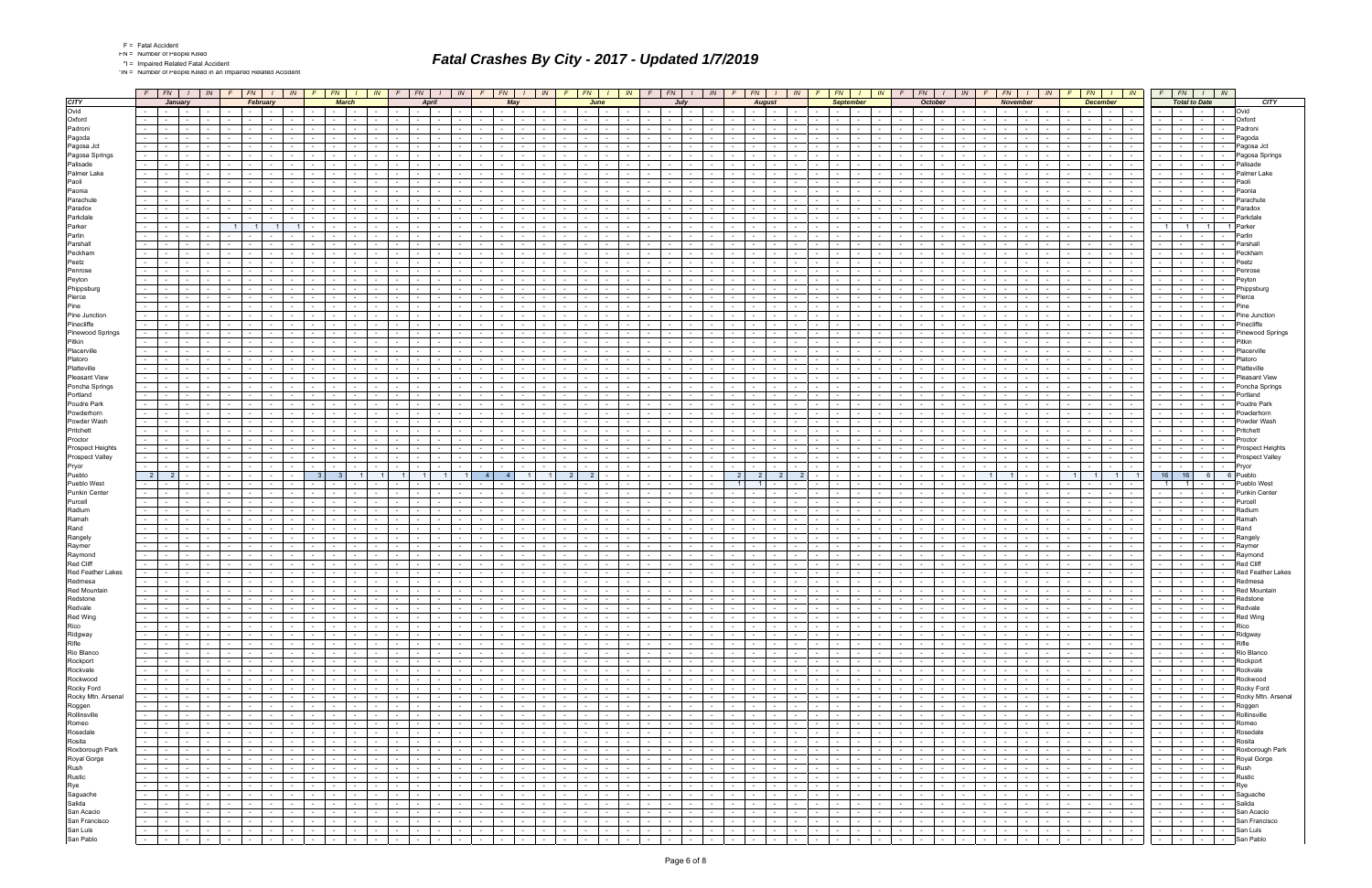| Fatal Accide |  |
|--------------|--|
|--------------|--|

\*IN = Number of People Killed in an Impaired Related Accident

|                                                  | $F$ $FN$ $I$<br>$\sqrt{N}$                                                                                  | FN                                                                    | FN<br>IN                                                  | IN                                          | FN .<br>IN                                                          | FN<br>$I$ IN                                                | FN  <br>IN                                                                                           | F<br>$FN$ $1$<br>IN -                                                                                                      | FN -<br>IN                                                                                                                                       | IN<br>FN                                                                                                 | FN  <br>IN.                                                                                         | <b>FN</b><br>IN                                         | FN<br>IN                                              |                                                 | $F N$ $I$ $I$ $N$                                |                                    |
|--------------------------------------------------|-------------------------------------------------------------------------------------------------------------|-----------------------------------------------------------------------|-----------------------------------------------------------|---------------------------------------------|---------------------------------------------------------------------|-------------------------------------------------------------|------------------------------------------------------------------------------------------------------|----------------------------------------------------------------------------------------------------------------------------|--------------------------------------------------------------------------------------------------------------------------------------------------|----------------------------------------------------------------------------------------------------------|-----------------------------------------------------------------------------------------------------|---------------------------------------------------------|-------------------------------------------------------|-------------------------------------------------|--------------------------------------------------|------------------------------------|
| <b>CITY</b>                                      | January                                                                                                     | February                                                              |                                                           | <b>March</b>                                | April                                                               | May                                                         | June                                                                                                 | July                                                                                                                       | <b>August</b>                                                                                                                                    | <b>September</b>                                                                                         | <b>October</b>                                                                                      | November                                                | <b>December</b>                                       | <b>Total to Date</b>                            |                                                  | <b>CITY</b>                        |
| Ovid                                             | <b>Contract Contract</b><br>$\sim 100$                                                                      | <b>Contract</b>                                                       |                                                           |                                             | $\sim 100$                                                          | $\sim$                                                      |                                                                                                      | the contract of the con-                                                                                                   | $\sim$ $-$<br>$\sim$                                                                                                                             |                                                                                                          |                                                                                                     | $\sim$                                                  |                                                       |                                                 | $\sim$                                           | Ovid                               |
| Oxford                                           |                                                                                                             |                                                                       |                                                           |                                             |                                                                     |                                                             |                                                                                                      |                                                                                                                            |                                                                                                                                                  |                                                                                                          |                                                                                                     |                                                         |                                                       |                                                 |                                                  | Oxford                             |
| Padroni                                          |                                                                                                             |                                                                       |                                                           |                                             |                                                                     |                                                             |                                                                                                      |                                                                                                                            |                                                                                                                                                  |                                                                                                          |                                                                                                     |                                                         |                                                       |                                                 |                                                  | Padroni                            |
| Pagoda                                           | $\sim$<br>$\sim$                                                                                            | $\sim$                                                                |                                                           |                                             |                                                                     | $\sim$<br>$\sim$                                            |                                                                                                      | $\sim$                                                                                                                     |                                                                                                                                                  |                                                                                                          |                                                                                                     |                                                         |                                                       |                                                 |                                                  | Pagoda                             |
| Pagosa Jct                                       |                                                                                                             |                                                                       |                                                           |                                             |                                                                     |                                                             |                                                                                                      |                                                                                                                            |                                                                                                                                                  |                                                                                                          |                                                                                                     |                                                         |                                                       |                                                 |                                                  | Pagosa Jct                         |
| Pagosa Springs                                   |                                                                                                             |                                                                       |                                                           |                                             |                                                                     |                                                             |                                                                                                      |                                                                                                                            |                                                                                                                                                  |                                                                                                          |                                                                                                     |                                                         |                                                       |                                                 |                                                  | Pagosa Springs                     |
| Palisade                                         |                                                                                                             |                                                                       |                                                           |                                             |                                                                     | $\sim$                                                      |                                                                                                      |                                                                                                                            |                                                                                                                                                  |                                                                                                          |                                                                                                     |                                                         |                                                       |                                                 |                                                  | Palisade                           |
| Palmer Lake                                      |                                                                                                             |                                                                       |                                                           |                                             |                                                                     |                                                             |                                                                                                      |                                                                                                                            |                                                                                                                                                  |                                                                                                          |                                                                                                     |                                                         |                                                       |                                                 |                                                  | Palmer Lake                        |
| Paoli                                            |                                                                                                             |                                                                       |                                                           |                                             |                                                                     |                                                             |                                                                                                      |                                                                                                                            |                                                                                                                                                  |                                                                                                          |                                                                                                     |                                                         |                                                       |                                                 |                                                  | Paoli                              |
| Paonia                                           | $\sim$                                                                                                      |                                                                       |                                                           |                                             | $\sim$                                                              | $\sim$<br>$\sim$ 100 $\mu$                                  |                                                                                                      | $\sim$<br>$\sim$                                                                                                           | $\sim$<br>$\sim$                                                                                                                                 |                                                                                                          |                                                                                                     | $\sim$                                                  |                                                       | $\overline{\phantom{a}}$                        | $\sim$ 100 $\mu$                                 | Paonia                             |
| Parachute                                        |                                                                                                             |                                                                       |                                                           |                                             |                                                                     |                                                             |                                                                                                      |                                                                                                                            |                                                                                                                                                  |                                                                                                          |                                                                                                     |                                                         |                                                       |                                                 |                                                  | Parachute                          |
| Paradox                                          | $\sim 100$<br>$\sim$                                                                                        |                                                                       |                                                           |                                             |                                                                     |                                                             |                                                                                                      |                                                                                                                            |                                                                                                                                                  |                                                                                                          |                                                                                                     |                                                         |                                                       |                                                 |                                                  | Paradox                            |
| Parkdale                                         | $\sim 10$<br>$\sim$                                                                                         |                                                                       |                                                           |                                             | $\sim$                                                              | $\sim$<br>$\sim$ 100 $\mu$                                  |                                                                                                      | $\sim$<br>$\sim$                                                                                                           | $\sim$<br>$\sim$<br>$\sim$                                                                                                                       |                                                                                                          |                                                                                                     | $\sim$                                                  |                                                       |                                                 |                                                  | Parkdale                           |
| Parker                                           |                                                                                                             |                                                                       |                                                           |                                             |                                                                     |                                                             |                                                                                                      |                                                                                                                            |                                                                                                                                                  |                                                                                                          |                                                                                                     |                                                         |                                                       |                                                 |                                                  | Parke                              |
| Parlin                                           | $\sim 100$<br>$\sim$                                                                                        |                                                                       |                                                           |                                             |                                                                     |                                                             |                                                                                                      |                                                                                                                            |                                                                                                                                                  |                                                                                                          |                                                                                                     |                                                         |                                                       |                                                 |                                                  | Parlin                             |
| Parshall                                         |                                                                                                             |                                                                       |                                                           |                                             |                                                                     |                                                             |                                                                                                      | $\sim$                                                                                                                     |                                                                                                                                                  |                                                                                                          |                                                                                                     |                                                         |                                                       |                                                 |                                                  | Parshal                            |
| Peckham                                          |                                                                                                             |                                                                       |                                                           |                                             |                                                                     |                                                             |                                                                                                      |                                                                                                                            |                                                                                                                                                  |                                                                                                          |                                                                                                     |                                                         |                                                       |                                                 |                                                  | Peckham                            |
| Peetz                                            |                                                                                                             |                                                                       |                                                           |                                             |                                                                     |                                                             |                                                                                                      |                                                                                                                            |                                                                                                                                                  |                                                                                                          |                                                                                                     |                                                         |                                                       |                                                 |                                                  | Peetz                              |
| Penrose                                          |                                                                                                             |                                                                       |                                                           |                                             |                                                                     |                                                             |                                                                                                      |                                                                                                                            |                                                                                                                                                  |                                                                                                          |                                                                                                     |                                                         |                                                       |                                                 |                                                  | Penros                             |
| Peyton                                           |                                                                                                             |                                                                       |                                                           |                                             |                                                                     |                                                             |                                                                                                      |                                                                                                                            |                                                                                                                                                  |                                                                                                          |                                                                                                     |                                                         |                                                       |                                                 |                                                  | Pevton                             |
| Phippsburg                                       |                                                                                                             |                                                                       |                                                           |                                             |                                                                     |                                                             |                                                                                                      |                                                                                                                            |                                                                                                                                                  |                                                                                                          |                                                                                                     |                                                         |                                                       |                                                 |                                                  | Phippsburg                         |
| Pierce                                           |                                                                                                             |                                                                       |                                                           |                                             |                                                                     |                                                             |                                                                                                      |                                                                                                                            |                                                                                                                                                  |                                                                                                          |                                                                                                     |                                                         |                                                       |                                                 |                                                  | Pierc                              |
| Pine                                             |                                                                                                             |                                                                       |                                                           |                                             |                                                                     |                                                             |                                                                                                      |                                                                                                                            |                                                                                                                                                  |                                                                                                          |                                                                                                     |                                                         |                                                       |                                                 |                                                  |                                    |
| Pine Junction                                    | $\sim$                                                                                                      |                                                                       |                                                           |                                             |                                                                     |                                                             |                                                                                                      |                                                                                                                            |                                                                                                                                                  |                                                                                                          |                                                                                                     |                                                         |                                                       |                                                 |                                                  | Pine Junction                      |
| Pinecliffe                                       |                                                                                                             |                                                                       |                                                           |                                             |                                                                     |                                                             |                                                                                                      |                                                                                                                            |                                                                                                                                                  |                                                                                                          |                                                                                                     |                                                         |                                                       |                                                 |                                                  | Pinecliffe                         |
| Pinewood Springs                                 |                                                                                                             |                                                                       |                                                           |                                             |                                                                     |                                                             |                                                                                                      |                                                                                                                            |                                                                                                                                                  |                                                                                                          |                                                                                                     |                                                         |                                                       |                                                 |                                                  | <b>Pinewood Springs</b>            |
| Pitkin                                           |                                                                                                             |                                                                       |                                                           |                                             |                                                                     |                                                             |                                                                                                      |                                                                                                                            |                                                                                                                                                  |                                                                                                          |                                                                                                     |                                                         |                                                       |                                                 |                                                  | Pitkin                             |
| Placerville                                      |                                                                                                             |                                                                       |                                                           |                                             |                                                                     |                                                             |                                                                                                      |                                                                                                                            |                                                                                                                                                  |                                                                                                          |                                                                                                     |                                                         |                                                       |                                                 |                                                  | Placerville                        |
| Platoro                                          | $\sim$                                                                                                      |                                                                       |                                                           |                                             |                                                                     | $\sim$                                                      |                                                                                                      |                                                                                                                            |                                                                                                                                                  |                                                                                                          |                                                                                                     |                                                         |                                                       |                                                 |                                                  | Platoro                            |
| Platteville                                      |                                                                                                             |                                                                       |                                                           |                                             |                                                                     |                                                             |                                                                                                      |                                                                                                                            |                                                                                                                                                  |                                                                                                          |                                                                                                     |                                                         |                                                       |                                                 |                                                  | Platteville                        |
| Pleasant View                                    |                                                                                                             |                                                                       |                                                           |                                             |                                                                     |                                                             |                                                                                                      |                                                                                                                            |                                                                                                                                                  |                                                                                                          |                                                                                                     |                                                         |                                                       |                                                 |                                                  | Pleasant View                      |
| Poncha Springs                                   | $\sim$                                                                                                      |                                                                       |                                                           |                                             |                                                                     | $\sim$                                                      |                                                                                                      |                                                                                                                            |                                                                                                                                                  |                                                                                                          |                                                                                                     |                                                         |                                                       |                                                 |                                                  | Poncha Springs                     |
| Portland                                         |                                                                                                             |                                                                       |                                                           |                                             |                                                                     |                                                             |                                                                                                      |                                                                                                                            |                                                                                                                                                  |                                                                                                          |                                                                                                     |                                                         |                                                       |                                                 |                                                  | Portland                           |
| Poudre Park                                      |                                                                                                             |                                                                       |                                                           |                                             |                                                                     |                                                             |                                                                                                      |                                                                                                                            |                                                                                                                                                  |                                                                                                          |                                                                                                     |                                                         |                                                       |                                                 |                                                  | Poudre Park                        |
| Powderhorn                                       | $\sim$                                                                                                      |                                                                       |                                                           |                                             |                                                                     |                                                             |                                                                                                      |                                                                                                                            |                                                                                                                                                  |                                                                                                          |                                                                                                     |                                                         |                                                       |                                                 |                                                  | Powderhorr                         |
| Powder Wash                                      |                                                                                                             |                                                                       |                                                           |                                             |                                                                     |                                                             |                                                                                                      |                                                                                                                            |                                                                                                                                                  |                                                                                                          |                                                                                                     |                                                         |                                                       |                                                 |                                                  | Powder Wash                        |
| Pritchett                                        |                                                                                                             |                                                                       |                                                           |                                             |                                                                     |                                                             |                                                                                                      |                                                                                                                            |                                                                                                                                                  |                                                                                                          |                                                                                                     |                                                         |                                                       |                                                 |                                                  | Pritchett                          |
| Proctor                                          | $\sim$                                                                                                      |                                                                       |                                                           |                                             |                                                                     |                                                             |                                                                                                      |                                                                                                                            |                                                                                                                                                  |                                                                                                          |                                                                                                     |                                                         |                                                       |                                                 | $\sim$                                           | Proctor                            |
| Prospect Heights                                 |                                                                                                             |                                                                       |                                                           |                                             |                                                                     |                                                             |                                                                                                      |                                                                                                                            |                                                                                                                                                  |                                                                                                          |                                                                                                     |                                                         |                                                       |                                                 |                                                  | Prospect Heights                   |
| Prospect Valley                                  | $\sim$ 10 $\pm$                                                                                             |                                                                       |                                                           |                                             |                                                                     |                                                             |                                                                                                      |                                                                                                                            |                                                                                                                                                  |                                                                                                          |                                                                                                     |                                                         |                                                       |                                                 |                                                  | Prospect Valley                    |
| Pryor                                            |                                                                                                             |                                                                       |                                                           |                                             |                                                                     |                                                             |                                                                                                      |                                                                                                                            |                                                                                                                                                  |                                                                                                          |                                                                                                     |                                                         |                                                       |                                                 |                                                  | Pryor                              |
| Pueblo                                           |                                                                                                             |                                                                       |                                                           |                                             |                                                                     |                                                             |                                                                                                      |                                                                                                                            |                                                                                                                                                  |                                                                                                          |                                                                                                     |                                                         |                                                       | 16<br>16                                        | 6                                                | Pueblo                             |
| Pueblo West                                      |                                                                                                             |                                                                       |                                                           |                                             |                                                                     |                                                             |                                                                                                      |                                                                                                                            |                                                                                                                                                  |                                                                                                          |                                                                                                     |                                                         |                                                       |                                                 |                                                  | Pueblo West                        |
| <b>Punkin Center</b>                             |                                                                                                             |                                                                       |                                                           |                                             |                                                                     |                                                             |                                                                                                      |                                                                                                                            |                                                                                                                                                  |                                                                                                          |                                                                                                     |                                                         |                                                       |                                                 |                                                  | <b>Punkin Center</b>               |
| Purcell                                          |                                                                                                             |                                                                       |                                                           |                                             |                                                                     |                                                             |                                                                                                      |                                                                                                                            |                                                                                                                                                  |                                                                                                          |                                                                                                     |                                                         |                                                       |                                                 |                                                  | Purcell                            |
| Radium                                           | $\sim$                                                                                                      |                                                                       |                                                           |                                             |                                                                     |                                                             |                                                                                                      |                                                                                                                            |                                                                                                                                                  |                                                                                                          |                                                                                                     |                                                         |                                                       |                                                 |                                                  | Radium                             |
| Ramah                                            |                                                                                                             |                                                                       |                                                           |                                             |                                                                     |                                                             |                                                                                                      |                                                                                                                            |                                                                                                                                                  |                                                                                                          |                                                                                                     |                                                         |                                                       |                                                 |                                                  | Ramah                              |
| Rand                                             |                                                                                                             |                                                                       |                                                           |                                             |                                                                     |                                                             |                                                                                                      |                                                                                                                            |                                                                                                                                                  |                                                                                                          |                                                                                                     |                                                         |                                                       |                                                 |                                                  | Rand                               |
| Rangely                                          | $\sim 100$                                                                                                  |                                                                       |                                                           |                                             |                                                                     |                                                             |                                                                                                      |                                                                                                                            |                                                                                                                                                  |                                                                                                          |                                                                                                     |                                                         |                                                       |                                                 |                                                  | Rangel                             |
| Raymer                                           |                                                                                                             |                                                                       |                                                           |                                             |                                                                     |                                                             |                                                                                                      |                                                                                                                            |                                                                                                                                                  |                                                                                                          |                                                                                                     |                                                         |                                                       |                                                 |                                                  | Raymer                             |
| Raymond                                          | $\sim$                                                                                                      |                                                                       |                                                           |                                             |                                                                     |                                                             |                                                                                                      |                                                                                                                            |                                                                                                                                                  |                                                                                                          |                                                                                                     |                                                         |                                                       |                                                 |                                                  | Raymon                             |
| Red Cliff                                        |                                                                                                             |                                                                       |                                                           |                                             |                                                                     |                                                             |                                                                                                      |                                                                                                                            |                                                                                                                                                  |                                                                                                          |                                                                                                     |                                                         |                                                       |                                                 |                                                  | <b>Red Cliff</b>                   |
| Red Feather Lakes                                |                                                                                                             |                                                                       |                                                           |                                             |                                                                     |                                                             |                                                                                                      |                                                                                                                            |                                                                                                                                                  |                                                                                                          |                                                                                                     |                                                         |                                                       |                                                 |                                                  | Red Feather Lakes                  |
| Redmesa                                          | $\sim 100$<br>$\sim 10^{-11}$<br>$\sim$<br>$\sim$                                                           | $\sim$<br>$\sim$                                                      |                                                           |                                             | $\sim$ $ \sim$                                                      | $\sim$<br>$\sim$ 100 $\pm$                                  |                                                                                                      | $\sim$ $-$<br>$\sim 10^{-11}$<br>$\sim$ 10 $\pm$                                                                           | $\sim$<br>$\sim$<br>$\sim$                                                                                                                       |                                                                                                          | $\sim$                                                                                              | $\sim$<br>$\sim$                                        |                                                       | $\sim$                                          | $\sim 100$<br>$\sim$                             | Redmesa                            |
| Red Mountain                                     | $\sim$<br>$\sim$<br>$\sim$                                                                                  | .                                                                     | $\sim$                                                    |                                             | $\sim$ $-$<br>the contract of the contract of the                   | $\sim$                                                      |                                                                                                      | $\mathbf{1}$ and $\mathbf{1}$ and $\mathbf{1}$                                                                             | $\sim$<br>$\overline{\phantom{a}}$<br>$\sim$<br>$\sim$                                                                                           | .                                                                                                        |                                                                                                     | $\sim$ $-$<br>$\sim$                                    | and the state<br>.                                    |                                                 |                                                  | <b>IREQ MOUNTA</b>                 |
| Redstone                                         | P.<br>$\sim 10^{-10}$<br>$\sim 100$<br>$\sim 10^{-11}$                                                      | $\sim$<br>$\sim 10^{-10}$<br>$\sim$                                   | $\sim$<br>$\sim 10^{-11}$<br>$\sim$                       | $\sim 10^{-1}$<br>$\sim$ $-$                | $\sim$ $  \sim$<br>$\sim 10^{-11}$<br>$\sim 10^{-10}$<br>$\sim 100$ | $\sim 10^{-1}$<br>$\sim 10^{-11}$<br>and the state          | $\sim 100$<br>$\sim$ $-$<br>$\sim 10^{-11}$<br>$\sim$ $-$                                            | $\sim$ $ -$<br>그리다<br>$\sim 10^{-11}$                                                                                      | $\sim 10^{-11}$<br>$\sim 10^{-10}$<br>$\sim 10^{-1}$<br>$\sim$<br>$\sim 10^{-11}$                                                                | $\mathbf{I}$<br>$\sim$<br>$\sim$<br>$\sim$ 100 $\mu$                                                     | $\sim 10^{-11}$<br>$\sim 100$<br>$\sim$ $-$<br>$\sim 10^{-10}$                                      | $\sim 10^{-1}$<br>$\sim$ $-$<br>$\sim$ $-$              | the contract of<br>$\sim$ $-1$<br>$\sim$              | $\sim 10^{-10}$<br>$\sim$ $-$                   | $\sim 10^{-11}$<br>$\mathbf{1}$ and $\mathbf{1}$ | Redstone                           |
| Redvale                                          | $\sim$ $\sim$<br>and the state of the state<br>$\sim 100$                                                   | $\sim$ $-$<br>$\sim$ $\sim$ $\sim$ $\sim$ $\sim$ $\sim$<br>$\sim$ $-$ | the contract of<br>$\sim$                                 | the contract of the con-                    | the contract of<br>and the state of the state                       | $\sim 100$<br>$\sim 10^{-10}$<br>and the state of the state | $-1$<br>the contract of<br>$\sim$ $-$                                                                | the contract of the con-<br>$\sim 10^{-10}$                                                                                | $\sim 100$<br><b>Contract</b><br>$\sim$ $-$                                                                                                      | $\sim$ $-$<br>the contract of the<br><b>Contract</b>                                                     | $\sim 10^{-10}$<br>the contract of the con-                                                         |                                                         | the contract of the<br>$\sim$ $\sim$ $\sim$<br>$\sim$ | <b>Contract Contract</b>                        | $   -$ Redvale                                   |                                    |
| Red Wing                                         | $\sim$ $\sim$<br>and the state of the state of<br><b>Contract</b>                                           |                                                                       | the contract of                                           | the contract of                             | and the con-<br>the contract of                                     | <b>Contract Contract</b><br>the contract                    | $\sim 100$<br>$\sim$<br><b>Contract</b><br>$\sim$ $-$                                                |                                                                                                                            | $\sim 100$<br>$\sim 10^{-10}$<br>$\sim$                                                                                                          | the contract of<br>$\sim$<br>$\sim 100$                                                                  | $\sim$ $\sim$ $\sim$ $\sim$<br>the contract of                                                      |                                                         | the contract of<br><b>Contract Contract</b><br>$\sim$ | -   -   -   -   Red Wing                        |                                                  |                                    |
| Rico<br>Ridgway                                  | .                                                                                                           |                                                                       | the contract of the con-<br>$\sim$                        | the contract of                             | <b>Committee</b><br>and the state                                   | the contract of<br>1949 - Personal Property Corp.           | $\sim$ $-$                                                                                           |                                                                                                                            | .<br><b>Contract</b>                                                                                                                             | the contract of the contract of the con-                                                                 | the contract of<br>and the control                                                                  | .                                                       | .                                                     |                                                 |                                                  |                                    |
|                                                  | $-1 - 1 - 1 - 1 - 1$                                                                                        | $-1 - 1 -$                                                            | the contract of<br>$\sim$ $-$                             | and the con-                                | 도메리<br><b>Contract Contract</b>                                     | $\sim 10^{-11}$<br>and the state<br>$\sim$ $-$              | $\sim$<br>the contract of<br>$\sim$ 100 $\pm$                                                        | the property of the con-<br>$\sim 10^{-10}$                                                                                | المحارب والمحارب<br>$\sim$<br><b>Contract</b>                                                                                                    | the contract of<br>$\frac{1}{2}$ $\frac{1}{2}$ $\frac{1}{2}$                                             | $\mathcal{L}_{\rm{eff}}$<br>in a bailt ann<br>$\sim$ $\sim$ $\sim$                                  | $-1 - 1 - 1 - 1 - 1$                                    | the contract of the contract of the                   | <b>1</b> - <b>1</b> - <b>1</b> - <b>Ridgway</b> |                                                  |                                    |
| Rifle<br>Rio Blanco                              | the contract of<br><b>Contract Contract</b>                                                                 | the contract of the con-<br>$\sim$                                    | the contract of                                           | the contract of the con-                    | the contract of<br>the contract of                                  | the collection<br>the contract                              | $-1$<br>$\sim$<br><b>Contract</b><br>$\sim$ $-$                                                      | the contract of the con-<br>$\sim 10^{-10}$                                                                                | the contract of<br>$\sim 100$<br><b>Contract</b><br>$\sim$                                                                                       | the contract of<br>$\sim 100$<br>$\sim$                                                                  | the contract of<br><b>Contract</b><br>$\sim$ $\sim$ $\sim$                                          | the contract of the contract                            | <b>Second Control</b><br>.<br>$\sim$                  | .                                               |                                                  | Rifle                              |
|                                                  | $\sim 100$<br>and the state of the state of<br><b>Contract</b>                                              | the contract of the contract of                                       | the contract of                                           | the contract of                             | the contract of<br><b>Contract Contract</b>                         | $\sim 10^{-10}$<br>$\sim 10^{-11}$<br>the contract          | $\sim$<br><b>Contract</b><br>$\sim$ $-$<br>$\sim$ 100 $\mu$                                          | the contract of the contract of the con-<br><b>Contract Contract Street</b>                                                | the contract of<br>$\sim 100$<br><b>Contract</b><br>$\sim$                                                                                       | the contract of<br>$\sim$<br><b>Contract Contract</b>                                                    | the contract of<br>$\sim$ $\sim$ $\sim$<br><b>Contract</b>                                          | .                                                       | $\sim$                                                |                                                 |                                                  | Rio Blanco                         |
| Rockport                                         | रता मिला मान                                                                                                |                                                                       | the contract of<br>$\sim$ $-$                             | and the con-                                | 도메리<br><b>Contract Contract</b>                                     | $\sim 10^{-11}$<br>$\sim$ $-1$<br>n e 1 e 1                 | the contract of<br>$\sim$ $-$<br>$\sim$                                                              | the property of the con-<br><b>Contract Contract</b>                                                                       | $\sim 10^{-11}$<br>$\sim$<br><b>Contract Contract</b>                                                                                            | $\sim 10^{-11}$<br>$ -$<br>the contract of the                                                           | the contract of<br>$\sim$ $\sim$ $\sim$ $\sim$<br><b>Contract</b>                                   | the contract of the contract of                         | $\sim$ $ \sim$                                        | - - - - - Rockport                              |                                                  |                                    |
| Rockvale<br>Rockwood                             | the contract of the contract of<br><b>Contract</b><br>$\sim 10^{-11}$<br>the contract of<br><b>Contract</b> | the contract of the con-<br>$\sim$ $-$                                | the contract of the con-<br>the contract of<br>$\sim$ $-$ | the contract of the con-<br>the contract of | the contract of<br>the contract of<br><b>Contract Contract</b>      | the collection<br>the contract<br>the contract              | $\sim 100$<br>$\sim$<br><b>Contract</b><br>$\sim$ $-$<br>$\sim$ $-$<br>$\sim 10^{-10}$<br>$\sim$ $-$ | the contract of the con-<br>$\sim 10^{-10}$<br>the contract of the contract of the con-<br><b>Contract Contract Street</b> | the contract of<br>$\sim 100$<br><b>Contract</b><br>$\sim$<br><b>Contract</b><br>$\sim$                                                          | $\sim 100$<br>the contract of the<br>$\sim$<br>the contract of<br>$\sim$ $-$<br><b>Contract Contract</b> | $\sim 10^{-11}$<br>the contract of the con-<br><b>Contract Contract</b><br><b>Contract Contract</b> | the contract of the contract of the con-                | the contract of<br>$   -$<br>$\sim$ $ \sim$<br>$\sim$ | $\sim$ $\sim$ $\sim$ $\sim$                     | -   -   -   Rockwood                             | Rockvale                           |
| Rocky Ford                                       |                                                                                                             | $-1 - 1 - 1 - 1$                                                      | the contract of the con-<br>$\sim$ $-$                    | the contract of                             | the contract of<br>and the co<br>the contract of                    | the contract of<br>the control of the<br>المحال جال         | $\sim$<br>.<br>$\sim$ $-$                                                                            | and the contract of<br>$\sim 10^{-10}$                                                                                     | the contract of<br>$\sim 100$<br><b>Contract</b>                                                                                                 | $-1 - 1$<br>the contract of                                                                              | the contract of<br>$\sim 10^{-11}$<br>the contract of<br>$\sim$ $\sim$                              | .                                                       | .                                                     | - - - - - Rocky Ford                            |                                                  |                                    |
|                                                  | $\sim 100$<br>the contract of<br><b>Contract Contract</b>                                                   | .<br>$\sim$                                                           | the contract of the con-                                  | $\sim 10^{-11}$<br><b>Service</b>           | and the con-<br><b>Contract Contract</b><br>$\sim$ 100 $\mu$        | $\sim 10^{-10}$<br>$\sim 100$<br>and the state              | $\sim$<br>$\sim 10^{-11}$<br><b>Contract Contract</b><br>$\sim$                                      | $\sim$ $\sim$ $\sim$<br>the contract of<br><b>Contract Contract</b>                                                        | $\sim 10^{-11}$<br><b>Contract</b><br>$\sim$ $-$<br><b>Contract Contract</b><br>$\sim$                                                           | the contract of<br>$\sim$<br><b>Service</b>                                                              | and the state of the state of<br><b>Contract Contract</b><br>$\sim$ $\sim$                          | $\sim$ $\sim$ $\sim$ $\sim$<br>the contract of the con- | $\sim$                                                |                                                 |                                                  | -   -   -   -   Rocky Mtn. Arsenal |
| Rocky Mtn. Arsenal<br>Roggen                     | $\sim$ 1<br>.<br><b>Contract</b>                                                                            | the contract of the con-<br>$\sim$ $-$                                | $\sim 100$<br>the contract of                             | the contract of                             | the contract of<br>and the state of the state                       | and the state<br>the company of                             | $\sim$ $\sim$ $\sim$<br>the contract of<br>$\sim$ $-$                                                | $-1 - 1 - 1 - 1$                                                                                                           | $\sim 10^{-11}$<br><b>Contract</b><br>$\sim$ $-$                                                                                                 | $\sim$ $\sim$ $\sim$ $\sim$ $\sim$<br>the collection                                                     | $\sim$ $\sim$ $\sim$<br>$\sim 10^{-10}$<br>the contract of                                          | $-1 - 1 - 1 - 1 - 1$                                    |                                                       |                                                 |                                                  |                                    |
| Rollinsville                                     | $-1 - 1 - 1 - 1 - 1$                                                                                        |                                                                       | the contract of<br>$\sim 100$                             | and the con-                                | <b>Contract Contract</b><br>the contract of                         | the contract of<br>the contract                             | .<br>$\sim$ $-$                                                                                      |                                                                                                                            | <b>Contract</b><br>$\sim 10^{-11}$                                                                                                               | .                                                                                                        | the contract of<br>the contract of                                                                  |                                                         | .                                                     |                                                 |                                                  |                                    |
| Romeo                                            | and the state of the state of the<br><b>Contract</b>                                                        | the contract of the contract of<br>$\sim$ $-$                         | the contract of the con-<br>$\sim$                        | $-1$<br><b>Contract</b>                     | <b>Carl Park</b><br>the contract of                                 | the contract of<br>and the state of the state of            | $\sim$ $\sim$ $\sim$<br>$\sim$ $-$<br>$\sim 10^{-10}$<br>$\sim$ $-$                                  | $-1 - 1 - 1 - 1$<br><b>Contract Contract Street</b>                                                                        | $\sim 10^{-11}$<br><b>Contract</b><br>$\sim$                                                                                                     | $\sim$ $-$<br>$\sim$ $-$<br>the contract of the con-                                                     | <b>Contract</b><br>the contract of<br>$\sim$ $\sim$ $\sim$                                          | $\sim$ $\sim$ $\sim$ $\sim$<br>the contract of the con- | $\sim$ $-$                                            | -   -   -   -   Romeo                           |                                                  |                                    |
| Rosedale                                         | $-1 - 1 - 1 - 1$                                                                                            |                                                                       | the contract of<br><b>Contract Contract</b>               | the contract of                             | <b>Carl Carl</b><br>the contract of                                 | and the con-<br>the contract                                | $\sim$ $-$                                                                                           | $-1 - 1 - 1 - 1$                                                                                                           | .<br>$\sim 10^{-10}$                                                                                                                             |                                                                                                          | $-1 - 1$<br>the contract of                                                                         | $-1 - 1 - 1 - 1 - 1$                                    | the contract of the contract of the                   | -   -   -   -   Rosedale                        |                                                  |                                    |
|                                                  | .                                                                                                           |                                                                       | the contract of the con-<br>$\sim 100$                    | the contract of                             | <b>Contract Contract</b><br>the contract of                         | the contract of<br>and the state                            | $-1 - 1 - 1$<br>$\sim$ $-$                                                                           | $\sim 10^{-10}$                                                                                                            | the contract of the con-<br>$\sim$ $-$<br><b>Contract</b>                                                                                        | $\sim$ $\sim$ $\sim$ $\sim$ $\sim$<br>the contract of<br>$\sim$                                          | the contract of                                                                                     |                                                         | $-1 - 1 - 1 - 1 - 1$                                  | 1 - 1 - 1 - 1 -                                 |                                                  | Rosita                             |
|                                                  | .                                                                                                           | the contract of the contract of<br>$\sim$ $-$                         | the contract of the con-<br>$\sim$                        | $-1$<br><b>Contract</b>                     | the contract of<br><b>Contract Contract</b>                         | the contract of<br>and the state of the state               | $\sim 10^{-11}$<br>$\sim$ $-$<br>$\sim 10^{-10}$<br>$\sim$ $-$                                       | the contract of the contract of the con-<br>$\sim 10^{-10}$                                                                | and the state<br>$\sim 10^{-11}$<br><b>Contract</b><br>$\sim$                                                                                    | $\sim$ $-$<br>$\sim 10^{-10}$<br>the contract of the con-                                                | <b>Contract</b><br>the contract of<br>$\sim$ $\sim$ $\sim$                                          | $\sim$ $\sim$ $\sim$ $\sim$<br>the contract of the con- | $\sim 10^{-1}$                                        |                                                 |                                                  | -   -   -   - Roxborough Park      |
| Rosita<br>Roxborough Park<br>Royal Gorge<br>Rush | te di estima di esti                                                                                        |                                                                       | the contract of<br>$\sim$ 100 $\mu$                       | the contract of                             | <b>Carl Carl</b><br>the contract of                                 | and the state<br>n e 1 e 1                                  | the contract of the contract of the<br>$\sim$ $-$<br>$ -$                                            | $-1 - 1 - 1 - 1$                                                                                                           | and the change of the control of the control of the control of the control of the control of the control of the<br><b>Contract</b><br>$\sim$ $-$ | the contract of the con-<br>$\sim$ $\sim$ $\sim$ $\sim$ $\sim$                                           | $\sim$ $\sim$<br>the contract of<br>$\sim 10^{-10}$                                                 | $-1 - 1 - 1 - 1 - 1$                                    |                                                       | -   -   -   - Royal Gorge                       |                                                  |                                    |
|                                                  | $\sim 10^{-11}$<br>the contract of the con-<br><b>Contract</b>                                              | $\sim$                                                                | the contract of<br>$\sim$ 100 $\pm$                       | the contract of                             | the contract of<br>the contract                                     | the contract of<br>and the state                            | $\sim$ $-1$<br>$\sim$<br>$\sim 10^{-10}$<br>$\sim$ $-$                                               | <b>Contract Contract</b>                                                                                                   | .<br>$\sim 100$<br><b>Contract</b><br>$\sim$                                                                                                     | $\sim$<br>$\sim 100$<br>$\sim$<br>$\sim$ $-$                                                             | the contract of<br>$\sim$ $\sim$<br>$\sim 10^{-11}$                                                 | and the state of the state                              | the contract of the con-<br>.<br>$\sim$               | 1 - 1 - 1 - 1 -                                 |                                                  | Rush                               |
|                                                  | .                                                                                                           | .                                                                     | the contract of<br>$\sim$ $-$                             | the contract of                             | the contract of<br>the contract of                                  | the contract of<br>the contract                             | $\sim$ $-$                                                                                           |                                                                                                                            | .<br><b>Contract</b><br><b>Contract</b>                                                                                                          | the contract of<br>the contract of the con-                                                              | $\sim 10^{-11}$<br>the contract of                                                                  |                                                         |                                                       |                                                 |                                                  |                                    |
| Rustic<br>Rye<br>Saguache                        | and the control<br><b>Contract</b><br>$\sim 100$                                                            | $-1 - 1$<br>$\sim$                                                    | the contract of<br><b>Service</b>                         | the contract of                             | <b>Contract Contract</b><br><b>Contract Contract</b>                | <b>Service</b> Service<br>and the state                     | $\sim$ $-$<br>$\sim$ $\sim$<br>$\sim$<br><b>Contract</b>                                             | the collection of the collection                                                                                           | $\sim 10^{-10}$<br><b>Contract</b><br>$\sim$                                                                                                     | the contract of<br>$\sim 100$                                                                            | $\sim 10^{-11}$<br>the contract of<br>$\sim$ $\sim$                                                 | $-1 - 1 - 1 - 1 - 1$                                    | $-1 - 1 - 1$<br>$\sim$                                | 1 - 1 - 1 - 1 -                                 |                                                  | Rye                                |
|                                                  | $-1 - 1 - 1$<br><b>Contract</b>                                                                             | $-1 - 1$<br>$\sim$                                                    | the contract of the con-<br>$\sim 10^{-11}$               | the contract of                             | <b>Contract Contract</b><br>and the state                           | and the state<br>and the state                              | $\sim$ $-$<br>$\mathbf{1}$ and $\mathbf{1}$<br>$\sim$ $-$<br>$-1$                                    | $\sim 10^{-10}$                                                                                                            | and the state of the state of the<br>$\sim 10^{-11}$<br><b>Contract</b><br>$\sim$                                                                | $T = -$<br>$1 - 1$<br>$\sim$ $-$                                                                         | $\sim 10^{-10}$<br>$\sim 10^{-11}$<br>the contract of                                               | the contract of the contract of the con-                | $-1 - 1 - 1$<br>$\sim$ $ \sim$                        | $-1 - 1 - 1 - 1 -$                              |                                                  | Saguache                           |
| Salida                                           | the contract of the contract of the<br>$\sim 100$ m $^{-1}$                                                 | the contract of the contract of                                       | the contract of<br>$\sim$ 100 $\mu$                       | the collection                              | <b>Carl Tarry</b><br>the company of the com-                        | and the state<br>the contract of the con-                   | $\sim$ $\sim$ $\sim$<br>the contract of<br>$\sim$ $-$                                                | the contract of the con-<br><b>Contract Contract</b>                                                                       | $\sim 100$<br><b>Contract</b>                                                                                                                    | the contract of the con-<br>the contract of the                                                          | $\sim$ $\sim$ $\sim$<br>$\sim 10^{-10}$<br>the contract of                                          |                                                         | .<br>$\sim$                                           | .                                               |                                                  | Salida                             |
| San Acacio                                       | $\sim 100$<br>and the control<br><b>Contract</b>                                                            | $-1 - 1$<br>$\sim$                                                    | the contract of                                           | $\sim$ $-$<br><b>Contract</b>               | <b>Committee</b><br><b>Contract Contract</b>                        | <b>Carl Land</b><br>and the state                           | $\sim$ $-$<br>$\sim$ $-$<br>$\sim$ $-$<br><b>Service</b>                                             | the contract of the contract of the con-                                                                                   | $\sim 10^{-11}$<br>$\sim$ $\sim$ $\sim$ $\sim$<br>$\sim 10^{-11}$<br>$\sim 10^{-11}$<br>$\sim$                                                   | $\sim 10^{-1}$<br>the contract of<br>$\sim 10$                                                           | and the con-<br>$\sim$ $\sim$<br><b>Contract</b>                                                    | the contract of the contract of                         | <b>Second Second</b><br>$\sim$ $\sim$<br>$\sim$       | 1 - 1 - 1 - 1 -                                 |                                                  | San Acacio                         |
| San Francisco                                    | $\sim 10$<br>$-1 - 1 - 1 -$                                                                                 | $-1 - 1$<br>$\sim$                                                    | the contract of the con-<br>$\sim$                        | the contract of                             | <b>Carl Carl</b><br>the collection                                  | the control of the<br>and the state                         | $\sim$<br>$\mathbf{1}$ and $\mathbf{1}$<br>$\sim$ $-$<br>$\sim$ $\sim$ $\sim$                        | the contract of the contract of the con-<br>$\sim 10^{-10}$                                                                | <b>Contract Contract Contract</b><br>$\sim 100$<br><b>Contract</b><br>$\sim$                                                                     | $\mathbf{I}$<br>$\sim$ $-$<br>$\sim 10^{-10}$<br>$\sim$                                                  | $\sim 10^{-11}$<br><b>Second Control</b><br>$\sim$ $\sim$                                           | .                                                       | <b>Second Control</b><br>n + 1<br>$\sim$              | $-1$                                            |                                                  | San Francisco                      |
| San Luis                                         | —<br>—<br>.<br><b>Contract</b>                                                                              | the contract of the contract of                                       | $\sim 10^{-11}$<br>the contract of                        | the contract of                             | $\sim 10^{-10}$ km s $^{-1}$<br>the contract of the con-            | and the state<br>the contract of the con-                   | $-1$<br>the contract of<br>$\sim$ $-$                                                                | $-1 - 1 - 1 - 1$<br><b>Contract Contract</b>                                                                               | .<br><b>Contract</b><br>$\sim 10^{-11}$                                                                                                          | $\sim$ $\sim$ $\sim$ $\sim$ $\sim$<br>the contract of                                                    | $\sim$ $\sim$ $\sim$<br>the contract of<br>$\sim$ $-$                                               | .                                                       | $\sim$ $ \sim$                                        | 1. – 1.                                         | $   \leq$ San Luis                               |                                    |
| San Pablo                                        | $\sim 10^{-11}$<br>$-1 - 1 - 1 - 1$                                                                         |                                                                       | the contract of<br>$\sim$                                 |                                             | and the class later<br><b>Contract Contract</b>                     | <b>Contract Contract</b><br>and the state                   | $\sim 10^{-1}$                                                                                       | 도자 나이                                                                                                                      | $\sim 10^{-10}$<br>$\sim$ $-$                                                                                                                    | <b>Second Second</b><br>$-1$                                                                             | te di estima di est                                                                                 |                                                         | and the co<br>$\sim 10^{-10}$<br>$\sim$               | 1980   Paul Berline, 1980                       |                                                  | San Pablo                          |
|                                                  |                                                                                                             |                                                                       |                                                           |                                             |                                                                     |                                                             |                                                                                                      |                                                                                                                            |                                                                                                                                                  |                                                                                                          |                                                                                                     |                                                         |                                                       |                                                 |                                                  |                                    |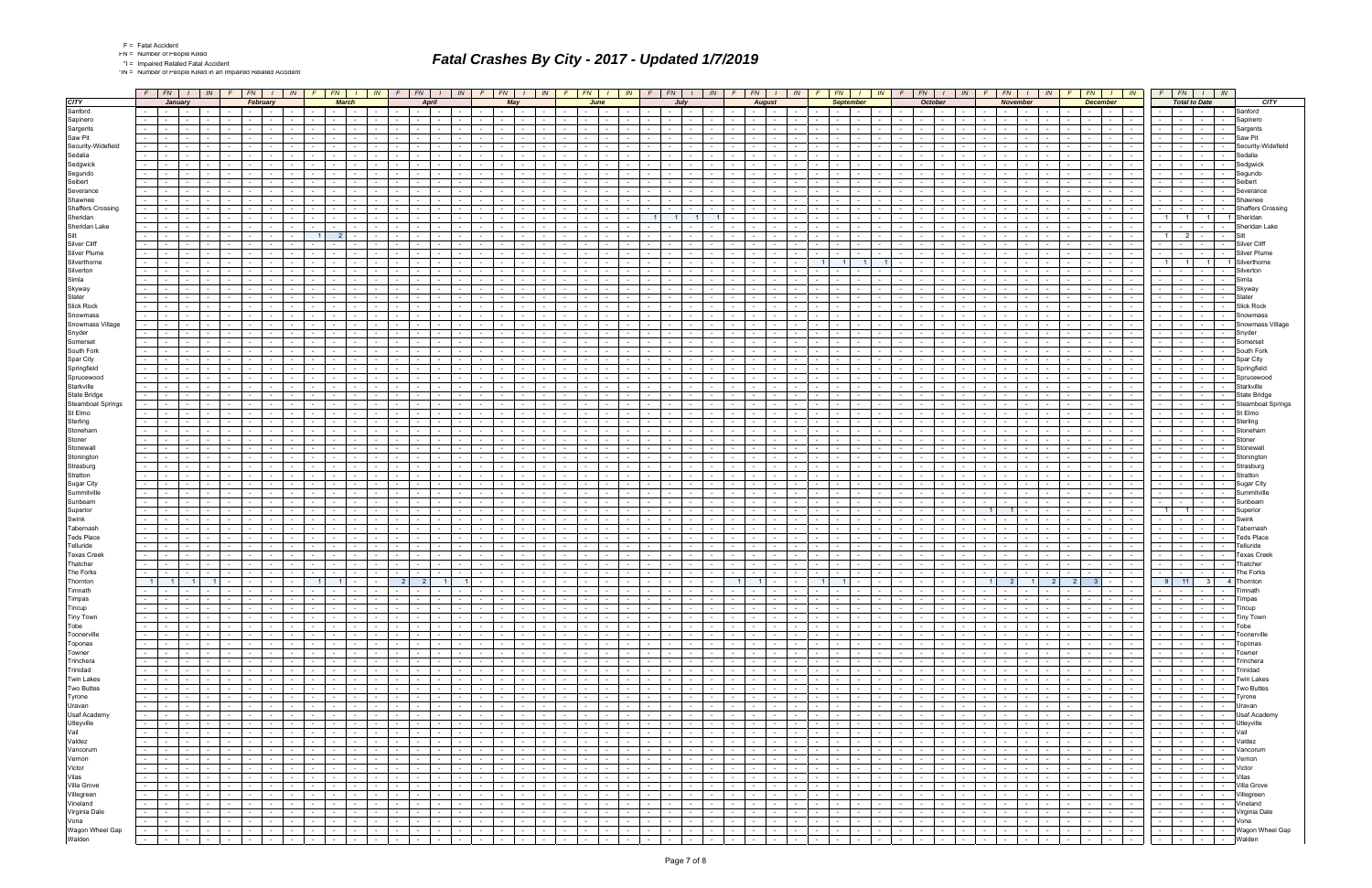| Fatal Accide |
|--------------|
|              |

\*IN = Number of People Killed in an Impaired Related Accident

|                                                  | $F$   $FN$   $I$<br>IN 1<br>$F \mid FN \mid$<br>IN                                                    | $F \mid FN$<br>IN                                                             | $F \mid FN \mid$                            | FN  <br>IN<br>IN                                                                | F<br>FN  <br>IN                                                                           | FN  <br>IN I<br>F                                                                | FN<br>IN                                                                 | FN -<br>IN.                                                        | FN -<br><b>FN</b><br>FN  <br>$\sqrt{N}$<br>IN                                                                                                                                                                               | $FN$ $I$ $IN$<br>F                                                 |
|--------------------------------------------------|-------------------------------------------------------------------------------------------------------|-------------------------------------------------------------------------------|---------------------------------------------|---------------------------------------------------------------------------------|-------------------------------------------------------------------------------------------|----------------------------------------------------------------------------------|--------------------------------------------------------------------------|--------------------------------------------------------------------|-----------------------------------------------------------------------------------------------------------------------------------------------------------------------------------------------------------------------------|--------------------------------------------------------------------|
| <b>CITY</b>                                      | January<br>February                                                                                   | <b>March</b>                                                                  | April                                       | May                                                                             | June                                                                                      | July                                                                             | <b>August</b>                                                            | <b>September</b>                                                   | <b>October</b><br>November<br><b>December</b>                                                                                                                                                                               | <b>Total to Date</b><br><b>CITY</b>                                |
| Sanford                                          | the contract                                                                                          | $\sim$                                                                        | $\sim$ $-$                                  |                                                                                 |                                                                                           | $\sim$                                                                           | $\sim 100$<br>$\sim$                                                     |                                                                    | $\sim 10^{-11}$<br>$\sim 100$<br>$\sim$                                                                                                                                                                                     | Sanford<br>$\sim$                                                  |
| Sapinero                                         | $\sim$ 100 $\mu$                                                                                      |                                                                               |                                             |                                                                                 |                                                                                           | $\sim$                                                                           |                                                                          |                                                                    |                                                                                                                                                                                                                             | Sapinero<br>$\sim$<br>$\sim$                                       |
| Sargents                                         | $\sim$<br>$\overline{\phantom{a}}$                                                                    | $\sim$                                                                        | $\sim$                                      |                                                                                 |                                                                                           | $\sim$                                                                           |                                                                          |                                                                    |                                                                                                                                                                                                                             | Sargents                                                           |
| Saw Pit                                          | $\sim$                                                                                                |                                                                               |                                             |                                                                                 |                                                                                           |                                                                                  |                                                                          |                                                                    |                                                                                                                                                                                                                             | Saw Pit                                                            |
| Security-Widefield                               | $\sim$                                                                                                |                                                                               |                                             |                                                                                 |                                                                                           |                                                                                  |                                                                          |                                                                    |                                                                                                                                                                                                                             | Security-Widefield                                                 |
| Sedalia                                          |                                                                                                       |                                                                               |                                             |                                                                                 |                                                                                           |                                                                                  |                                                                          |                                                                    |                                                                                                                                                                                                                             | Sedalia                                                            |
| Sedgwick                                         |                                                                                                       |                                                                               |                                             |                                                                                 |                                                                                           |                                                                                  |                                                                          |                                                                    |                                                                                                                                                                                                                             | Sedgwick                                                           |
| Segundo                                          |                                                                                                       |                                                                               |                                             |                                                                                 |                                                                                           |                                                                                  |                                                                          |                                                                    |                                                                                                                                                                                                                             | Segundo                                                            |
| Seibert                                          |                                                                                                       |                                                                               |                                             |                                                                                 |                                                                                           |                                                                                  |                                                                          |                                                                    |                                                                                                                                                                                                                             | Seibert                                                            |
| Severance                                        | $\sim$                                                                                                | $\sim$                                                                        |                                             |                                                                                 |                                                                                           | $\sim$                                                                           |                                                                          |                                                                    |                                                                                                                                                                                                                             | Severance<br>$\sim$                                                |
| Shawnee                                          |                                                                                                       |                                                                               |                                             |                                                                                 |                                                                                           |                                                                                  |                                                                          |                                                                    |                                                                                                                                                                                                                             | Shawne                                                             |
| <b>Shaffers Crossing</b>                         |                                                                                                       |                                                                               |                                             |                                                                                 |                                                                                           |                                                                                  |                                                                          |                                                                    |                                                                                                                                                                                                                             | <b>Shaffers Crossing</b>                                           |
| Sheridan                                         | $\sim$                                                                                                | $\sim 10^{-1}$                                                                | $\sim$                                      |                                                                                 | $\sim$                                                                                    | $\overline{1}$<br>$\overline{1}$<br>$\overline{1}$                               |                                                                          |                                                                    | $\sim$<br>$\sim$<br>$\sim$                                                                                                                                                                                                  | 1 <sup>1</sup><br>$1 \vert$<br>$\vert$ 1  <br>Sheridar             |
| Sheridan Lake                                    |                                                                                                       |                                                                               |                                             |                                                                                 |                                                                                           |                                                                                  |                                                                          |                                                                    |                                                                                                                                                                                                                             | Sheridan Lake                                                      |
| Silt                                             |                                                                                                       | 11<br>$\overline{2}$                                                          |                                             |                                                                                 |                                                                                           |                                                                                  |                                                                          |                                                                    |                                                                                                                                                                                                                             | 2 <sup>1</sup><br>$\overline{1}$<br><b>Sil</b>                     |
| Silver Cliff                                     |                                                                                                       |                                                                               | $\sim$                                      |                                                                                 |                                                                                           | $\sim$                                                                           |                                                                          |                                                                    | $\sim$<br>٠.                                                                                                                                                                                                                | <b>Silver Cliff</b><br>$\sim$<br>$\sim$                            |
| Silver Plume                                     |                                                                                                       |                                                                               |                                             |                                                                                 |                                                                                           |                                                                                  |                                                                          |                                                                    |                                                                                                                                                                                                                             | Silver Plume                                                       |
| Silverthorne                                     |                                                                                                       |                                                                               |                                             |                                                                                 |                                                                                           |                                                                                  |                                                                          |                                                                    |                                                                                                                                                                                                                             | $\overline{1}$<br>$\overline{1}$<br>Silverthorn                    |
| Silverton                                        | $\sim$                                                                                                |                                                                               |                                             |                                                                                 |                                                                                           |                                                                                  |                                                                          |                                                                    |                                                                                                                                                                                                                             | Silverton                                                          |
| Simla                                            |                                                                                                       |                                                                               |                                             |                                                                                 |                                                                                           |                                                                                  |                                                                          |                                                                    |                                                                                                                                                                                                                             | Simla                                                              |
| Skyway                                           | $\sim$                                                                                                |                                                                               |                                             |                                                                                 |                                                                                           |                                                                                  |                                                                          |                                                                    |                                                                                                                                                                                                                             | Skyway                                                             |
| Slater                                           | $\sim$                                                                                                |                                                                               |                                             |                                                                                 |                                                                                           |                                                                                  |                                                                          |                                                                    |                                                                                                                                                                                                                             | Slater                                                             |
| <b>Slick Rock</b>                                |                                                                                                       |                                                                               |                                             |                                                                                 |                                                                                           |                                                                                  |                                                                          |                                                                    |                                                                                                                                                                                                                             | <b>Slick Rock</b>                                                  |
| Snowmass                                         | $\sim$                                                                                                |                                                                               |                                             |                                                                                 |                                                                                           |                                                                                  |                                                                          |                                                                    |                                                                                                                                                                                                                             | Snowmass                                                           |
| Snowmass Village                                 |                                                                                                       |                                                                               |                                             |                                                                                 |                                                                                           |                                                                                  |                                                                          |                                                                    |                                                                                                                                                                                                                             | Snowmass Village                                                   |
| Snyder                                           |                                                                                                       |                                                                               |                                             |                                                                                 |                                                                                           |                                                                                  |                                                                          |                                                                    |                                                                                                                                                                                                                             | Snyder                                                             |
| Somerset<br>South Fork                           | $\sim$                                                                                                |                                                                               |                                             |                                                                                 |                                                                                           |                                                                                  |                                                                          |                                                                    |                                                                                                                                                                                                                             | Somerset<br>South Fork                                             |
| Spar City                                        |                                                                                                       |                                                                               |                                             |                                                                                 |                                                                                           |                                                                                  |                                                                          |                                                                    |                                                                                                                                                                                                                             | Spar City                                                          |
|                                                  |                                                                                                       |                                                                               |                                             |                                                                                 |                                                                                           |                                                                                  |                                                                          |                                                                    |                                                                                                                                                                                                                             |                                                                    |
| Springfield<br>Sprucewood                        | $\sim$                                                                                                |                                                                               |                                             |                                                                                 |                                                                                           |                                                                                  |                                                                          |                                                                    |                                                                                                                                                                                                                             | Springfield<br>Sprucewood                                          |
| Starkville                                       |                                                                                                       |                                                                               |                                             |                                                                                 |                                                                                           |                                                                                  |                                                                          |                                                                    |                                                                                                                                                                                                                             | Starkville                                                         |
| State Bridge                                     |                                                                                                       |                                                                               |                                             |                                                                                 |                                                                                           |                                                                                  |                                                                          |                                                                    |                                                                                                                                                                                                                             | State Bridge                                                       |
| <b>Steamboat Springs</b>                         |                                                                                                       |                                                                               |                                             |                                                                                 |                                                                                           |                                                                                  |                                                                          |                                                                    |                                                                                                                                                                                                                             | <b>Steamboat Springs</b>                                           |
| St Elmo                                          | $\sim$                                                                                                |                                                                               |                                             |                                                                                 |                                                                                           |                                                                                  |                                                                          |                                                                    |                                                                                                                                                                                                                             | St Elmo                                                            |
| Sterling                                         |                                                                                                       |                                                                               |                                             |                                                                                 |                                                                                           |                                                                                  |                                                                          |                                                                    |                                                                                                                                                                                                                             | Sterling                                                           |
| Stoneham                                         |                                                                                                       |                                                                               |                                             |                                                                                 |                                                                                           |                                                                                  |                                                                          |                                                                    |                                                                                                                                                                                                                             | Stoneham                                                           |
| Stoner                                           | $\sim$                                                                                                |                                                                               |                                             |                                                                                 |                                                                                           |                                                                                  |                                                                          |                                                                    |                                                                                                                                                                                                                             | Stone                                                              |
| Stonewall                                        |                                                                                                       |                                                                               |                                             |                                                                                 |                                                                                           |                                                                                  |                                                                          |                                                                    |                                                                                                                                                                                                                             | Stonewal                                                           |
| Stonington                                       |                                                                                                       |                                                                               |                                             |                                                                                 |                                                                                           |                                                                                  |                                                                          |                                                                    |                                                                                                                                                                                                                             | Stoninator                                                         |
| Strasburg                                        | $\sim$<br>$\sim$                                                                                      |                                                                               |                                             |                                                                                 |                                                                                           | $\sim$                                                                           |                                                                          |                                                                    |                                                                                                                                                                                                                             | Strasburg<br>$\sim$                                                |
| Stratton                                         |                                                                                                       |                                                                               |                                             |                                                                                 |                                                                                           |                                                                                  |                                                                          |                                                                    |                                                                                                                                                                                                                             | Stratton                                                           |
| Sugar City                                       |                                                                                                       |                                                                               |                                             |                                                                                 |                                                                                           |                                                                                  |                                                                          |                                                                    |                                                                                                                                                                                                                             | <b>Sugar City</b>                                                  |
| Summitville                                      |                                                                                                       |                                                                               |                                             |                                                                                 |                                                                                           |                                                                                  |                                                                          |                                                                    |                                                                                                                                                                                                                             | Summitville                                                        |
| Sunbeam                                          |                                                                                                       |                                                                               |                                             |                                                                                 |                                                                                           |                                                                                  |                                                                          |                                                                    |                                                                                                                                                                                                                             | Sunbeam                                                            |
| Superior                                         | $\sim$                                                                                                |                                                                               |                                             |                                                                                 |                                                                                           |                                                                                  |                                                                          |                                                                    |                                                                                                                                                                                                                             | Superior<br>- 1 I                                                  |
| Swink                                            |                                                                                                       |                                                                               |                                             |                                                                                 |                                                                                           |                                                                                  |                                                                          |                                                                    |                                                                                                                                                                                                                             | Swink                                                              |
| Tabernash                                        |                                                                                                       |                                                                               |                                             |                                                                                 |                                                                                           |                                                                                  |                                                                          |                                                                    |                                                                                                                                                                                                                             | abernash                                                           |
| <b>Teds Place</b>                                | $\sim$                                                                                                |                                                                               |                                             |                                                                                 |                                                                                           |                                                                                  |                                                                          |                                                                    |                                                                                                                                                                                                                             | <b>Feds Place</b>                                                  |
| Telluride                                        |                                                                                                       |                                                                               |                                             |                                                                                 |                                                                                           |                                                                                  |                                                                          |                                                                    |                                                                                                                                                                                                                             | Telluride                                                          |
| <b>Texas Creek</b>                               |                                                                                                       |                                                                               |                                             |                                                                                 |                                                                                           |                                                                                  |                                                                          |                                                                    |                                                                                                                                                                                                                             | <b>Texas Creek</b>                                                 |
| Thatcher                                         | $\sim$                                                                                                |                                                                               |                                             |                                                                                 |                                                                                           | $\sim$                                                                           |                                                                          |                                                                    |                                                                                                                                                                                                                             | hatcher                                                            |
| The Forks                                        |                                                                                                       |                                                                               |                                             |                                                                                 |                                                                                           |                                                                                  |                                                                          |                                                                    |                                                                                                                                                                                                                             | The Forks                                                          |
| Thornton                                         | $1 \vert$<br>$\overline{1}$                                                                           | $1 \mid$<br>$\blacksquare$ 1                                                  | 2 <sup>1</sup><br>2                         |                                                                                 |                                                                                           |                                                                                  | 1 <sup>1</sup>                                                           | $1 \vert$<br>$\blacksquare$                                        | 2 <sup>1</sup><br>1 <sup>1</sup><br>2 <sup>1</sup><br>3 <sup>1</sup><br>$\sim$                                                                                                                                              | $9$ 11<br>Thornton<br>$\overline{\mathbf{3}}$                      |
| I imnath                                         | $\mathbf{1}$<br>$\cdots$                                                                              | $\mathbf{I}$ $\mathbf{I}$<br>$\blacksquare$                                   | the contract of the con-                    | $\sim$<br>$  -$<br>.                                                            | $\sim$ $\sim$ $\sim$ $\sim$ $\sim$                                                        | $\sim$                                                                           | $\sim$<br>$\sim$<br>$\mathbf{1}$<br>$\mathbf{I}$                         | .                                                                  | $\mathbf{I}$<br>$\mathbf{I}$ $\mathbf{I}$<br><b>Contract Contract</b><br>$\sim$ $\sim$ $\sim$ $\sim$                                                                                                                        | <b>I</b> imnath                                                    |
| Timpas                                           | $\sim$<br><b>Contract</b><br>$\sim 10^{-1}$<br>$\sim$<br>$\sim 10^{-11}$<br>$\sim$ $-$<br>$\sim$ $-$  | the contract of<br>and the state of the state                                 | the contract of<br><b>Contract</b>          | $\sim$<br>$\sim$<br>$\sim$ $\sim$<br>$\sim$ $-$<br><b>Contract</b>              | $\sim$ $-$<br>$\sim 10^{-1}$<br>$\sim$ $-$                                                | $\overline{\phantom{a}}$<br>and the state<br><b>Contract</b>                     | $\overline{\mathcal{A}}$<br><b>Contract</b><br>$\sim$<br><b>Contract</b> | $\sim$<br>$-1$<br>$\sim$ $-$<br>$\sim$ $-$                         | $\sim$<br>$\sim$<br>the contract of<br>$\sim$ $-$<br>$\sim 10^{-10}$<br>the contract of<br><b>Contract</b><br>the contract of<br>$\sim 100$                                                                                 | Timpas<br>$\sim 100$<br>$\sim$<br>$\sim$ $-$<br>$\sim$ $-$         |
| Tincup                                           | $\sim$<br>$\sim 10^{-11}$<br>$\sim 100$<br><b>Contract</b><br>$\sim$<br>$\sim$                        | the contract of<br>$\sim$ $  -$                                               | the contract of<br>$\sim$ $-$               | $\sim$<br><b>Contract</b><br>$\sim$<br>$\sim$<br><b>Service</b>                 | <b>Contract</b><br>$\sim 10^{-1}$<br>$\sim$ $  -$<br>$\sim 100$                           | $\sim 10^{-11}$<br>$\sim$ $-$<br>$\sim 10^{-11}$<br>$\sim 10^{-11}$              | $\sim$<br>$\sim$ $-$<br>$\sim 100$<br>$\sim 100$                         | $\sim$<br>$\sim$ $\sim$<br>$\sim$ $-$<br>$\sim$ $-$                | the contract of<br>$\sim$ $  -$<br>$\sim 10^{-11}$<br>the contract of<br>$\sim 100$<br>$\sim$<br>the contract of<br>$\sim 10^{-11}$<br>$\sim$ $-$                                                                           | Tincup<br>the contract of<br>$\sim$                                |
| Tiny Town                                        | $\sim$<br>the contract<br>$\vert \cdot \vert$<br>$\sim$ $-$<br>$\sim$<br>$\sim$                       | the contract of<br>the contract of                                            | the contract of<br><b>Contract</b>          | $\sim$<br>$\sim$ $ \sim$<br>$\sim 10^{-1}$<br>$\sim$ $-$<br>$\sim$ $\sim$       | <b>Carl Carl Carl</b><br>$\sim 10^{-11}$<br><b>Contract</b>                               | $\sim 10^{-10}$<br>the contract of                                               | $\sim$<br>the contract of<br><b>Contract</b>                             | <b>Second Second</b><br>$\sim$ $-$<br>$\sim$                       | $-1 - 1 - 1 - 1$<br>the contract of the con-<br>$\sim 10^{-10}$<br>$\sim 10^{-1}$<br>the contract of<br>$\sim$ $\sim$ $\sim$<br><b>Contract</b><br>$\sim$ $-$                                                               | <b>Tiny Town</b><br>$\sim$<br>$\sim$ $\sim$                        |
| Tobe                                             | $\sim$<br>the contract<br>$\sim$<br>$\sim$ $-$<br>$\sim$ $-$                                          | $\sim$ $\sim$ $\sim$<br>$\sim 10^{-11}$<br>$\sim 10^{-11}$<br>$\sim 10^{-11}$ | <b>Contract Contract</b><br><b>Contract</b> | $\sim$ $-$<br>$\sim$<br><b>Contract</b><br>$\sim$<br>$\sim 10^{-11}$            | $\sim$ $-$<br>$\sim$ $-$<br>$\sim$ $-$<br>$\sim 10^{-1}$                                  | $\sim 10^{-1}$<br>$\sim 10^{-10}$<br>$\sim 10^{-11}$<br>$\sim$                   | $\sim$<br>the collection<br>$\sim$                                       | $\sim$ $-$<br>$\sim 10^{-1}$<br>$\sim 10^{-11}$<br>$\sim$          | $\sim$ $-$<br>$\sim 10^{-11}$<br>$\sim 10^{-10}$<br>$\sim 10^{-11}$<br>$\sim$ $-$<br>$\sim 100$<br><b>Contract</b><br>$\sim$<br>the contract of<br>$\sim$<br>$\sim$ $\sim$                                                  | $\mathbf{1}$ and $\mathbf{1}$<br>Tobe<br>$\sim$<br>$\sim$          |
| Toonerville                                      | $\sim$<br>the contract<br>$\sim$ 100 $\sim$ 100 $\sim$<br>$\sim$ $-$<br>$\sim$                        | the contract of<br><b>Contract Contract</b>                                   | the contract of<br>$\sim$ $-$               | $\sim$<br>$ -$<br>$\sim$<br><b>Service</b><br>$\sim$ $-$                        | $\sim$ $-$<br>$\sim$ $-$<br>$\sim$ $\sim$ $\sim$ $\sim$<br>$\sim 100$                     | $\sim 10^{-11}$<br>the contract of<br>$\sim$                                     | $\sim$<br><b>Contract Contract</b><br>$\sim 100$                         | the contract of<br>$\sim$ $ \sim$<br>$\sim$                        | the contract of the con-<br><b>Contract Contract</b><br>$\sim 10^{-11}$<br>the contract of<br>$\sim 100$ m $^{-1}$<br>$\sim$<br><b>Service</b> State<br>$\sim$ $\sim$ $\sim$ $\sim$<br>$\sim$ $-$                           | Toonerville<br>$\sim$<br>$\mathbf{1}$ $\mathbf{2}$<br>$\sim$ $-$   |
| Toponas                                          | the contract<br>$\sim$ $-$<br>$\sim$<br>$\sim$<br>$\sim$                                              | $\sim$ $\sim$<br>$\sim$ $-$<br><b>Contract Contract</b><br>$\sim 100$         | the contract of<br>$\sim$ $-$               | <b>Service</b><br>$\sim$<br>$\sim$<br>$\sim$<br>$\sim 100$                      | <b>Contract</b><br>$\sim 10^{-1}$<br><b>Contract</b><br>$\sim$                            | $\sim 10^{-1}$<br>$\sim 10^{-10}$<br>$\sim 10^{-11}$<br>$\sim 100$               | $\sim$<br>$\sim$ $\sim$<br>$\sim 100$                                    | $\sim$ $\sim$<br>$\sim$ $-$<br>$\sim$<br>$\sim$ $-$                | $\sim$ $\sim$<br><b>Contract</b><br>$\sim 10^{-11}$<br>$\sim 10^{-11}$<br>the contract of<br><b>Contract</b><br>the contract<br>$\sim 100$<br>$\sim$<br>$\sim$ $ \sim$                                                      | $\sim$<br><b>Contract</b><br>$\sim$<br>Toponas                     |
| Towner                                           | $\sim$<br>and the state<br>$\sim$<br>$\sim 100$ m $^{-1}$<br>$\sim$                                   | the contract of<br><b>Contract Contract</b>                                   | the contract of<br><b>Contract</b>          | $\sim$<br>$\sim$ $\sim$<br>$\sim$<br>$\sim 10^{-11}$<br>$\sim$ $-$              | $\sim$ $-$<br>$\sim$ $-$<br>$\sim$<br>$\sim$                                              | $\sim$ $-$<br>$\sim 10^{-10}$<br>$\sim 10^{-11}$<br>$\sim$ $-$                   | $\sim$<br>the contract of<br>$\sim$                                      | $\sim 10^{-1}$<br>$\sim$<br>$\sim$ $\sim$<br>$\sim 10^{-11}$       | the contract of<br>$\sim$ $-$<br>$\sim 10^{-11}$<br>$\sim$<br>$\sim 10^{-11}$<br>the contract of<br>the contract<br>$\sim$ $\sim$<br>$\sim$ $-$                                                                             | Towner<br>$\sim$<br>$\mathbf{1}$ and $\mathbf{1}$<br>$\sim$        |
| Trinchera                                        | $\sim$<br>the contract of<br><b>Contract</b><br>$\sim$<br>$\sim$                                      | the contract of<br><b>Service</b> Service                                     | the collection<br>$\sim$                    | $\sim$<br>$\sim$<br>$\sim$ $-$<br><b>Contract Contract</b><br>$\sim$ 100 $\pm$  | $\sim$ $-$<br>$\sim$<br>$\sim$ $-$<br>$\sim$ $-$                                          | $\sim 10^{-11}$<br>$\sim 10^{-10}$<br><b>Contract</b>                            | $\sim$<br><b>Service</b><br>$\sim 100$<br>$\sim$ $-$                     | $-1$<br>$\sim$ $-$<br>$\sim$                                       | the contract of the<br>$\sim 10^{-10}$<br>the contract of<br>$\sim 10^{-11}$<br>$\sim$<br><b>Service</b> State<br>$\sim 100$<br>$\sim$ $ \sim$<br>$\sim$ $-$                                                                | Trinchera<br>$\sim$<br>$\mathbf{I}$ and $\mathbf{I}$<br>$\sim$     |
| Trinidad                                         | the contract<br>$\sim$ 100 $\mu$<br>$\sim$                                                            | $\sim 100$<br>$\sim$ $-$<br><b>Contract Contract</b>                          | the contract of<br>$\sim$ $-$               | $\sim$<br><b>Contract</b><br>$\sim$<br>$\sim 100$<br>$\sim$                     | $\sim$ $-$<br>$\sim$<br>$\sim 10^{-11}$<br>$\sim$                                         | $\sim$ $-$<br>$\sim 10^{-10}$<br>$\sim$ $-$                                      | $\sim$<br>$\sim$ $-$<br>$\sim 10^{-1}$<br>τ                              | $\sim$ $-$<br><b>Service</b>                                       | $\sim$<br>$\sim 10^{-11}$<br>$\sim 10^{-11}$<br>$\sim 10^{-11}$<br><b>Contract</b><br>$\sim$ 100 $\sim$ 100 $\sim$<br>$\sim 100$<br>$\sim$                                                                                  | Trinidad<br>$\sim$<br><b>Contract</b><br>$\sim$                    |
| <b>Twin Lakes</b>                                | $\sim$<br>the contract of the contract of the<br><b>Contract</b><br>$\sim$                            | the contract of<br><b>Contract Contract</b>                                   | the contract of<br><b>Contract</b>          | $\sim$<br>$\sim$ $-$<br>$\sim$<br><b>Contract</b><br>$\sim$ $-$                 | $\sim 10^{-11}$<br>the contract<br>$\sim$                                                 | $\sim 10^{-1}$<br>$\sim 10^{-10}$<br>$\sim 10^{-11}$<br>$\sim$ 100 $\pm$         | <b>Contract Contract</b><br>$\sim$                                       | $\sim 10^{-1}$<br>$-1$<br>$\sim$ $-$                               | the contract of<br>$\sim 10^{-10}$<br>$\sim 10^{-11}$<br>$\sim 10^{-11}$<br>$\sim$<br>the contract of<br>the contract of<br>$-1$<br>$\sim$ $-$                                                                              | <b>Twin Lakes</b><br>$\sim$<br>$\mathbf{1}$ $\mathbf{1}$<br>$\sim$ |
| Two Buttes                                       | $\sim$<br>and the state of the state<br>$\sim$<br>$\sim$ $\sim$<br>$\sim$ $-$<br>$\sim$<br>$\sim$     | the contract of<br>the contract of                                            | <b>Contract Contract</b><br><b>Contract</b> | $\sim$<br>$\sim$ $\sim$<br>$\sim$<br><b>Contract</b><br>$\sim$                  | $\sim$ $  -$<br>$\sim 100$<br>$\sim$<br>$\sim$ $-$                                        | $\sim$ $-$<br>$\sim 10^{-10}$<br>$\sim 100$                                      | $\sim$<br>the contract of<br><b>Contract Contract</b>                    | the contract<br>$\sim$<br>$\sim$ $-$                               | <b>Service</b> Service<br>$\sim$<br>$\sim$ $  -$<br>$\sim 10^{-11}$<br>the contract of<br><b>Contract</b><br><b>Contract Contract</b><br>the contract of the con-                                                           | <b>Two Buttes</b><br>the contract of<br>$\sim$ $-$                 |
| Tyrone                                           | the contract<br>$\sim$<br><b>Contract</b><br>$\sim$                                                   | $-1$<br>$\sim 100$<br>$\sim$ $-$<br>$\sim 100$                                | the contract of<br>$\sim$ $-$               | $\sim$ $-$<br>$\sim 100$<br>$\sim$<br>$\sim$ $-$<br><b>Service</b>              | the contract<br>$\sim$ $-$<br>$\sim$                                                      | $\sim$ $-$<br>$\sim 10^{-11}$<br>$\sim 10^{-10}$<br>$\sim$ $-$                   | $\sim$<br><b>Service</b><br>$\sim 100$<br>$\sim$ $-$                     | the contract<br>$\sim$ $ \sim$                                     | the contract of<br>$\sim 10^{-10}$<br>the contract of<br>$\sim 100$ m $^{-1}$<br>$\sim$<br>the contract of<br>$-1$<br>$\sim$ $ \sim$                                                                                        | Tyrone<br>$\sim$<br>$\mathbf{I}$ $\mathbf{I}$<br>$\sim$ $-$        |
| Uravan                                           | the contract of<br>$\sim$<br><b>Contract</b><br>$\sim$                                                | the contract of<br><b>Contract Contract</b>                                   | the collection<br><b>Contract</b>           | $\sim$<br><b>Contract</b><br>$\sim$<br>$\sim$ $-$<br><b>Service</b>             | <b>Contract</b><br>$\sim$<br><b>Contract</b><br>$\sim 10^{-1}$                            | $\sim 10^{-11}$<br>$\sim$ $-$<br>$\sim 10^{-11}$<br>$\sim 10^{-11}$              | $\sim$<br>$\sim 10^{-11}$<br>$\sim 100$<br>$\sim 100$                    | $\sim$<br>$\sim$ $\sim$ $\sim$<br>$\sim$ $-$<br>$\sim$ $-$         | the contract of<br>$\sim$ $  -$<br>$\sim 10^{-11}$<br>the contract of<br><b>Contract</b><br>$\sim$<br>the contract<br>$\sim$ $-$<br>$\sim$                                                                                  | Uravan<br>the contract of<br>$\sim$                                |
|                                                  | $\sim 10$<br>the contract of<br>the contract of<br>$\sim$ $-$<br>$\sim$<br>$\sim$                     | the contract of<br>the contract of                                            | <b>Contract Contract</b><br><b>Contract</b> | $\sim$<br>the contract<br>$\sim$ $\sim$<br>$\sim 10^{-1}$                       | $\sim 10^{-11}$<br>and the state<br><b>Contract</b>                                       | $\sim 10^{-11}$<br>.                                                             | $\sim$<br>the contract of<br><b>Contract</b>                             | $\sim$<br>the contract of<br>$\sim 10^{-11}$                       | $\sim$<br>$\sim 10^{-11}$<br>the contract of<br><b>Contract</b><br>the contract of<br>$1 - 1 - 1$                                                                                                                           | <b>Usaf Academy</b><br>$-1 - 1 - 1 - 1 - 1$                        |
| Usaf Academy<br>Utleyville<br>Vail<br>Valdez     | $\sim$<br><b>Contract Contract</b><br>$\sim$<br>$\sim$<br>$\sim$ $-$<br>$\sim$                        | $\sim$ $-$<br>$\sim$ $\sim$<br><b>Contract Contract</b><br>$\sim$ $-$         | the contract of<br>$\sim 10^{-11}$          | $\sim$<br>$\sim$ $-$<br>$\sim$<br>$\sim$<br>$\sim$ 100 $\mu$                    | $\sim 10^{-11}$<br>$\sim 10^{-11}$<br>$\sim 10^{-1}$<br>$\sim$                            | $\sim$ $-$<br>$\sim$ $-$<br><b>Contract Contract</b><br><b>Contract Contract</b> | $\sim$<br>$\sim$<br>$\sim 10^{-11}$<br>$\sim$                            | $\sim 10^{-1}$<br>$\sim$<br><b>Contract Contract</b><br>$\sim$ $-$ | $\sim$<br><b>Contract</b><br><b>Contract Contract</b><br>$\sim 10^{-11}$<br><b>Contract</b><br>the contract<br>$\sim$ $-$<br>$\sim$ $-$<br>$\sim 100$<br><b>Contract Contract</b><br>$-1$                                   | $\sim$<br>Utleyville                                               |
|                                                  | $\sim$<br>and the state of the state<br>$\sim$ $-$<br>the contract of the con-<br>$\sim$<br>$\sim$    | the contract of<br>the contract of                                            | the contract of<br><b>Contract</b>          | $\sim$<br>$\sim$ $-$<br>$\sim$ $-$<br><b>Service</b><br>$\sim$ $-$              | $\sim$ $-$<br>$\sim 100$<br>$\sim$ $-$                                                    | $\sim 10^{-11}$<br>$-1 - 1 - 1 - 1$                                              | $\sim$<br>the contract of<br><b>Contract</b>                             | the contract<br>$\sim$<br>$\sim$ $ \sim$                           | $-1 - 1$<br>the contract of<br>the contract of<br><b>Contract</b><br>$\sim$ $-$<br>the contract of<br>$\sim$ $\sim$ $\sim$ $\sim$<br>$\sim$ $-$                                                                             | Vail<br>$\sim$<br>$\sim 100$                                       |
|                                                  | $\sim$<br>the contract<br>$\frac{1}{2}$ $\frac{1}{2}$<br>$\sim$ $-$<br>$\sim$<br>$\sim$<br>$\sim$ $-$ | the contract of<br>the contract of                                            | the contract of<br><b>Contract</b>          | $\sim$<br>$\sim$ $-$<br>$\sim$ $-$<br><b>Contract Contract Contract</b><br>$-1$ | $\sim$<br>and the state<br><b>Contract</b>                                                | $\sim 10^{-11}$<br>the contract of the con-<br><b>Contract</b>                   | $\sim$<br>the contract of<br>$\sim 100$                                  | the contract<br>$\sim 100$<br>$\sim$                               | the contract of<br>$\sim$<br>$\sim$ $ -$<br>$\sim 10^{-11}$<br>the contract of<br><b>Contract</b><br>the contract<br><b>Contract Contract</b>                                                                               | $\sim$<br>Valdez<br>.                                              |
| Vancorum                                         | $\sim$<br>$\sim$ $-$<br>$\sim$<br>$\sim$<br>$\sim$ $-$<br>$\sim$                                      | $\sim$ $-$<br><b>Service</b><br><b>Contract Contract</b><br>$\sim$ $-$        | the contract of<br>$\sim$ $-$               | $\sim$<br>$\sim$ 100 $\mu$<br>$\sim$<br>$\sim$<br>$\sim$                        | $\sim 10^{-11}$<br>$\sim 10^{-11}$<br>$\sim 10^{-1}$<br>$\sim$                            | $\sim 10^{-1}$<br><b>Contract Contract</b><br>$\sim$ $-$<br>$\sim$               | $\sim$<br>$\sim$<br>$\sim 10^{-11}$<br>$\sim$                            | $\sim 10^{-1}$<br><b>Service</b><br>$\sim 10^{-11}$                | <b>Service</b><br>$\sim 10^{-11}$<br><b>Contract Contract</b><br>$\sim 10^{-11}$<br>$\sim 100$<br>$\sim$<br>$\sim$ $-$<br>$\sim 100$<br><b>Contract Contract</b><br>the contract of the con-<br>$\sim 100$                  | Vancorum<br>$\sim 10^{-10}$<br>$\sim$<br>$\sim$ $-$                |
| Vernon                                           | $\sim$<br>the contract<br>$\sim$<br>$\sim$ 100 $\sim$ 100 $\sim$<br>$\sim$<br>$\sim$ $-$              | the contract of<br>the contract of                                            | the contract of<br><b>Contract</b>          | $\sim$<br><b>Contract</b><br>$\sim$<br><b>Service</b><br>$\sim$ $-$             | the college of<br>$\sim$ $-$<br>$\sim$                                                    | $\sim 10^{-11}$                                                                  | $\sim$<br>the contract of<br>$\sim 100$                                  | $\sim$<br>the contract of<br>$\sim$ $ \sim$                        | the contract of<br>$\sim 100$ km s $^{-1}$<br>$\sim$<br>the contract of the con-<br>$\sim$ $\sim$ $\sim$<br>$\sim$ $ \sim$                                                                                                  | Vernon<br>the contract of<br>$\sim$                                |
| Victor<br>Vilas                                  | $\sim 100$<br>$\sim 100$<br>$\sim$ $-$<br><b>Contract Contract</b>                                    | <b>Contract</b><br>$\sim 10^{-11}$<br>$\sim$ $-$<br>$\sim 100$                | the contract of<br><b>Contract</b>          | $\sim$<br><b>Contract</b><br>$\sim$<br>$\sim$<br>$\sim$ 100 $\mu$               | $\sim 10^{-11}$<br>$\sim$ $-$<br><b>Contract</b><br>$\sim 10^{-1}$                        | $\sim 10^{-1}$<br>$\sim 10^{-11}$                                                | $\sim$<br><b>Contract</b><br>$\sim 100$<br>$\sim$                        | $\sim$<br><b>Contract</b><br>$\sim$ $-$<br>$\sim 100$              | $\sim 10^{-11}$<br>$\sim$ $\sim$<br><b>Contract Contract</b><br>the contract of<br><b>Contract</b><br>$\sim$ $-$<br>the contract<br>$\sim 100$<br>$\sim$                                                                    | Victor<br>$\sim$<br>$\sim 100$ km s $^{-1}$<br>$\sim$              |
|                                                  | $\sim$<br>the contract of the contract of the<br>$\sim$<br>li se s<br>$\sim$ $-$                      | the contract of<br>$\sim$ $  -$<br>$\sim 10^{-11}$<br>マーロ                     | the contract of<br><b>Contract</b>          | $\sim$<br>$-1$<br>$\sim$ $-$<br>$\sim$ $-$<br><b>Service</b>                    | and the state<br><b>Contract</b><br>$\sim$                                                | $\sim$ $-$<br>$\sim 10^{-11}$<br>$\sim 10^{-10}$<br>$\sim 100$                   | $\sim$<br>the contract of the con-<br>$\sim 10^{-11}$                    | the contract of<br>$\sim 10^{-11}$<br>$\sim$                       | $\sim$ $-$<br>$\sim$<br>the contract of the con-<br>$\sim 10^{-11}$<br>the contract of<br><b>Contract</b><br>the contract<br>$-1$<br>$\sim$ $-$                                                                             | Vilas<br>the contract of the con-<br>$\sim$                        |
| Villa Grove<br><br>Villegreen                    | $\sim$<br>$\sim$ $-$<br>$\mathbf{1}$ $\mathbf{1}$<br>$\sim$ $-$<br>and the state of the state         | <b>Contract Contract</b>                                                      | and the co<br><b>Contract</b>               | $\sim$<br>$\sim$<br>$\sim$ $\sim$<br>$\sim$<br><b>Contract</b>                  | the company<br>$\sim$ $-$<br>$\sim$                                                       | $\sim 10^{-1}$<br>the contract of<br>$\sim$ $-$                                  | $\sim$<br><b>Contract Contract</b><br>$\sim 100$                         | <b>Service</b> Service<br>$\sim$<br>$\sim$ $-$                     | $\sim 10^{-10}$<br>the contract of<br>$\sim$<br>the contract<br>$\sim$ $\sim$<br>$\sim$ $ \sim$                                                                                                                             | Villa Grove<br>$\sim$<br>the contract of                           |
|                                                  | $\sim$<br>the contract of<br><b>Contract</b><br>$\sim$<br>$\sim$ $-$<br>$\sim$<br>$\sim$              | <b>Second Control</b><br>the contract of                                      | the contract of<br><b>Contract</b>          | $\sim$<br>$\sim$ $\sim$<br>$\sim$ $-$<br><b>Contract</b><br>$\sim$ $-$          | $\sim$ $  -$<br><b>Contract</b><br>$\sim$ $-$<br>$\sim$ $-$                               | $\sim$ $-$<br>$\sim 10^{-11}$<br>$\sim$                                          | $\sim$<br>the contract of<br>$\sim 10^{-11}$                             | $\sim$ $-$<br>$\sim$<br>$-1$<br>$\sim$ $ \sim$                     | the contract of<br>$\sim$ $  -$<br>$\sim 10^{-11}$<br>the contract of<br><b>Contract</b><br>$\sim$ $-$<br><b>Second Control</b><br>$\sim$<br>$\sim$ $\sim$                                                                  | Villegreen<br><b>Contract Contract</b><br>$\sim 10^{-1}$           |
| Vineland                                         | the contract of<br>$\sim$ $-$<br>the contract of                                                      | the contract of<br>$\sim$ $  -$<br>$\sim 100$<br>도메리                          | the contract of<br>$\sim$ $ \sim$           | $\sim$<br>$\sim$ $\sim$ $\sim$<br>$\sim$<br>$\sim$<br>$\sim 100$                | <b>Contract</b><br>$\sim 10^{-1}$<br>$\sim$ $  -$<br>$\sim 100$                           | $\sim$ $-$<br><b>Contract</b><br><b>Contract</b><br>$\sim$                       | $\sim$<br>the contract of<br><b>Contract</b>                             | $\sim$ $-$<br>$\sim$<br>$\sim$ $\sim$ $\sim$<br>$\sim$ $-$         | the contract of<br>$\sim$ $\sim$<br>$\sim 10^{-11}$<br>the contract of<br><b>Contract</b><br>$\sim$<br>$\sim$<br>the contract of the con-<br>$\sim$ $\sim$ $\sim$ $\sim$                                                    | Vineland<br>the contract of<br>$\sim$ $-$                          |
|                                                  | $-1 - 1$<br>the contract of<br>$\sim$ $-$                                                             | the contract of                                                               | <b>Carl Carl</b><br><b>Contract</b>         | $\sim$ $-$<br>$\sim$<br>$\sim$ $\sim$<br>$\sim$<br><b>Contract</b>              | se la co<br>$\sim 10^{-1}$<br>$\sim 10^{-11}$                                             | (E)<br>$\sim 100$ km s $^{-1}$                                                   | $\sim$<br><b>Service</b> Service<br><b>Contract</b>                      | <b>Service</b> Service<br>$\sim$ $-$<br>$\sim$                     | $\sim 10^{-1}$<br>$\sim$<br>$-1-1$<br>$\sim$ $\sim$ $\sim$ $\sim$<br>the contract of<br>$\sim 10^{-10}$<br>the contract<br>$\sim$ $\sim$<br>$\sim$ $ \sim$                                                                  | Virginia Dale<br>$-1 - 1$<br>$\sim 10^{-1}$<br>$\sim$ 100 $\pm$    |
| Virginia Dale<br>Virginia Dale<br>Vona<br>Walden | <b>Contract Contract</b><br>$\sim$ 100 $\mu$<br>$\sim$<br>$\sim$ $-$<br>$\sim$ $-$                    | <b>Service State</b><br>the contract of                                       | <b>Contract Contract</b><br><b>Contract</b> | $\sim$<br>$\sim$<br>$\sim 100$<br><b>Service</b><br>$\sim$ $-$                  | $\sim$ $-$<br>$\sim$ $-$<br>$\sim$ $-$<br>$\sim$ $-$                                      | $\sim$ $-$<br>$\sim 10^{-11}$<br>$\sim 100$                                      | $\sim$<br>the contract of<br>$\sim 10^{-11}$<br>$\overline{\phantom{0}}$ | $\sim$ $-$<br>$\sim$ $-$<br>$\sim$ $-$<br>$\sim$                   | <b>Second Second</b><br>$\sim$<br>$\sim$ $  -$<br>$\sim 10^{-11}$<br><b>Contract Contract</b><br><b>Contract</b><br>the collection<br>$\sim$ $-$<br>$\sim$ $\sim$                                                           | Vona<br>the contract of<br>$\sim 10^{-1}$                          |
|                                                  | $\sim 100$<br>and the state<br>the contract of<br>$\sim$<br>$\sim$ $-$<br>$\sim$                      | the contract of<br>the contract of                                            | the contract of<br><b>Contract</b>          | $\sim$<br>$\sim$ $\sim$ $\sim$<br>$\sim$<br>$\sim 10^{-11}$<br>$\sim$           | <b>Contract</b><br>$\sim$ $-$<br>$\sim$ $  -$<br><b>Contract</b><br>$\sim$ 1 + 1 $\sim$ 1 | $\sim 10^{-11}$<br>$\sim 10^{-11}$<br><b>Contract</b>                            | the contract of<br><b>Contract</b>                                       | $\sim$<br>$ -$<br>$\sim$ $-$<br>$\sim$ $-$                         | the contract of<br>$\sim 10^{-1}$<br>$\sim$ $\sim$ $\sim$ $\sim$<br><b>Contract</b><br>the contract of<br><b>Contract</b><br>the contract<br>$\sim$ $\sim$<br>$\sim$<br>$\sim$ $\sim$ $\sim$ $\sim$<br>$\sim$ 1 - 1 - 1 - 1 | Wagon Wheel Gap<br>$\sim$<br>$\sim 100$<br>Walden                  |
|                                                  | $-1 - 1 - 1 - 1$<br>$\sim 100$<br>$\sim$ $\sim$ $\sim$ $\sim$<br>$\sim$<br>$\sim$                     | the collection<br><b>Carl Carl Carl</b>                                       | 1949 - Personal Propinsi                    | and the state<br>the contract                                                   | $\sim$ $\sim$ $\sim$ $\sim$                                                               | .                                                                                | $\sim$<br><b>Contract Contract</b>                                       | $-1 - 1 - 1 - 1$                                                   | <b>Service</b><br>$\sim$ $\sim$<br>$\sim$                                                                                                                                                                                   | $-1 - 1 - 1 -$                                                     |